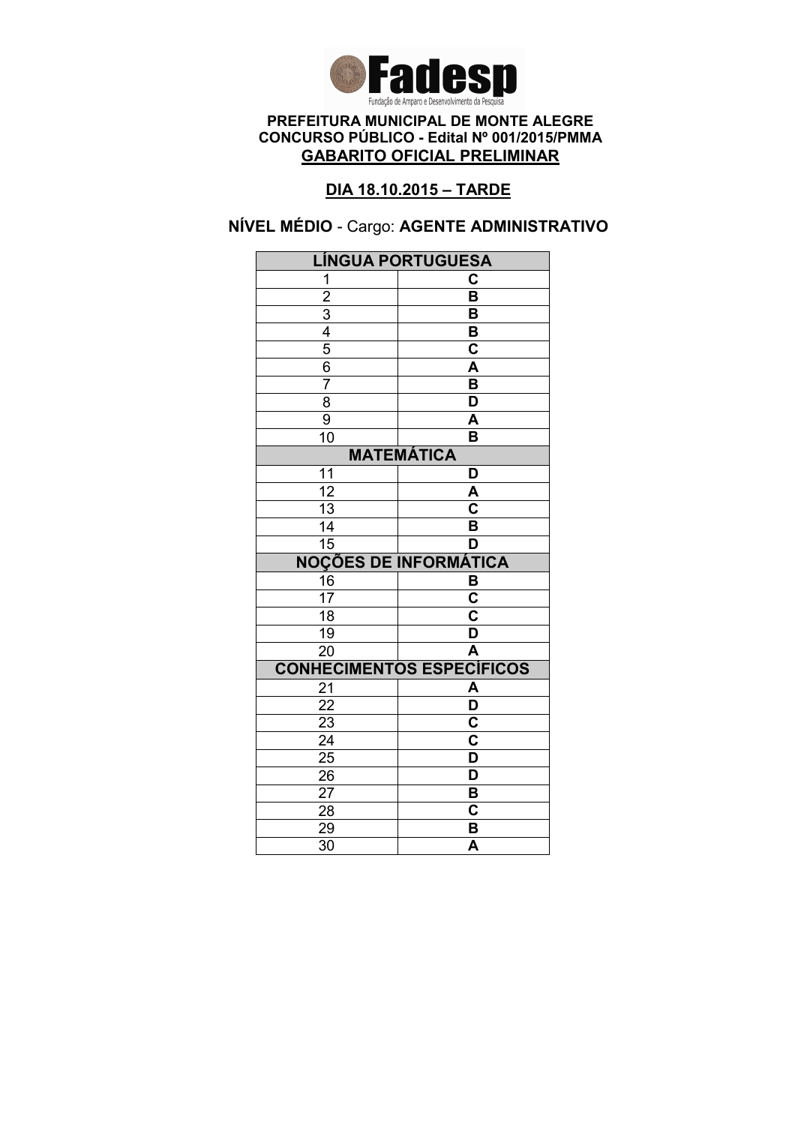

### DIA 18.10.2015 – TARDE

# NÍVEL MÉDIO - Cargo: AGENTE ADMINISTRATIVO

| <b>LÍNGUA PORTUGUESA</b>     |                                  |  |
|------------------------------|----------------------------------|--|
| 1                            | C                                |  |
| $\overline{2}$               | $\overline{\mathsf{B}}$          |  |
|                              | B                                |  |
| $\frac{3}{4}$                | B                                |  |
|                              | $\overline{\mathbf{c}}$          |  |
| 6                            | A                                |  |
| $\overline{7}$               | B                                |  |
| $\overline{8}$               | $\overline{\mathsf{D}}$          |  |
| 9                            | A                                |  |
| 10                           | B                                |  |
| <b>MATEMÁTICA</b>            |                                  |  |
| 11                           | D                                |  |
| $\overline{12}$              | A                                |  |
| 13                           | $\overline{\mathbf{c}}$          |  |
| 14                           | B                                |  |
| $\overline{15}$              | D                                |  |
| <b>NOÇÕES DE INFORMÁTICA</b> |                                  |  |
| 16                           | B                                |  |
| 17                           | $\overline{\mathbf{C}}$          |  |
| $\overline{18}$              | $\overline{\mathbf{c}}$          |  |
| 19                           | $\overline{\mathsf{D}}$          |  |
| $\overline{20}$              | $\overline{\mathsf{A}}$          |  |
|                              | <b>CONHECIMENTOS ESPECÍFICOS</b> |  |
| 21                           | A                                |  |
| 22                           | $\overline{\mathsf{D}}$          |  |
| 23                           | $\overline{\mathbf{c}}$          |  |
| $\overline{24}$              | $\overline{\textbf{c}}$          |  |
| $\frac{25}{5}$               | $\overline{\mathsf{D}}$          |  |
| 26                           | D                                |  |
|                              |                                  |  |
| 27                           | B                                |  |
| 28                           | C                                |  |
| 29<br>$\overline{30}$        | B<br>$\overline{\mathsf{A}}$     |  |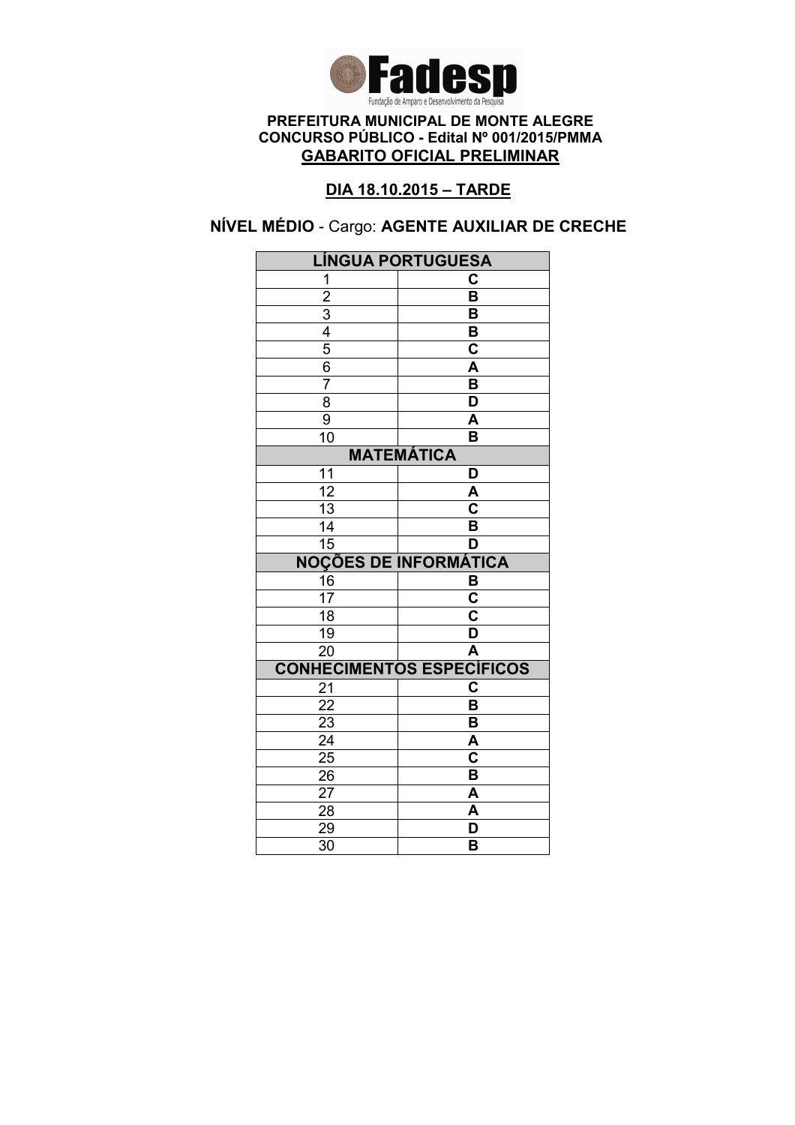

### DIA 18.10.2015 – TARDE

# NÍVEL MÉDIO - Cargo: AGENTE AUXILIAR DE CRECHE

| <b>LÍNGUA PORTUGUESA</b> |                                  |  |
|--------------------------|----------------------------------|--|
| 1                        | C                                |  |
| $\overline{2}$           | $\overline{\mathsf{B}}$          |  |
|                          | B                                |  |
| $\frac{3}{4}$            | B                                |  |
|                          | $\overline{\mathbf{c}}$          |  |
| 6                        | A                                |  |
| 7                        | B                                |  |
| $\overline{8}$           | $\overline{\mathsf{D}}$          |  |
| 9                        | $\overline{\mathsf{A}}$          |  |
| 10                       | B                                |  |
| <b>MATEMÁTICA</b>        |                                  |  |
| 11                       | D                                |  |
| $\overline{12}$          | A                                |  |
| $\overline{13}$          | $\overline{\mathsf{c}}$          |  |
| 14                       | $\overline{\mathsf{B}}$          |  |
| $\overline{15}$          | D                                |  |
|                          | <b>NOÇÕES DE INFORMÁTICA</b>     |  |
| 16                       | B                                |  |
| 17                       | $\overline{\mathsf{c}}$          |  |
| $\overline{18}$          | $\overline{\mathsf{c}}$          |  |
| 19                       | $\overline{\mathsf{D}}$          |  |
| $\overline{20}$          | $\overline{\mathsf{A}}$          |  |
|                          | <b>CONHECIMENTOS ESPECÍFICOS</b> |  |
| 21                       | $\overline{\mathbf{C}}$          |  |
| 22                       | B                                |  |
|                          |                                  |  |
| 23                       | $\overline{\mathsf{B}}$          |  |
| $\overline{24}$          | $\overline{\mathsf{A}}$          |  |
| 25                       | $\overline{\mathbf{c}}$          |  |
| 26                       | B                                |  |
| 27                       | A                                |  |
| 28                       | A                                |  |
| 29<br>$\overline{30}$    | D<br>B                           |  |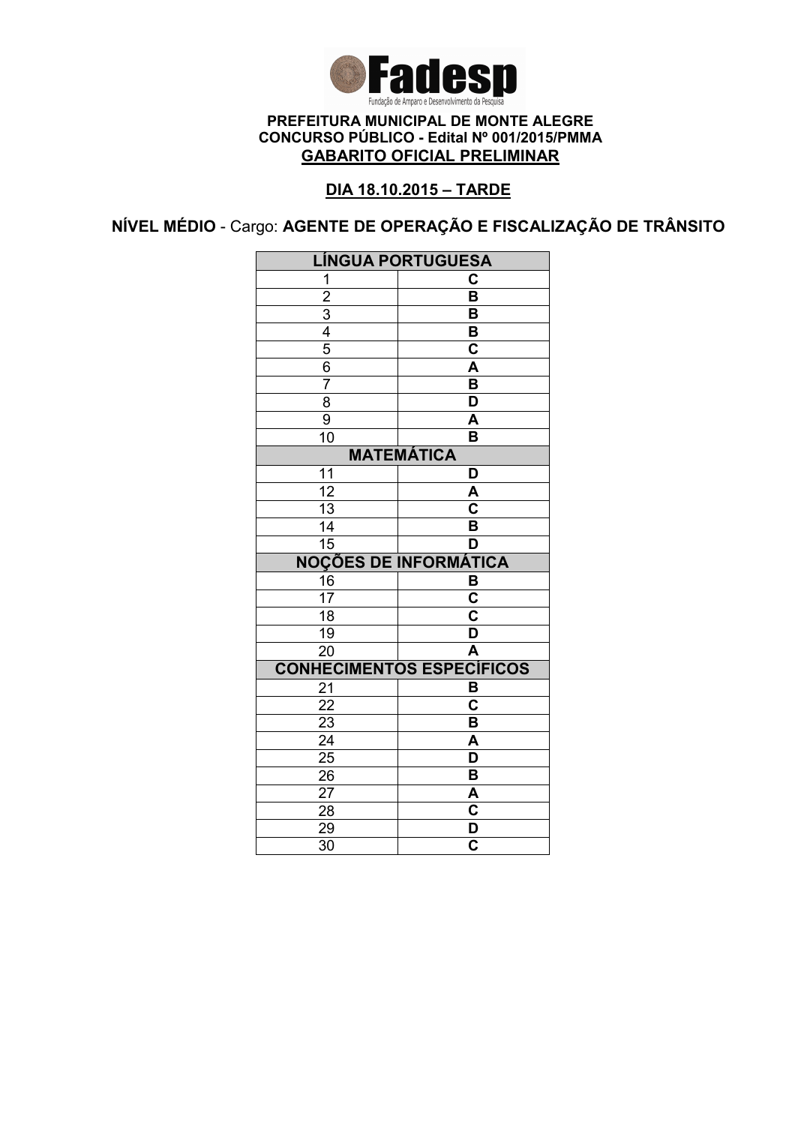

### DIA 18.10.2015 – TARDE

NÍVEL MÉDIO - Cargo: AGENTE DE OPERAÇÃO E FISCALIZAÇÃO DE TRÂNSITO

| <b>LÍNGUA PORTUGUESA</b>     |                                                    |  |
|------------------------------|----------------------------------------------------|--|
| 1                            | C                                                  |  |
|                              | $\overline{\mathsf{B}}$                            |  |
| $\frac{2}{3}$                | B                                                  |  |
|                              | B                                                  |  |
| 5                            | C                                                  |  |
| $\overline{6}$               | A                                                  |  |
| $\overline{7}$               | $\overline{\mathsf{B}}$                            |  |
| $\overline{8}$               | $\overline{\mathsf{D}}$                            |  |
| $\overline{9}$               | A                                                  |  |
| $\overline{10}$              | $\overline{\mathsf{B}}$                            |  |
| <b>MATEMÁTICA</b>            |                                                    |  |
| 11                           | D                                                  |  |
| $\overline{12}$              | A                                                  |  |
| $\overline{13}$              | $\overline{\mathbf{c}}$                            |  |
| 14                           | B                                                  |  |
| $\overline{15}$              | D                                                  |  |
| <b>NOÇÕES DE INFORMÁTICA</b> |                                                    |  |
| 16                           | B                                                  |  |
| 17                           | $\overline{\textbf{c}}$                            |  |
| 18                           | C                                                  |  |
| 19                           | D                                                  |  |
| $\overline{20}$              | $\overline{\mathsf{A}}$                            |  |
|                              | <b>CONHECIMENTOS ESPECÍFICOS</b>                   |  |
|                              |                                                    |  |
| 21                           | B                                                  |  |
| $\overline{22}$              | C                                                  |  |
| 23                           | B                                                  |  |
| $\overline{24}$              | $\overline{\mathsf{A}}$                            |  |
| $\overline{25}$              | $\overline{\mathsf{D}}$                            |  |
| 26                           | В                                                  |  |
| 27                           | A                                                  |  |
| 28                           | $\overline{\mathbf{c}}$                            |  |
| 29<br>$\overline{3}0$        | $\overline{\mathsf{D}}$<br>$\overline{\mathbf{c}}$ |  |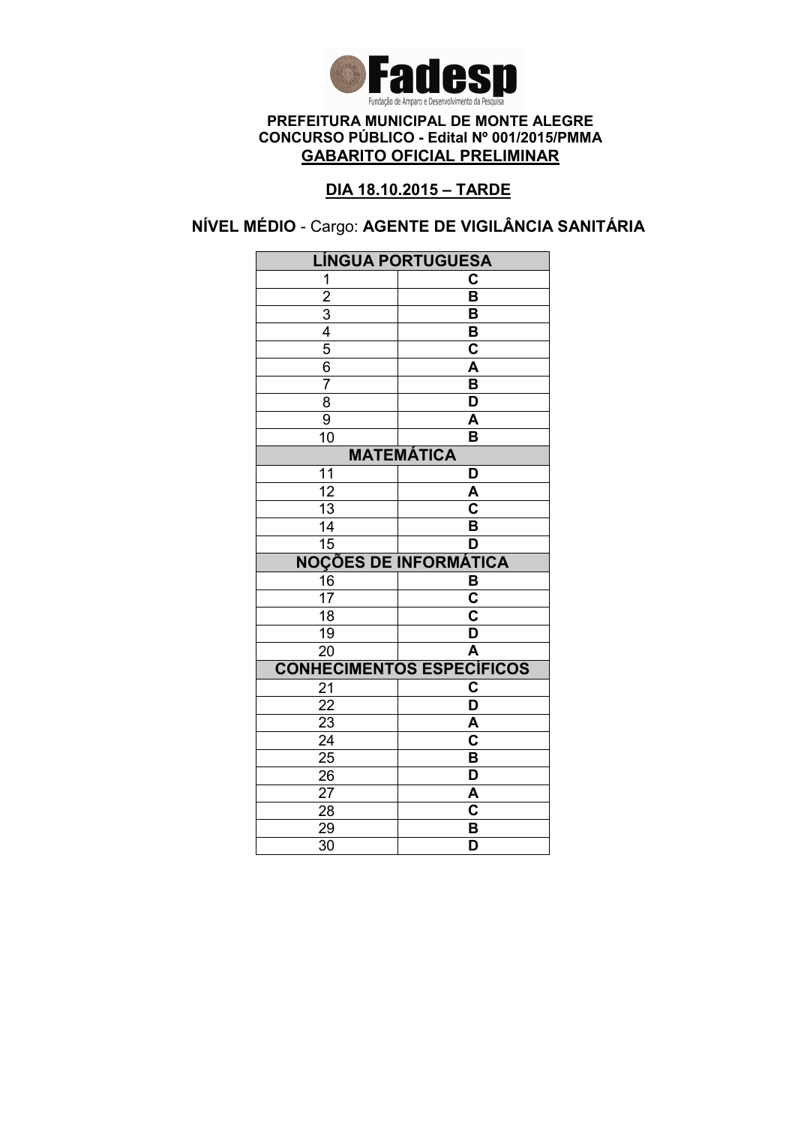

### DIA 18.10.2015 – TARDE

# NÍVEL MÉDIO - Cargo: AGENTE DE VIGILÂNCIA SANITÁRIA

| <b>LÍNGUA PORTUGUESA</b>     |                                    |
|------------------------------|------------------------------------|
| 1                            | C                                  |
| $\overline{2}$               | $\overline{\mathsf{B}}$            |
|                              | B                                  |
| $\frac{3}{4}$                | $\overline{\mathbf{B}}$            |
|                              | $\overline{\mathbf{c}}$            |
| $\frac{6}{7}$                | A                                  |
|                              | $\overline{\mathsf{B}}$            |
| $\overline{8}$               | $\overline{\mathsf{D}}$            |
| 9                            | A                                  |
| $\overline{10}$              | $\overline{\mathsf{B}}$            |
| <b>MATEMÁTICA</b>            |                                    |
| 11                           | D                                  |
| $\overline{12}$              | A                                  |
| $\overline{13}$              | $\overline{\overline{\textbf{c}}}$ |
| $\overline{14}$              | $\overline{\mathsf{B}}$            |
| $\overline{15}$              | D                                  |
| <b>NOÇÕES DE INFORMÁTICA</b> |                                    |
| $\frac{16}{17}$              | B                                  |
|                              | $\overline{\mathsf{c}}$            |
| $\overline{18}$              | $\overline{\textbf{c}}$            |
| $\overline{19}$              | $\overline{\mathsf{D}}$            |
| $\overline{20}$              | Ā                                  |
|                              | <b>CONHECIMENTOS ESPECÍFICOS</b>   |
| 21                           | C                                  |
| $\overline{22}$              | $\overline{\mathsf{D}}$            |
| $\frac{2}{3}$                | A                                  |
| $\overline{24}$              | $\overline{\textbf{c}}$            |
|                              |                                    |
| $\overline{25}$              | B                                  |
| 26                           | $\overline{\mathsf{D}}$            |
| 27                           | A                                  |
| 28                           | $\overline{\mathbf{c}}$            |
| 29<br>$\overline{30}$        | B<br>$\overline{\mathsf{D}}$       |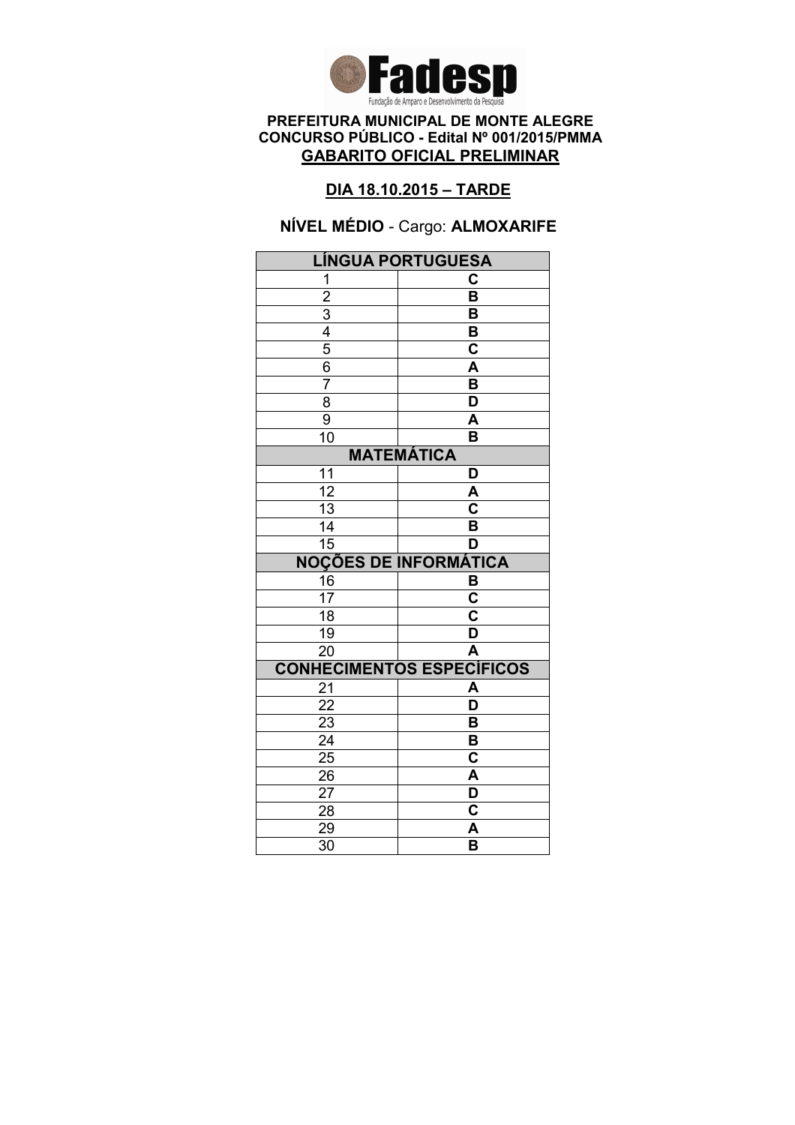

### DIA 18.10.2015 – TARDE

# NÍVEL MÉDIO - Cargo: ALMOXARIFE

| <b>LÍNGUA PORTUGUESA</b>     |                                  |  |
|------------------------------|----------------------------------|--|
| 1                            | С                                |  |
| $\overline{2}$               | $\overline{\mathsf{B}}$          |  |
|                              | B                                |  |
| $\frac{3}{4}$                | B                                |  |
| $\overline{5}$               | $\overline{\mathbf{c}}$          |  |
| $\overline{6}$               | A                                |  |
| 7                            | B                                |  |
| $\overline{8}$               | $\overline{\mathsf{D}}$          |  |
| $\overline{9}$               | A                                |  |
| 10                           | B                                |  |
| <b>MATEMÁTICA</b>            |                                  |  |
| 11                           | D                                |  |
| $\overline{12}$              | A                                |  |
| $\overline{13}$              | $\overline{\mathbf{c}}$          |  |
| 14                           | B                                |  |
| $\overline{15}$              | D                                |  |
| <b>NOÇÕES DE INFORMÁTICA</b> |                                  |  |
| 16                           | B                                |  |
| $\overline{17}$              | C                                |  |
| $\overline{18}$              | $\overline{\mathbf{c}}$          |  |
| 19                           | $\overline{\mathsf{D}}$          |  |
| $\overline{20}$              | A                                |  |
|                              | <b>CONHECIMENTOS ESPECÍFICOS</b> |  |
| 21                           | A                                |  |
| 22                           | D                                |  |
| 23                           | B                                |  |
| $\overline{24}$              | B                                |  |
| $\overline{25}$              | C                                |  |
| 26                           | A                                |  |
| 27                           | D                                |  |
|                              |                                  |  |
| 28                           | C                                |  |
| 29<br>$\overline{30}$        | A<br>$\overline{\mathsf{B}}$     |  |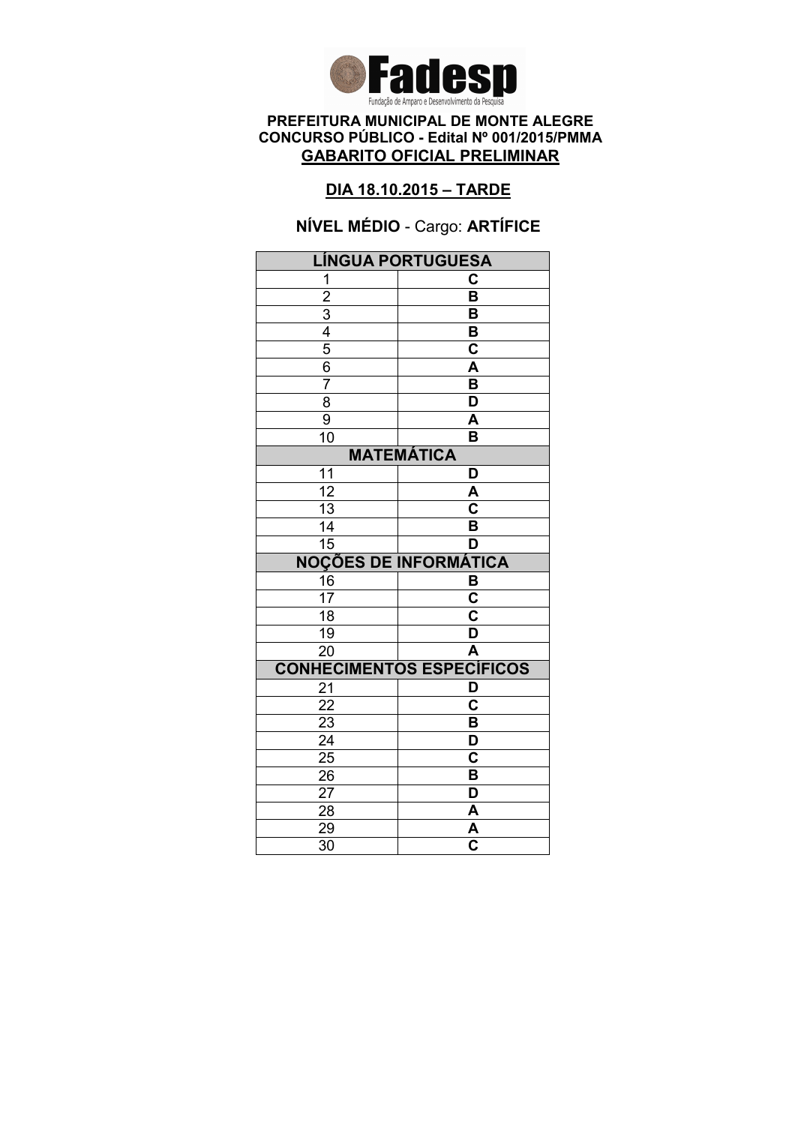

### DIA 18.10.2015 – TARDE

# NÍVEL MÉDIO - Cargo: ARTÍFICE

| <b>LÍNGUA PORTUGUESA</b>                                              |                                    |  |
|-----------------------------------------------------------------------|------------------------------------|--|
| 1                                                                     | C                                  |  |
|                                                                       | $\overline{\mathsf{B}}$            |  |
|                                                                       | B                                  |  |
|                                                                       | B                                  |  |
|                                                                       | $\overline{\mathbf{c}}$            |  |
| $\frac{2}{3}$ $\frac{3}{4}$ $\frac{4}{5}$ $\frac{6}{6}$ $\frac{7}{7}$ | $\overline{\mathsf{A}}$            |  |
|                                                                       | $\overline{\mathsf{B}}$            |  |
| 8                                                                     | $\overline{\mathsf{D}}$            |  |
| $\overline{9}$                                                        | A                                  |  |
| 10                                                                    | B                                  |  |
| <b>MATEMÁTICA</b>                                                     |                                    |  |
| 11                                                                    | D                                  |  |
| $\overline{12}$                                                       | A                                  |  |
| $\overline{13}$                                                       | $\overline{\overline{\textbf{c}}}$ |  |
| 14                                                                    | B                                  |  |
| 15                                                                    | D                                  |  |
| <b>NOÇÕES DE INFORMÁTICA</b>                                          |                                    |  |
| $\frac{16}{17}$                                                       | $rac{B}{C}$                        |  |
|                                                                       |                                    |  |
| $\overline{18}$                                                       | $\overline{\mathbf{c}}$            |  |
| $\overline{19}$                                                       | D                                  |  |
| $\overline{20}$                                                       | $\overline{\mathsf{A}}$            |  |
|                                                                       | <b>CONHECIMENTOS ESPECÍFICOS</b>   |  |
| 21                                                                    | D                                  |  |
| $\overline{22}$                                                       | $\overline{\mathsf{c}}$            |  |
| 23                                                                    | B                                  |  |
| $\overline{24}$                                                       | $\overline{\mathsf{D}}$            |  |
| $\overline{25}$                                                       | $\overline{\textbf{c}}$            |  |
| 26                                                                    | B                                  |  |
|                                                                       |                                    |  |
| 27                                                                    | D                                  |  |
| 28                                                                    | A                                  |  |
| 29<br>$\overline{30}$                                                 | A<br>$\overline{\mathbf{c}}$       |  |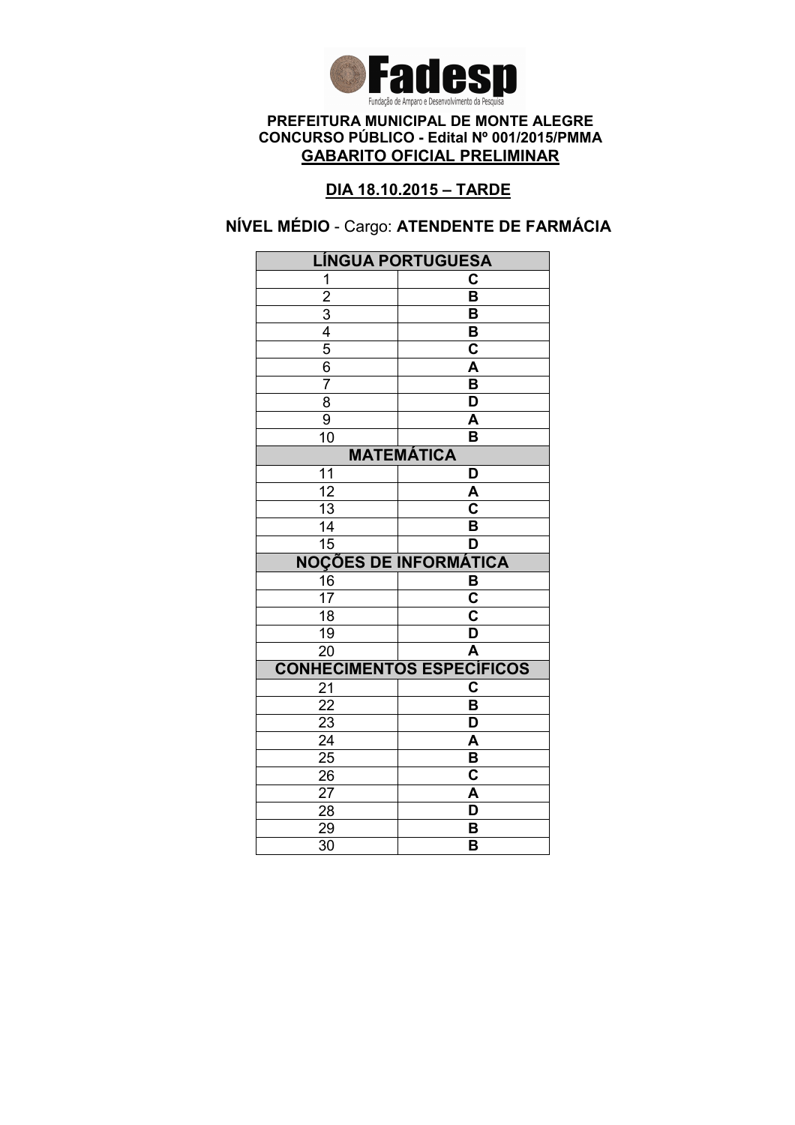

### DIA 18.10.2015 – TARDE

# NÍVEL MÉDIO - Cargo: ATENDENTE DE FARMÁCIA

| <b>LÍNGUA PORTUGUESA</b>                                |                                  |  |
|---------------------------------------------------------|----------------------------------|--|
| 1                                                       | C                                |  |
|                                                         | $\overline{\mathsf{B}}$          |  |
|                                                         | B                                |  |
|                                                         | B                                |  |
|                                                         | $\overline{\textbf{c}}$          |  |
| $\frac{2}{3}$ $\frac{4}{4}$ $\frac{5}{6}$ $\frac{6}{7}$ | $\overline{\mathsf{A}}$          |  |
|                                                         | $\overline{\mathsf{B}}$          |  |
| $\overline{8}$                                          | $\overline{\mathsf{D}}$          |  |
| $\overline{9}$                                          | A                                |  |
| 10                                                      | B                                |  |
| <b>MATEMÁTICA</b>                                       |                                  |  |
| 11                                                      | D                                |  |
| $\overline{12}$                                         | A                                |  |
| $\overline{13}$                                         | $\overline{\mathbf{c}}$          |  |
| 14                                                      | B                                |  |
| $\overline{15}$                                         | D                                |  |
| <b>NOÇÕES DE INFORMÁTICA</b>                            |                                  |  |
| 16                                                      | $\frac{B}{C}$                    |  |
| $\overline{17}$                                         |                                  |  |
| $\overline{18}$                                         | $\overline{\textbf{c}}$          |  |
| $\overline{19}$                                         | $\overline{\mathsf{D}}$          |  |
| $\overline{20}$                                         | Ā                                |  |
|                                                         | <b>CONHECIMENTOS ESPECÍFICOS</b> |  |
| 21                                                      | $\overline{\mathbf{c}}$          |  |
| 22                                                      | $\overline{\mathsf{B}}$          |  |
| 23                                                      | D                                |  |
| $\overline{24}$                                         | A                                |  |
| $\overline{25}$                                         | $\overline{\mathsf{B}}$          |  |
| 26                                                      | $\overline{\mathbf{c}}$          |  |
| 27                                                      |                                  |  |
|                                                         | A                                |  |
| 28                                                      | D                                |  |
| 29<br>$\overline{30}$                                   | B<br>B                           |  |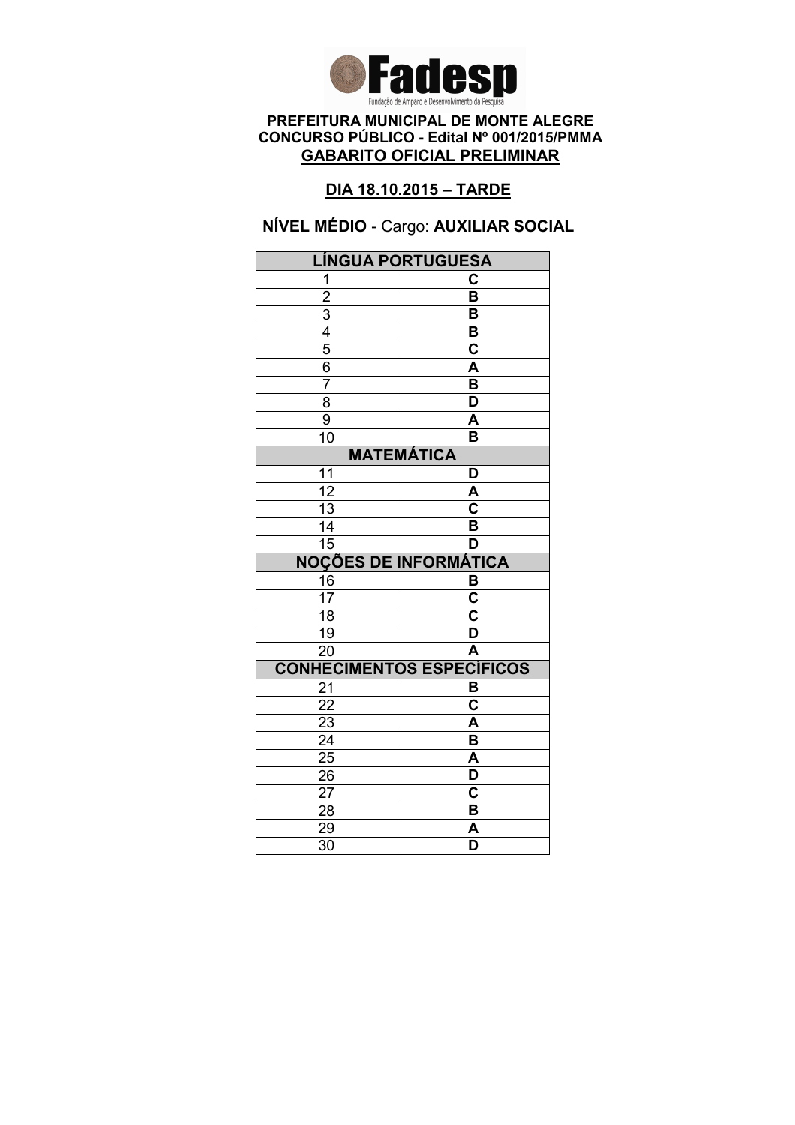

### DIA 18.10.2015 – TARDE

NÍVEL MÉDIO - Cargo: AUXILIAR SOCIAL

| <b>LÍNGUA PORTUGUESA</b>     |                                  |  |
|------------------------------|----------------------------------|--|
| 1                            | C                                |  |
| $\overline{2}$               | $\overline{\mathsf{B}}$          |  |
|                              | B                                |  |
| $\frac{3}{4}$                | B                                |  |
|                              | $\overline{\mathsf{c}}$          |  |
| 6                            | A                                |  |
| $\overline{7}$               | B                                |  |
| $\overline{8}$               | $\overline{\mathsf{D}}$          |  |
| 9                            | A                                |  |
| 10                           | B                                |  |
| <b>MATEMÁTICA</b>            |                                  |  |
| 11                           | D                                |  |
| $\overline{12}$              | A                                |  |
| $\overline{13}$              | $\overline{\mathbf{c}}$          |  |
| 14                           | B                                |  |
| 15                           | D                                |  |
| <b>NOÇÕES DE INFORMÁTICA</b> |                                  |  |
| 16                           | B                                |  |
| 17                           | $\overline{\mathbf{c}}$          |  |
| $\overline{18}$              | $\overline{\textbf{c}}$          |  |
| 19                           | $\overline{\mathsf{D}}$          |  |
| $\overline{20}$              | $\overline{\mathsf{A}}$          |  |
|                              | <b>CONHECIMENTOS ESPECÍFICOS</b> |  |
| 21                           | B                                |  |
| 22                           | C                                |  |
|                              |                                  |  |
| 23                           | A                                |  |
| $\overline{24}$              | $\overline{\mathsf{B}}$          |  |
| $\overline{25}$              | A                                |  |
| 26                           | D                                |  |
| 27                           | $\mathbf C$                      |  |
| 28                           | B                                |  |
| 29<br>$\overline{30}$        | A<br>$\overline{\mathsf{D}}$     |  |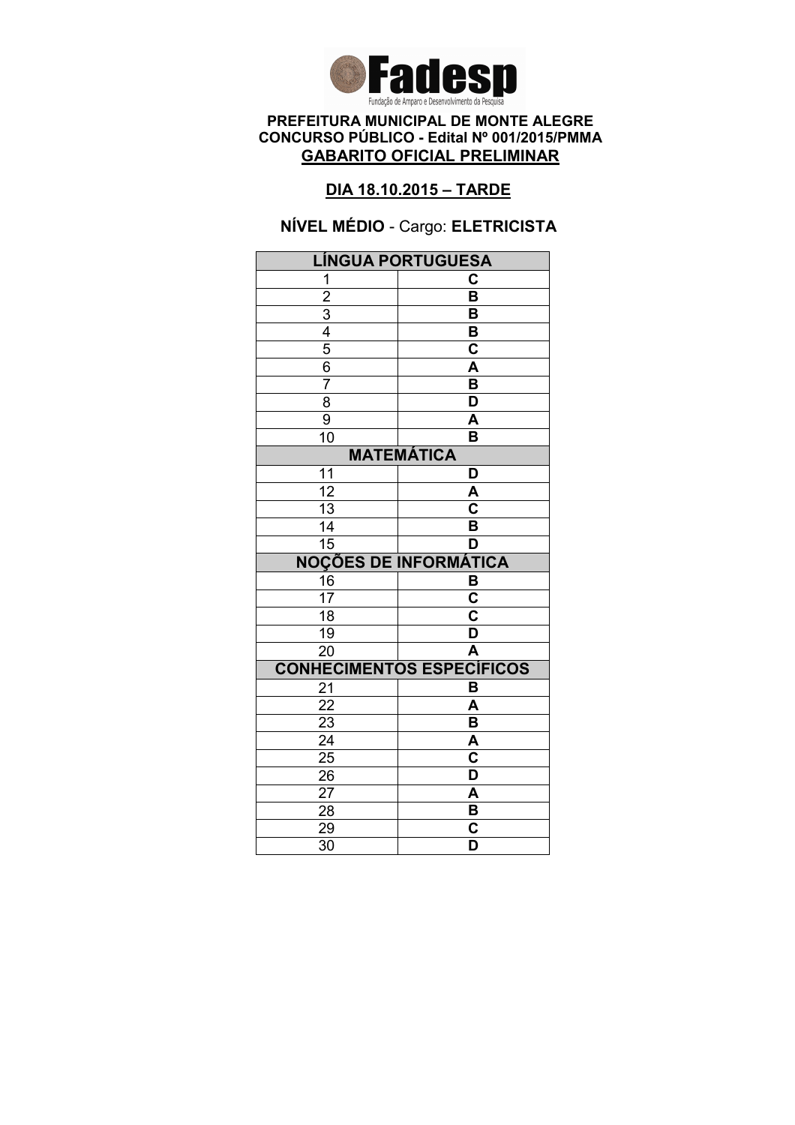

### DIA 18.10.2015 – TARDE

# NÍVEL MÉDIO - Cargo: ELETRICISTA

| LÍNGUA PORTUGUESA                                       |                                                    |  |
|---------------------------------------------------------|----------------------------------------------------|--|
| 1                                                       | C                                                  |  |
|                                                         | $\overline{\mathsf{B}}$                            |  |
|                                                         | B                                                  |  |
|                                                         | B                                                  |  |
| $\frac{2}{3}$ $\frac{4}{4}$ $\frac{5}{6}$ $\frac{6}{7}$ | $\overline{\mathbf{c}}$                            |  |
|                                                         | A                                                  |  |
|                                                         | B                                                  |  |
| $\overline{8}$                                          | $\overline{\mathsf{D}}$                            |  |
| $\overline{9}$                                          | A                                                  |  |
| 10                                                      | B                                                  |  |
| <b>MATEMÁTICA</b>                                       |                                                    |  |
| 11                                                      | D                                                  |  |
| $\overline{12}$                                         | A                                                  |  |
| $\overline{13}$                                         | $\overline{\mathbf{c}}$                            |  |
| 14                                                      | B                                                  |  |
| 15                                                      | D                                                  |  |
| <b>NOÇÕES DE INFORMÁTICA</b>                            |                                                    |  |
| $\frac{16}{17}$                                         | В                                                  |  |
|                                                         | $\overline{\mathbf{c}}$                            |  |
| $\overline{18}$                                         | $\overline{\textbf{c}}$                            |  |
| 19                                                      | D                                                  |  |
|                                                         |                                                    |  |
| $\overline{20}$                                         | $\overline{\mathsf{A}}$                            |  |
|                                                         | <b>CONHECIMENTOS ESPECÍFICOS</b>                   |  |
| 21                                                      | B                                                  |  |
| $\overline{22}$                                         | A                                                  |  |
| 23                                                      | B                                                  |  |
| $\overline{24}$                                         | A                                                  |  |
| $\overline{25}$                                         | $\overline{\textbf{c}}$                            |  |
| 26                                                      | D                                                  |  |
| 27                                                      | A                                                  |  |
| 28                                                      | B                                                  |  |
| 29<br>$\overline{30}$                                   | $\overline{\mathbf{c}}$<br>$\overline{\mathsf{D}}$ |  |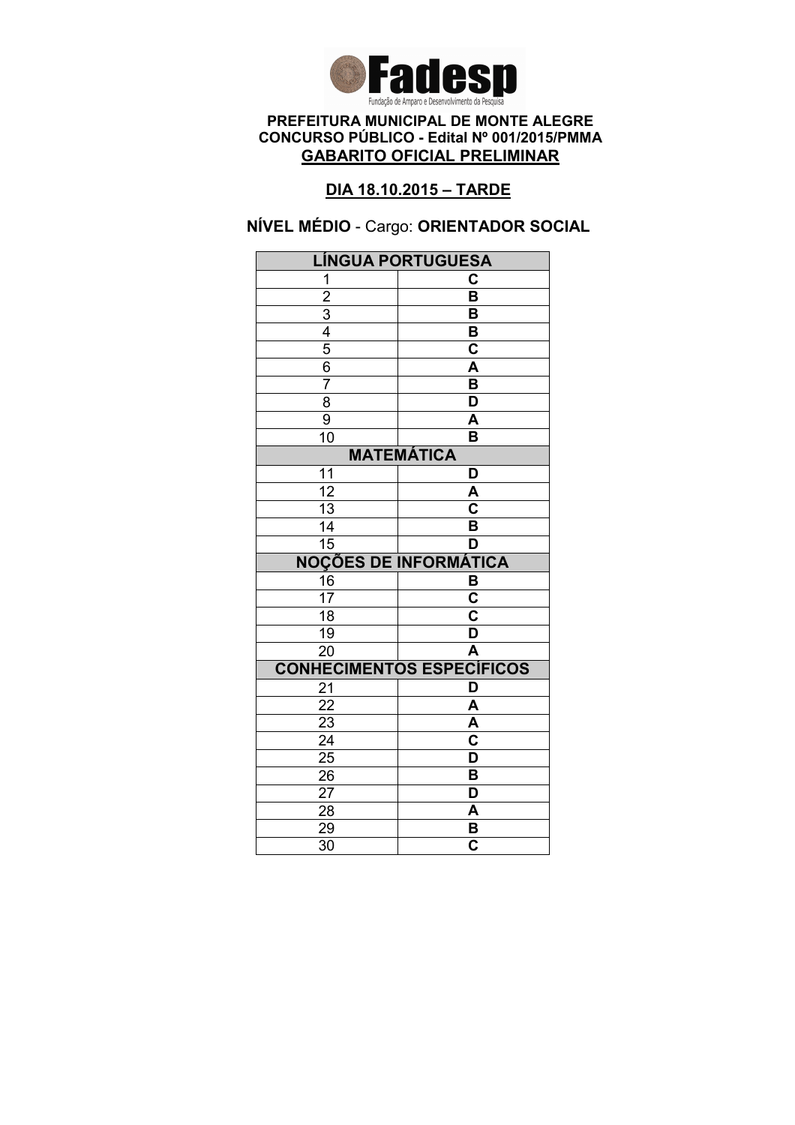

### DIA 18.10.2015 – TARDE

NÍVEL MÉDIO - Cargo: ORIENTADOR SOCIAL

| <b>LÍNGUA PORTUGUESA</b>     |                                  |  |
|------------------------------|----------------------------------|--|
| 1                            | C                                |  |
| $\overline{2}$               | $\overline{\mathsf{B}}$          |  |
|                              | B                                |  |
| $\frac{3}{4}$                | B                                |  |
|                              | $\overline{\mathsf{c}}$          |  |
| 6                            | A                                |  |
| 7                            | B                                |  |
| $\overline{8}$               | $\overline{\mathsf{D}}$          |  |
| 9                            | A                                |  |
| 10                           | B                                |  |
| <b>MATEMÁTICA</b>            |                                  |  |
| 11                           | D                                |  |
| $\overline{12}$              | A                                |  |
| 13                           | $\overline{\textbf{c}}$          |  |
| 14                           | B                                |  |
| $\overline{15}$              | D                                |  |
| <b>NOÇÕES DE INFORMÁTICA</b> |                                  |  |
| 16                           | B                                |  |
| 17                           | $\overline{\mathbf{c}}$          |  |
| $\overline{18}$              | $\overline{\textbf{c}}$          |  |
| 19                           | $\overline{\mathsf{D}}$          |  |
| $\overline{20}$              | A                                |  |
|                              | <b>CONHECIMENTOS ESPECÍFICOS</b> |  |
| 21                           | D                                |  |
| 22                           | A                                |  |
| 23                           |                                  |  |
|                              | A                                |  |
| $\overline{24}$              | $\overline{\mathbf{c}}$          |  |
| $\overline{25}$              | D                                |  |
| 26                           | B                                |  |
| 27                           | D                                |  |
| 28                           | A                                |  |
| 29<br>$\overline{30}$        | B<br>$\overline{\mathbf{c}}$     |  |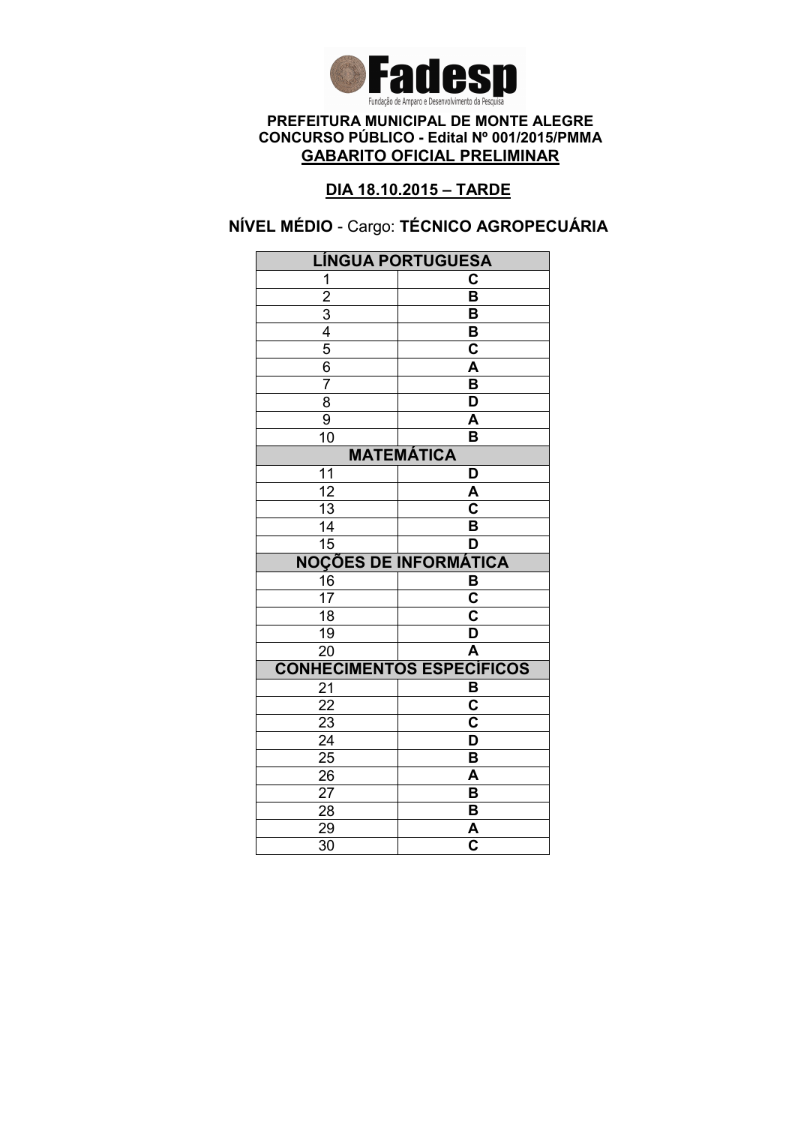

### DIA 18.10.2015 – TARDE

# NÍVEL MÉDIO - Cargo: TÉCNICO AGROPECUÁRIA

|                                           | <b>LÍNGUA PORTUGUESA</b>         |  |
|-------------------------------------------|----------------------------------|--|
| 1                                         | С                                |  |
|                                           | $\overline{\mathsf{B}}$          |  |
|                                           | B                                |  |
|                                           | B                                |  |
| $\frac{2}{3}$ $\frac{4}{5}$ $\frac{5}{6}$ | $\mathbf C$                      |  |
|                                           | A                                |  |
| 7                                         | $\overline{\mathsf{B}}$          |  |
| 8                                         | $\overline{\mathsf{D}}$          |  |
| 9                                         | A                                |  |
| $\overline{10}$                           | B                                |  |
| <b>MATEMÁTICA</b>                         |                                  |  |
| 11                                        | D                                |  |
| $\overline{12}$                           | A                                |  |
| 13                                        | C                                |  |
| 14                                        | B                                |  |
| 15                                        | D                                |  |
|                                           | <b>NOÇÕES DE INFORMÁTICA</b>     |  |
| 16                                        | В                                |  |
| $\overline{17}$                           | $\overline{\mathbf{c}}$          |  |
|                                           |                                  |  |
| $\overline{18}$                           | $\overline{\mathsf{c}}$          |  |
| 19                                        | $\overline{\mathsf{D}}$          |  |
| $\overline{20}$                           | $\overline{\mathsf{A}}$          |  |
|                                           | <b>CONHECIMENTOS ESPECÍFICOS</b> |  |
| 21                                        | B                                |  |
| 22                                        | C                                |  |
| $\overline{23}$                           | $\overline{\text{c}}$            |  |
| $\overline{24}$                           | $\overline{\mathsf{D}}$          |  |
| $\overline{25}$                           | $\overline{\mathsf{B}}$          |  |
| 26                                        | A                                |  |
| 27                                        | B                                |  |
| 28                                        | B                                |  |
| 29<br>$\overline{30}$                     | A<br>$\overline{\mathbf{c}}$     |  |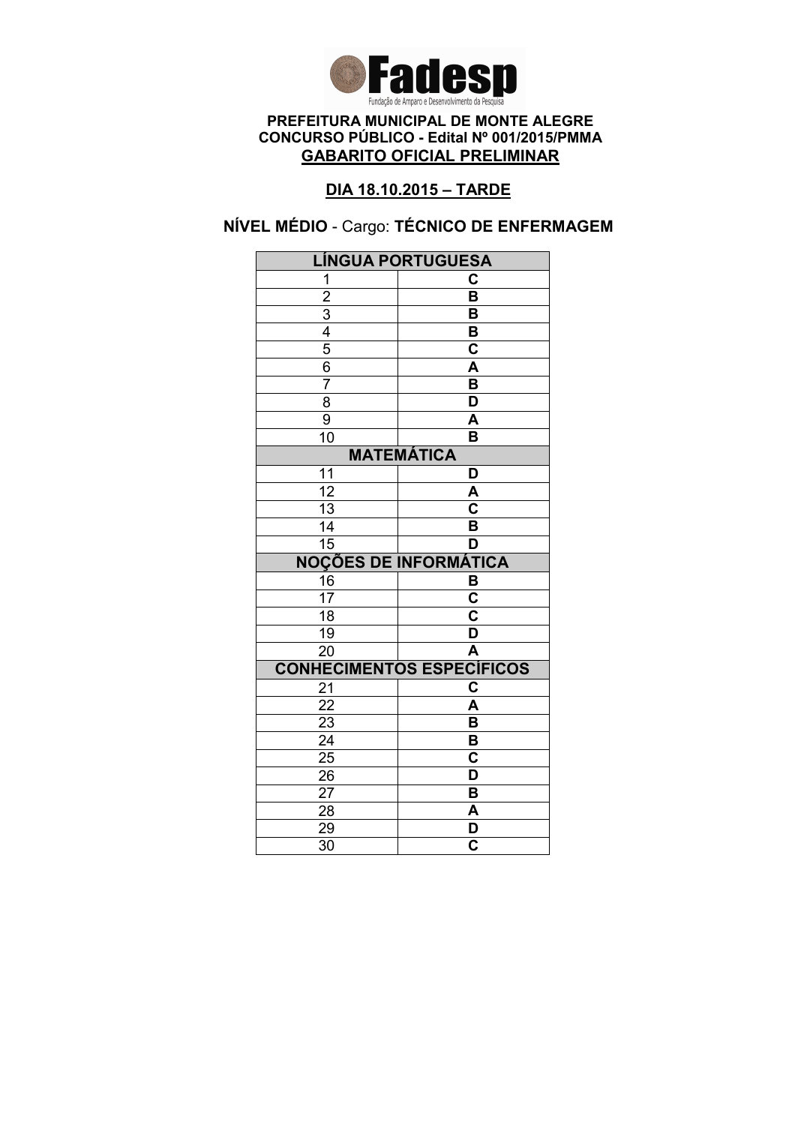

### DIA 18.10.2015 – TARDE

# NÍVEL MÉDIO - Cargo: TÉCNICO DE ENFERMAGEM

| LÍNGUA PORTUGUESA                         |                                    |  |
|-------------------------------------------|------------------------------------|--|
| 1                                         | C                                  |  |
|                                           | $\overline{\mathsf{B}}$            |  |
|                                           | B                                  |  |
|                                           | B                                  |  |
|                                           | $\overline{\textbf{c}}$            |  |
| $\frac{2}{3}$ $\frac{4}{5}$ $\frac{6}{7}$ | $\overline{\mathsf{A}}$            |  |
|                                           | $\overline{\mathsf{B}}$            |  |
| $\overline{8}$                            | $\overline{\mathsf{D}}$            |  |
| $\overline{9}$                            | A                                  |  |
| $\overline{1}0$                           | B                                  |  |
| <b>MATEMÁTICA</b>                         |                                    |  |
| 11                                        | D                                  |  |
| $\overline{12}$                           | A                                  |  |
| $\overline{13}$                           | $\overline{\overline{\mathsf{c}}}$ |  |
| 14                                        | B                                  |  |
| $\overline{15}$                           | D                                  |  |
| <b>NOÇÕES DE INFORMÁTICA</b>              |                                    |  |
| 16                                        | $\frac{B}{C}$                      |  |
| $\overline{17}$                           |                                    |  |
| $\overline{18}$                           | $\overline{\mathbf{c}}$            |  |
| $\overline{19}$                           | $\overline{\mathsf{D}}$            |  |
| $\overline{20}$                           | Ā                                  |  |
|                                           | <b>CONHECIMENTOS ESPECÍFICOS</b>   |  |
| 21                                        | $\overline{\mathbf{c}}$            |  |
| $\overline{22}$                           | A                                  |  |
| 23                                        | B                                  |  |
| $\overline{24}$                           | $\overline{\mathsf{B}}$            |  |
| $\overline{25}$                           | $\overline{\mathbf{c}}$            |  |
| 26                                        | D                                  |  |
| 27                                        | B                                  |  |
|                                           |                                    |  |
| 28                                        | A                                  |  |
| 29<br>$\overline{30}$                     | D<br>$\overline{\mathbf{c}}$       |  |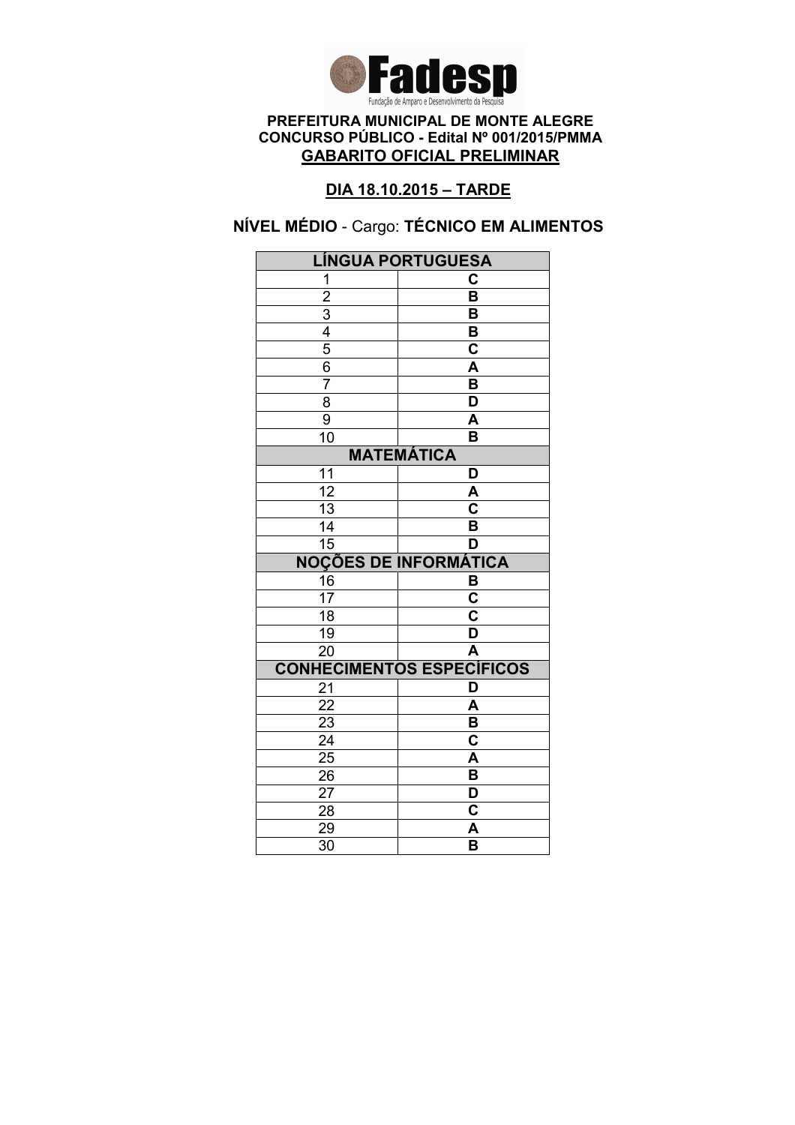

### DIA 18.10.2015 – TARDE

# NÍVEL MÉDIO - Cargo: TÉCNICO EM ALIMENTOS

| LÍNGUA PORTUGUESA                                       |                                  |  |
|---------------------------------------------------------|----------------------------------|--|
| 1                                                       | C                                |  |
|                                                         | $\overline{\mathsf{B}}$          |  |
|                                                         | B                                |  |
|                                                         | B                                |  |
|                                                         | $\overline{\textbf{c}}$          |  |
| $\frac{2}{3}$ $\frac{4}{4}$ $\frac{5}{6}$ $\frac{6}{7}$ | $\overline{\mathsf{A}}$          |  |
|                                                         | $\overline{\mathsf{B}}$          |  |
| $\overline{8}$                                          | $\overline{\mathsf{D}}$          |  |
| $\overline{9}$                                          | A                                |  |
| $\overline{1}0$                                         | B                                |  |
| <b>MATEMÁTICA</b>                                       |                                  |  |
| 11                                                      | D                                |  |
| $\overline{12}$                                         | A                                |  |
| $\overline{13}$                                         | $\overline{\mathbf{c}}$          |  |
| 14                                                      | B                                |  |
| $\overline{15}$                                         | D                                |  |
|                                                         | <b>NOÇÕES DE INFORMÁTICA</b>     |  |
| 16                                                      | $\frac{B}{C}$                    |  |
| $\overline{17}$                                         |                                  |  |
| $\overline{18}$                                         | $\overline{\textbf{c}}$          |  |
| $\overline{19}$                                         | $\overline{\mathsf{D}}$          |  |
| $\overline{20}$                                         | $\overline{\mathsf{A}}$          |  |
|                                                         | <b>CONHECIMENTOS ESPECÍFICOS</b> |  |
| 21                                                      | D                                |  |
| 22                                                      | A                                |  |
| 23                                                      | B                                |  |
| $\overline{24}$                                         | $\overline{\textbf{c}}$          |  |
| $\overline{25}$                                         | A                                |  |
| 26                                                      | B                                |  |
|                                                         |                                  |  |
| 27                                                      | D                                |  |
| 28                                                      | C                                |  |
| 29<br>$\overline{30}$                                   | A<br>$\overline{\mathsf{B}}$     |  |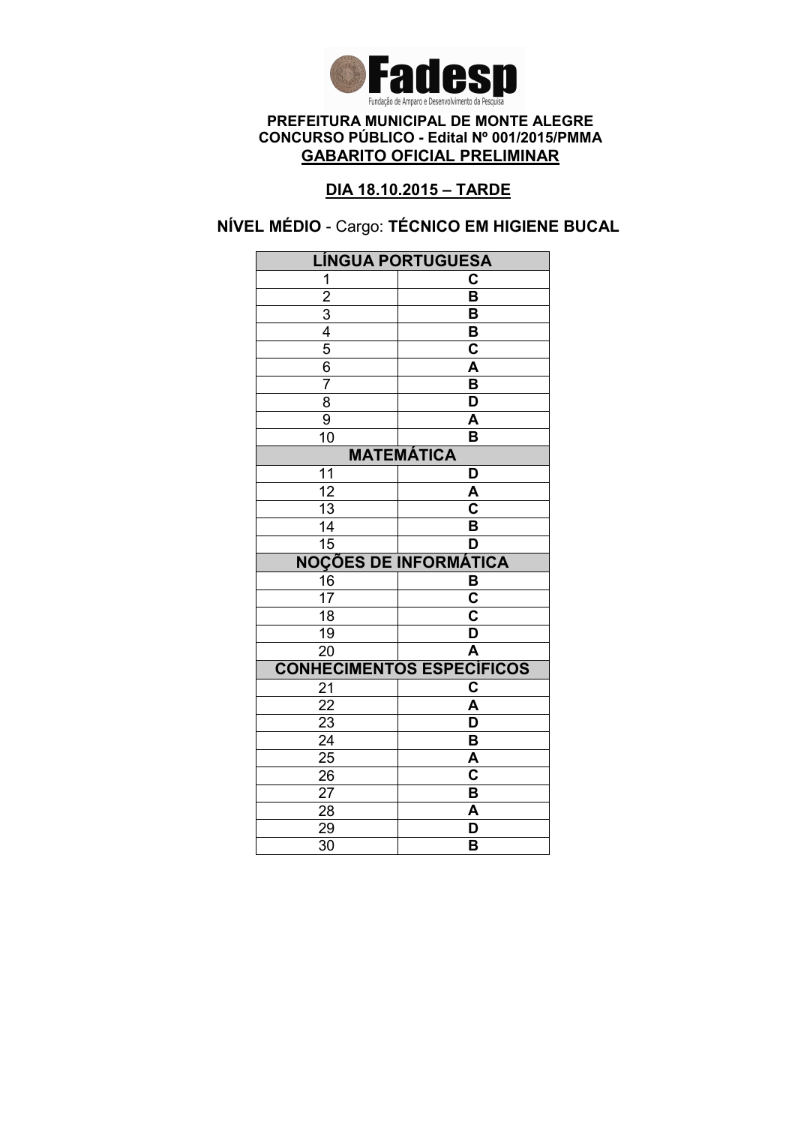

### DIA 18.10.2015 – TARDE

NÍVEL MÉDIO - Cargo: TÉCNICO EM HIGIENE BUCAL

| <b>LÍNGUA PORTUGUESA</b> |                                    |
|--------------------------|------------------------------------|
| 1                        | C                                  |
| $\overline{2}$           | $\overline{\mathsf{B}}$            |
|                          | B                                  |
| $\frac{3}{4}$            | $\overline{\mathbf{B}}$            |
|                          | $\overline{\mathbf{c}}$            |
| $\frac{6}{7}$            | A                                  |
|                          | $\overline{\mathsf{B}}$            |
| $\overline{8}$           | $\overline{\mathsf{D}}$            |
| 9                        | A                                  |
| $\overline{10}$          | $\overline{\mathsf{B}}$            |
|                          | <b>MATEMÁTICA</b>                  |
| 11                       | D                                  |
| $\overline{12}$          | A                                  |
| $\overline{13}$          | $\overline{\overline{\textbf{c}}}$ |
| $\overline{14}$          | $\overline{\mathsf{B}}$            |
| $\overline{15}$          | D                                  |
|                          | <b>NOÇÕES DE INFORMÁTICA</b>       |
| 16                       | B                                  |
| $\overline{17}$          | $\overline{\mathsf{c}}$            |
| $\overline{18}$          | $\overline{\textbf{c}}$            |
| $\overline{19}$          | $\overline{\mathsf{D}}$            |
| $\overline{20}$          | Ā                                  |
|                          | <b>CONHECIMENTOS ESPECÍFICOS</b>   |
| 21                       | C                                  |
| $\overline{22}$          | $\overline{\mathsf{A}}$            |
| 23                       | D                                  |
| $\overline{24}$          | $\overline{\mathsf{B}}$            |
| $\overline{25}$          | Ā                                  |
|                          |                                    |
| 26                       | $\overline{\mathbf{c}}$            |
| 27                       | B                                  |
| 28                       | A                                  |
| 29<br>$\overline{30}$    | D<br>B                             |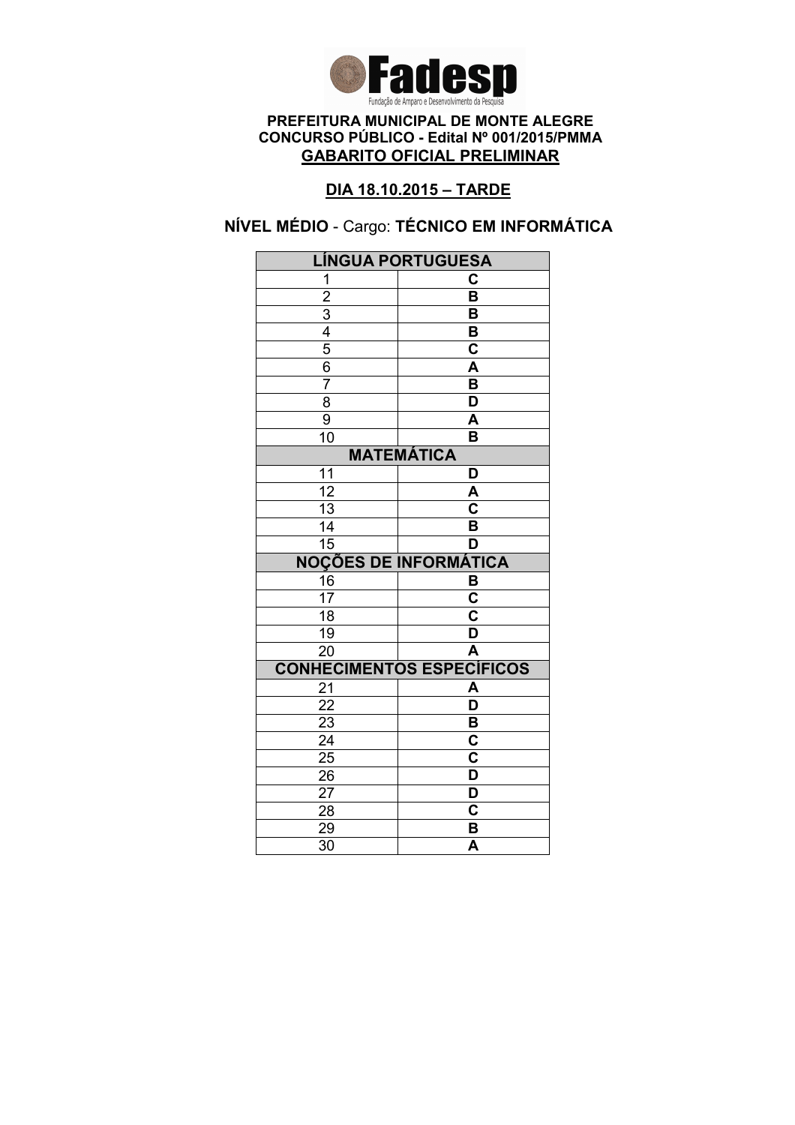

### DIA 18.10.2015 – TARDE

# NÍVEL MÉDIO - Cargo: TÉCNICO EM INFORMÁTICA

| <b>LÍNGUA PORTUGUESA</b>                  |                                  |
|-------------------------------------------|----------------------------------|
| 1                                         | C                                |
|                                           | $\overline{\mathsf{B}}$          |
|                                           | B                                |
|                                           | В                                |
| $\frac{2}{3}$ $\frac{4}{5}$ $\frac{5}{6}$ | $\overline{\mathbf{c}}$          |
|                                           | $\overline{\mathsf{A}}$          |
| $\overline{7}$                            | $\overline{\mathsf{B}}$          |
| 8                                         | $\overline{\mathsf{D}}$          |
| $\overline{9}$                            | A                                |
| 10                                        | B                                |
|                                           | <b>MATEMÁTICA</b>                |
| 11                                        | D                                |
| $\overline{12}$                           | A                                |
| $\overline{13}$                           | $\overline{\mathbf{c}}$          |
| 14                                        | B                                |
| $\overline{15}$                           | D                                |
|                                           | <b>NOÇÕES DE INFORMÁTICA</b>     |
| $\frac{16}{17}$                           | $\frac{B}{C}$                    |
|                                           |                                  |
| $\overline{18}$                           | $\overline{\textbf{c}}$          |
| $\overline{19}$                           | $\overline{\mathsf{D}}$          |
| $\overline{20}$                           | $\overline{\mathsf{A}}$          |
|                                           | <b>CONHECIMENTOS ESPECÍFICOS</b> |
| 21                                        | A                                |
| 22                                        | $\overline{\mathsf{D}}$          |
| 23                                        | B                                |
| $\overline{24}$                           | $\overline{\textbf{c}}$          |
| $2\overline{5}$                           | $\overline{\textbf{c}}$          |
| 26                                        | D                                |
| 27                                        | D                                |
| 28                                        | C                                |
| 29                                        | B                                |
| $\overline{30}$                           | $\overline{\mathsf{A}}$          |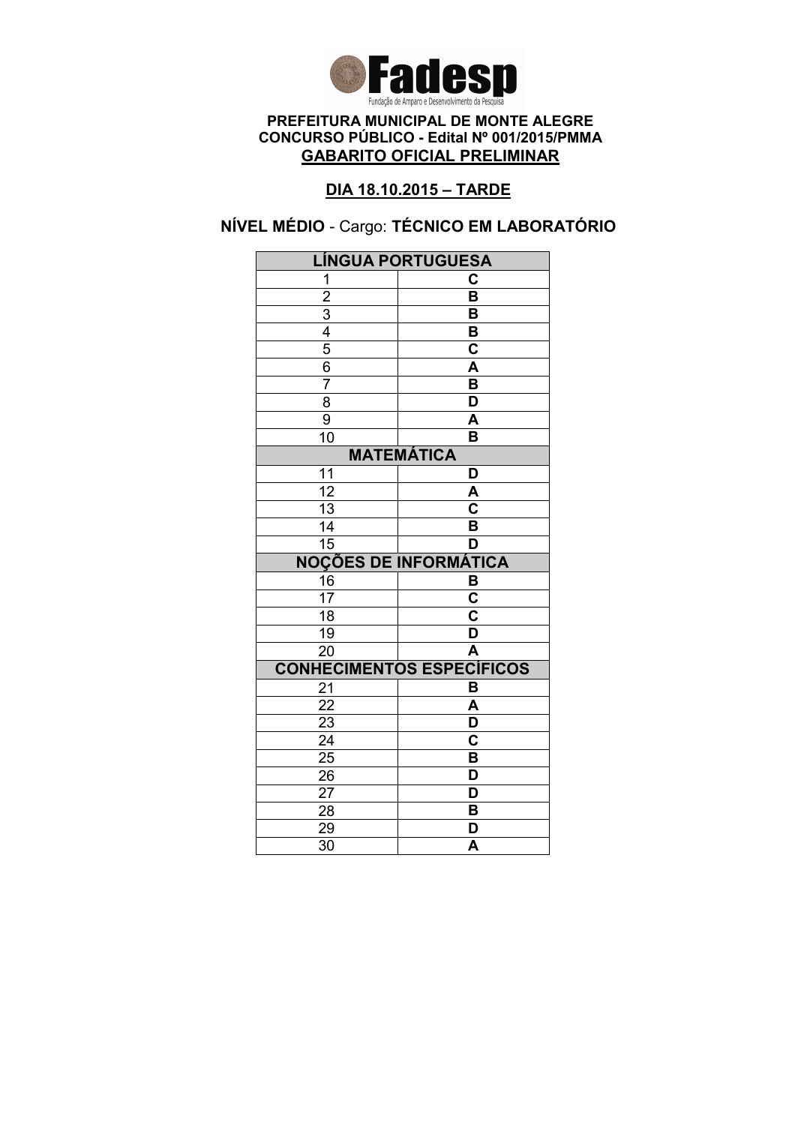

### DIA 18.10.2015 – TARDE

# NÍVEL MÉDIO - Cargo: TÉCNICO EM LABORATÓRIO

| <b>LÍNGUA PORTUGUESA</b> |                                  |  |
|--------------------------|----------------------------------|--|
| 1                        | C                                |  |
|                          | $\overline{\mathsf{B}}$          |  |
| $\frac{2}{3}$            | B                                |  |
|                          | B                                |  |
| $\frac{5}{6}$            | $\mathbf C$                      |  |
|                          | A                                |  |
| $\overline{7}$           | $\overline{\mathsf{B}}$          |  |
| $\overline{8}$           | $\overline{\mathsf{D}}$          |  |
| 9                        | A                                |  |
| $\overline{10}$          | B                                |  |
| <b>MATEMÁTICA</b>        |                                  |  |
| 11                       | D                                |  |
| $\overline{12}$          | A                                |  |
| 13                       | C                                |  |
| 14                       | B                                |  |
| $\overline{15}$          | D                                |  |
|                          | <b>NOÇÕES DE INFORMÁTICA</b>     |  |
| 16                       | B                                |  |
| $\overline{17}$          | $\overline{\textbf{c}}$          |  |
| 18                       | $\overline{\mathsf{c}}$          |  |
| 19                       | $\overline{\mathsf{D}}$          |  |
| $\overline{20}$          | $\overline{\mathsf{A}}$          |  |
|                          | <b>CONHECIMENTOS ESPECÍFICOS</b> |  |
| 21                       | B                                |  |
| 22                       | A                                |  |
| $\overline{23}$          | D                                |  |
| $\overline{24}$          | $\overline{\textbf{c}}$          |  |
| $\overline{25}$          | $\overline{\mathsf{B}}$          |  |
|                          |                                  |  |
| 26                       | D                                |  |
| 27                       | D                                |  |
| 28                       | B                                |  |
| 29<br>$\overline{30}$    | D<br>$\overline{\mathsf{A}}$     |  |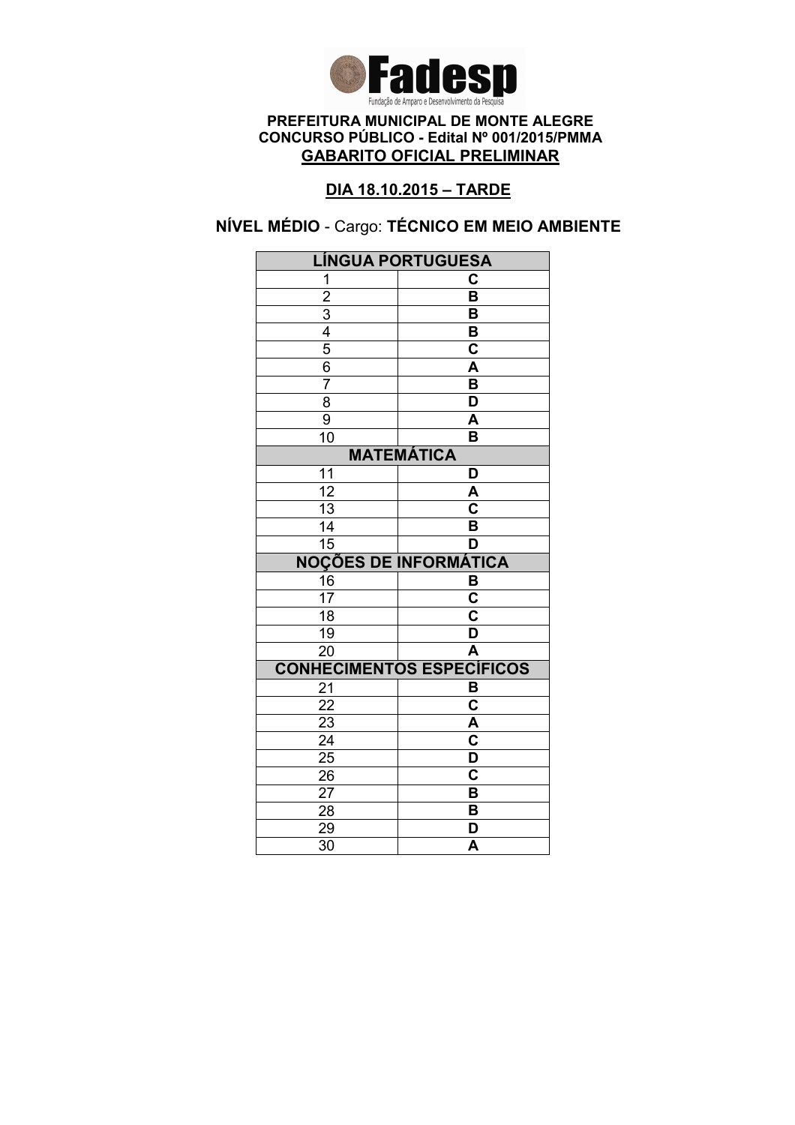

### DIA 18.10.2015 – TARDE

# NÍVEL MÉDIO - Cargo: TÉCNICO EM MEIO AMBIENTE

| LÍNGUA PORTUGUESA                         |                                  |
|-------------------------------------------|----------------------------------|
| 1                                         | C                                |
|                                           | $\overline{\mathsf{B}}$          |
|                                           | B                                |
|                                           | В                                |
| $\frac{2}{3}$ $\frac{4}{5}$ $\frac{6}{3}$ | $\overline{\mathbf{c}}$          |
|                                           | $\overline{\mathsf{A}}$          |
| $\overline{7}$                            | $\overline{\mathsf{B}}$          |
| 8                                         | $\overline{\mathsf{D}}$          |
| $\overline{9}$                            | $\overline{\mathsf{A}}$          |
| 10                                        | B                                |
|                                           | <b>MATEMÁTICA</b>                |
| 11                                        | D                                |
| $\overline{12}$                           | A                                |
| $\overline{13}$                           | $\overline{\mathsf{c}}$          |
| 14                                        | B                                |
| $\overline{15}$                           | D                                |
|                                           | <b>NOÇÕES DE INFORMÁTICA</b>     |
| 16                                        | $\frac{B}{C}$                    |
| $\overline{17}$                           |                                  |
| $\overline{18}$                           | $\overline{\textbf{c}}$          |
| $\overline{19}$                           | $\overline{\mathsf{D}}$          |
| $\overline{20}$                           | $\overline{\mathsf{A}}$          |
|                                           | <b>CONHECIMENTOS ESPECÍFICOS</b> |
| 21                                        | B                                |
| 22                                        | $\overline{\textbf{c}}$          |
| 23                                        | A                                |
| $\overline{24}$                           | $\overline{\mathbf{c}}$          |
| $\overline{25}$                           | $\overline{\mathsf{D}}$          |
| 26                                        | $\overline{\mathbf{c}}$          |
| 27                                        |                                  |
|                                           | B                                |
| 28                                        | B                                |
| 29<br>$\overline{30}$                     | D<br>$\overline{\mathsf{A}}$     |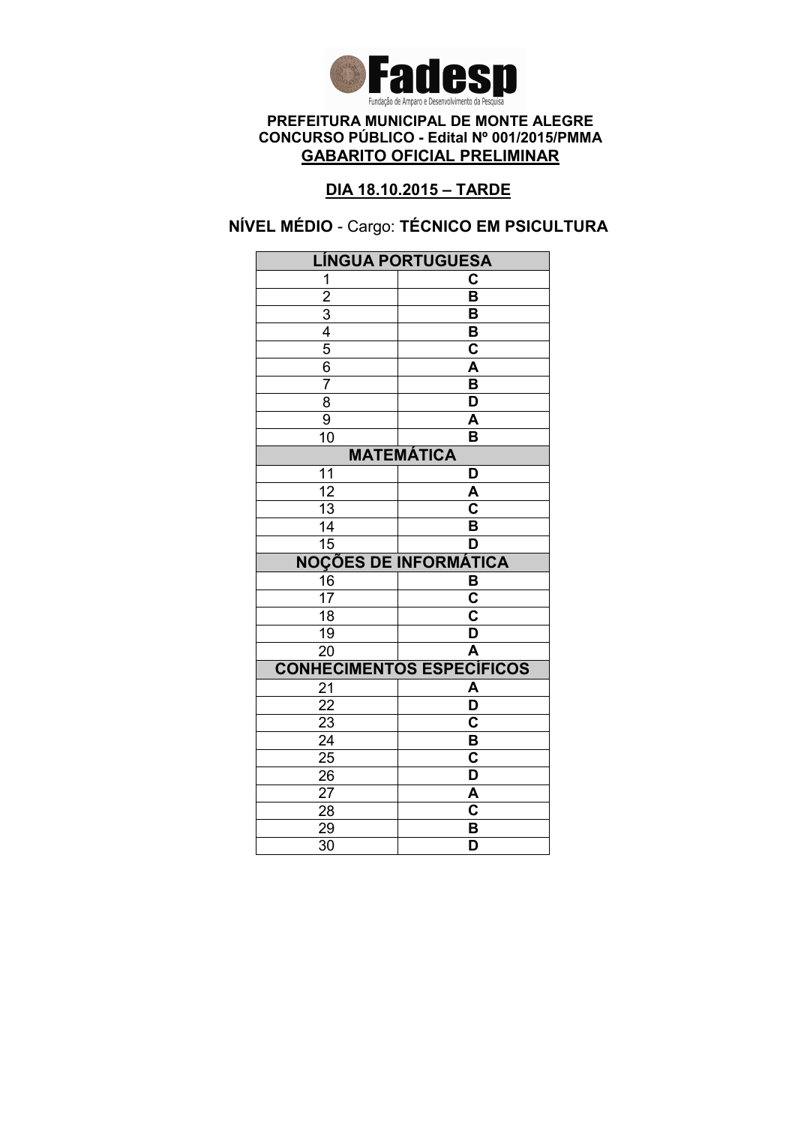

### DIA 18.10.2015 – TARDE

# NÍVEL MÉDIO - Cargo: TÉCNICO EM PSICULTURA

| <b>LÍNGUA PORTUGUESA</b>                  |                                  |  |
|-------------------------------------------|----------------------------------|--|
| 1                                         | С                                |  |
|                                           | $\overline{\mathsf{B}}$          |  |
|                                           | B                                |  |
|                                           | B                                |  |
| $\frac{2}{3}$ $\frac{4}{5}$ $\frac{5}{6}$ | $\mathbf C$                      |  |
|                                           | A                                |  |
| 7                                         | $\overline{\mathsf{B}}$          |  |
| $\overline{8}$                            | $\overline{\mathsf{D}}$          |  |
| 9                                         | A                                |  |
| $\overline{10}$                           | B                                |  |
| <b>MATEMÁTICA</b>                         |                                  |  |
| 11                                        | D                                |  |
| $\overline{12}$                           | A                                |  |
| 13                                        | C                                |  |
| 14                                        | B                                |  |
| $\overline{15}$                           | D                                |  |
|                                           | <b>NOÇÕES DE INFORMÁTICA</b>     |  |
|                                           |                                  |  |
| 16                                        | В                                |  |
| $\overline{17}$                           | $\overline{\mathbf{c}}$          |  |
| $\overline{18}$                           | $\overline{\mathsf{c}}$          |  |
| 19                                        | $\overline{\mathsf{D}}$          |  |
| $\overline{20}$                           | $\overline{\mathsf{A}}$          |  |
|                                           | <b>CONHECIMENTOS ESPECÍFICOS</b> |  |
| 21                                        | A                                |  |
| 22                                        | $\overline{\mathsf{D}}$          |  |
| $\overline{23}$                           | $\overline{\mathbf{c}}$          |  |
| $\overline{24}$                           | $\overline{\mathsf{B}}$          |  |
| $\overline{25}$                           | $\overline{\mathbf{c}}$          |  |
| 26                                        | D                                |  |
| 27                                        | A                                |  |
| 28                                        | $\mathbf C$                      |  |
| 29<br>$\overline{30}$                     | B<br>$\overline{\mathsf{D}}$     |  |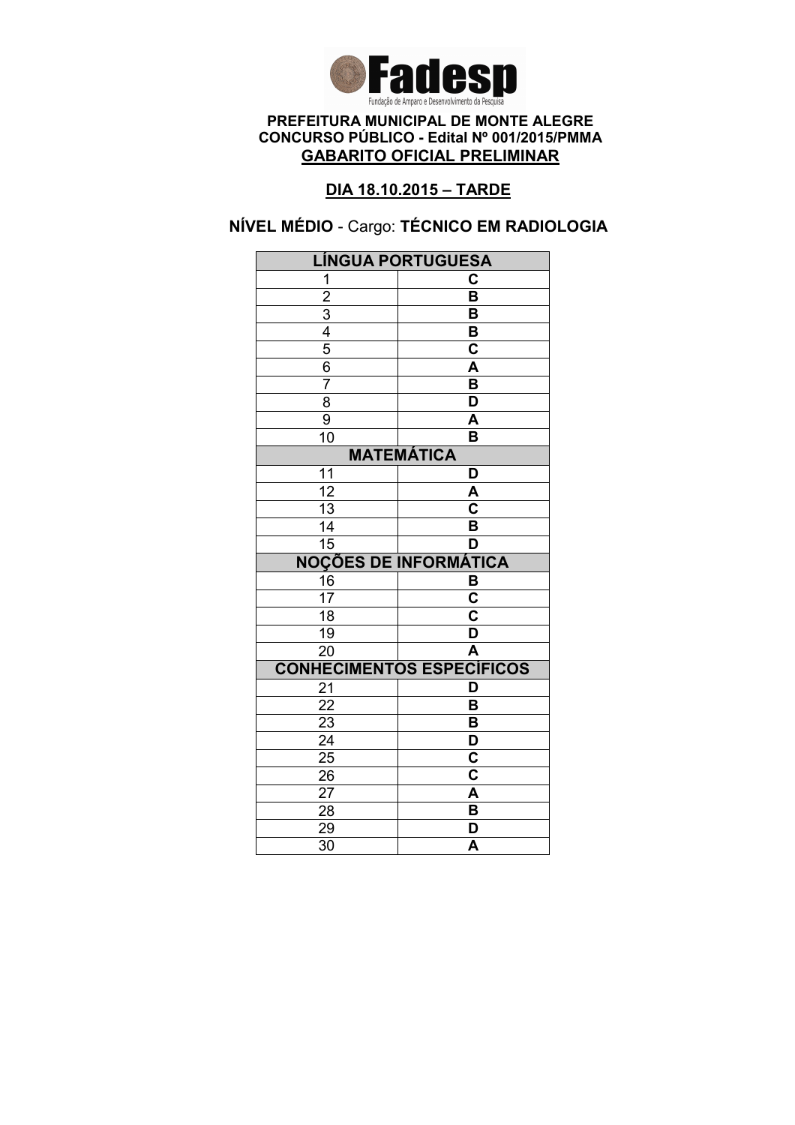

### DIA 18.10.2015 – TARDE

# NÍVEL MÉDIO - Cargo: TÉCNICO EM RADIOLOGIA

| <b>LÍNGUA PORTUGUESA</b>                  |                                    |
|-------------------------------------------|------------------------------------|
| 1                                         | C                                  |
|                                           | $\overline{\mathsf{B}}$            |
|                                           | B                                  |
|                                           | В                                  |
| $\frac{2}{3}$ $\frac{4}{5}$ $\frac{6}{3}$ | $\overline{\textbf{c}}$            |
|                                           | $\overline{\mathsf{A}}$            |
| $\overline{7}$                            | $\overline{\mathsf{B}}$            |
| $\overline{8}$                            | $\overline{\mathsf{D}}$            |
| $\overline{9}$                            | A                                  |
| 10                                        | B                                  |
|                                           | <b>MATEMÁTICA</b>                  |
| 11                                        | D                                  |
| $\overline{12}$                           | A                                  |
| $\overline{13}$                           | $\overline{\overline{\mathsf{c}}}$ |
| 14                                        | B                                  |
| $\overline{15}$                           | D                                  |
|                                           | <b>NOÇÕES DE INFORMÁTICA</b>       |
| $\frac{16}{17}$                           | $\frac{B}{C}$                      |
|                                           |                                    |
| $\overline{18}$                           | $\overline{\mathbf{c}}$            |
| $\overline{19}$                           | $\overline{\mathsf{D}}$            |
| $\overline{20}$                           | $\overline{\mathsf{A}}$            |
|                                           | <b>CONHECIMENTOS ESPECÍFICOS</b>   |
| 21                                        | D                                  |
| 22                                        | B                                  |
| 23                                        | B                                  |
| $\overline{24}$                           | $\overline{\mathsf{D}}$            |
| $\overline{25}$                           | $\overline{\textbf{c}}$            |
| 26                                        | $\overline{\mathbf{c}}$            |
| 27                                        | A                                  |
| 28                                        |                                    |
|                                           | B                                  |
| 29<br>$\overline{30}$                     | D<br>$\overline{\mathsf{A}}$       |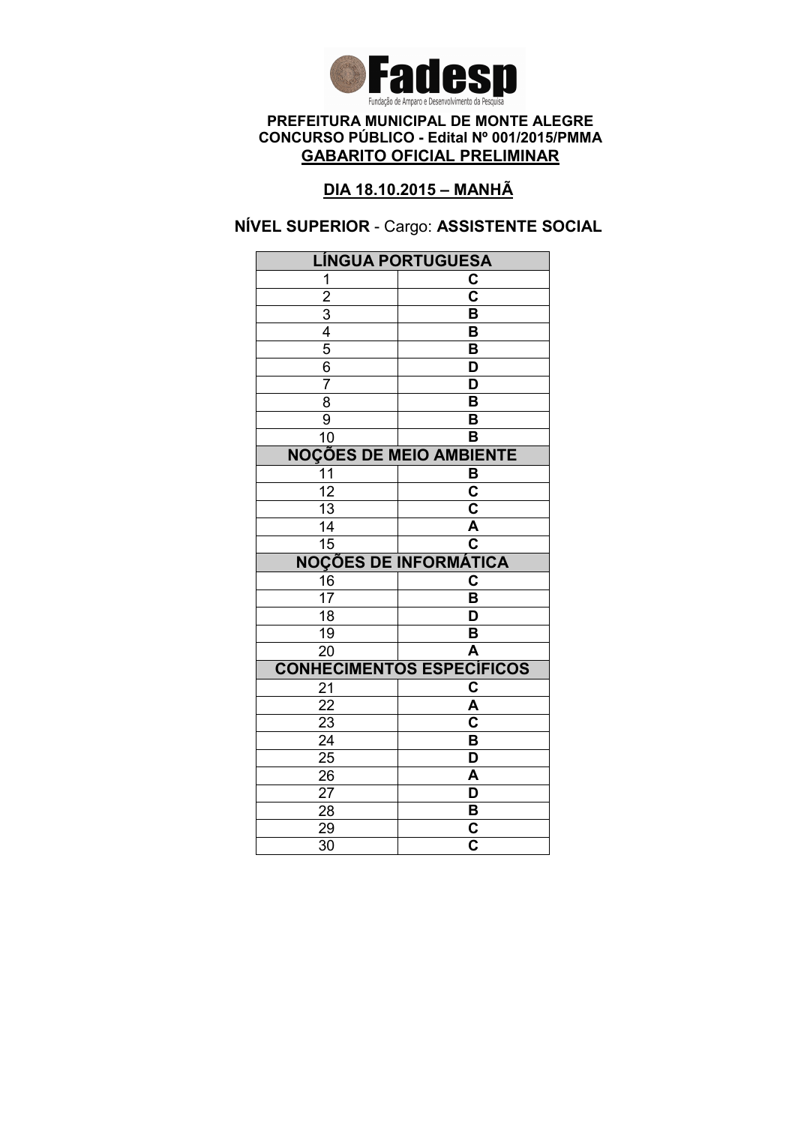

### DIA 18.10.2015 – MANHÃ

### NÍVEL SUPERIOR - Cargo: ASSISTENTE SOCIAL

| <b>LÍNGUA PORTUGUESA</b>                                |                                                    |  |
|---------------------------------------------------------|----------------------------------------------------|--|
| 1                                                       | C                                                  |  |
|                                                         | $\overline{\text{c}}$                              |  |
|                                                         | B                                                  |  |
|                                                         | B                                                  |  |
| $\frac{2}{3}$ $\frac{3}{4}$ $\frac{4}{5}$ $\frac{6}{6}$ | B                                                  |  |
|                                                         | D                                                  |  |
| $\overline{7}$                                          | $\overline{\mathsf{D}}$                            |  |
| $\overline{\bf 8}$                                      | $\overline{\mathsf{B}}$                            |  |
| $\overline{9}$                                          | B                                                  |  |
| 10                                                      | B                                                  |  |
| <b>NOÇÕES DE MEIO AMBIENTE</b>                          |                                                    |  |
| $\overline{11}$                                         | B                                                  |  |
| $\overline{12}$                                         | $\overline{\mathbf{c}}$                            |  |
| $\overline{13}$                                         | $\overline{\mathsf{c}}$                            |  |
| 14                                                      | A                                                  |  |
| $\overline{15}$                                         | $\overline{\mathbf{c}}$                            |  |
|                                                         | <b>NOÇÕES DE INFORMÁTICA</b>                       |  |
| 16                                                      | C                                                  |  |
| $\overline{17}$                                         | B                                                  |  |
| $\overline{18}$                                         | $\overline{\mathsf{D}}$                            |  |
| $\overline{19}$                                         | B                                                  |  |
| $\overline{20}$                                         | $\overline{\mathsf{A}}$                            |  |
|                                                         | <b>CONHECIMENTOS ESPECÍFICOS</b>                   |  |
| 21                                                      | $\overline{\mathbf{c}}$                            |  |
| 22                                                      | A                                                  |  |
| 23                                                      | $\overline{\mathbf{c}}$                            |  |
|                                                         |                                                    |  |
| $\overline{24}$                                         | $\overline{\mathsf{B}}$                            |  |
| $\overline{25}$                                         | $\overline{\mathsf{D}}$                            |  |
| 26                                                      | A                                                  |  |
| 27                                                      | D                                                  |  |
| 28                                                      | B                                                  |  |
| 29<br>$\overline{30}$                                   | $\overline{\mathsf{c}}$<br>$\overline{\mathbf{c}}$ |  |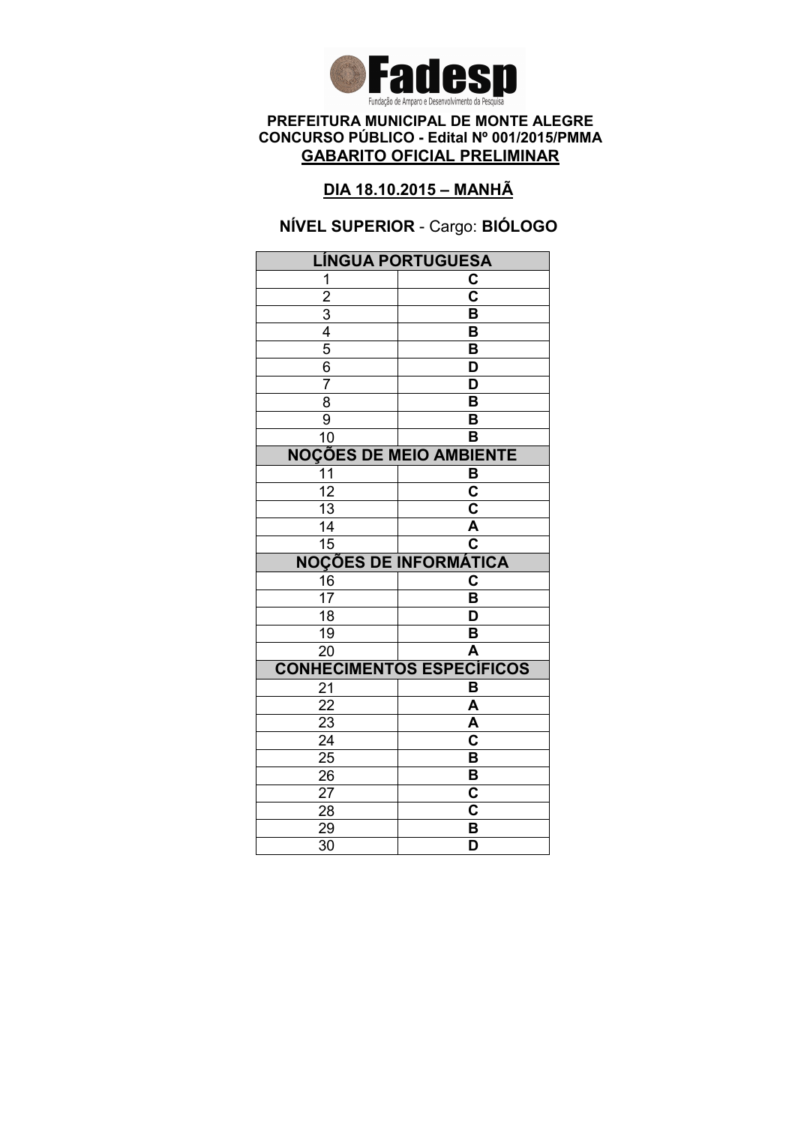

### DIA 18.10.2015 – MANHÃ

# NÍVEL SUPERIOR - Cargo: BIÓLOGO

| <b>LÍNGUA PORTUGUESA</b>                                |                                  |  |
|---------------------------------------------------------|----------------------------------|--|
| 1                                                       | C                                |  |
|                                                         | $\overline{\mathbf{c}}$          |  |
|                                                         | B                                |  |
|                                                         | B                                |  |
| $\frac{2}{3}$ $\frac{3}{4}$ $\frac{4}{5}$ $\frac{6}{6}$ | B                                |  |
|                                                         | D                                |  |
| $\overline{7}$                                          | D                                |  |
| $\overline{\bf 8}$                                      | $\overline{\mathsf{B}}$          |  |
| $\overline{9}$                                          | B                                |  |
| 10                                                      | B                                |  |
| <b>NOÇÕES DE MEIO AMBIENTE</b>                          |                                  |  |
| 11                                                      | B                                |  |
| $\overline{12}$                                         | $\overline{\textbf{c}}$          |  |
| $\overline{13}$                                         | $\overline{\textbf{c}}$          |  |
| 14                                                      | A                                |  |
| 15                                                      | $\overline{\textbf{c}}$          |  |
|                                                         | <b>NOÇÕES DE INFORMÁTICA</b>     |  |
| $\frac{16}{17}$                                         | C                                |  |
|                                                         | B                                |  |
| $\overline{18}$                                         | $\overline{\mathsf{D}}$          |  |
| 19                                                      | B                                |  |
| $\overline{20}$                                         | $\overline{\mathsf{A}}$          |  |
|                                                         | <b>CONHECIMENTOS ESPECÍFICOS</b> |  |
| 21                                                      |                                  |  |
|                                                         | B                                |  |
| $\overline{22}$                                         | A                                |  |
| 23                                                      | A                                |  |
| $\overline{24}$                                         | $\overline{\mathbf{c}}$          |  |
| $\overline{25}$                                         | $\overline{\mathsf{B}}$          |  |
| 26                                                      | B                                |  |
| 27                                                      | C                                |  |
| 28                                                      | C                                |  |
| 29<br>$\overline{30}$                                   | B<br>$\overline{\mathsf{D}}$     |  |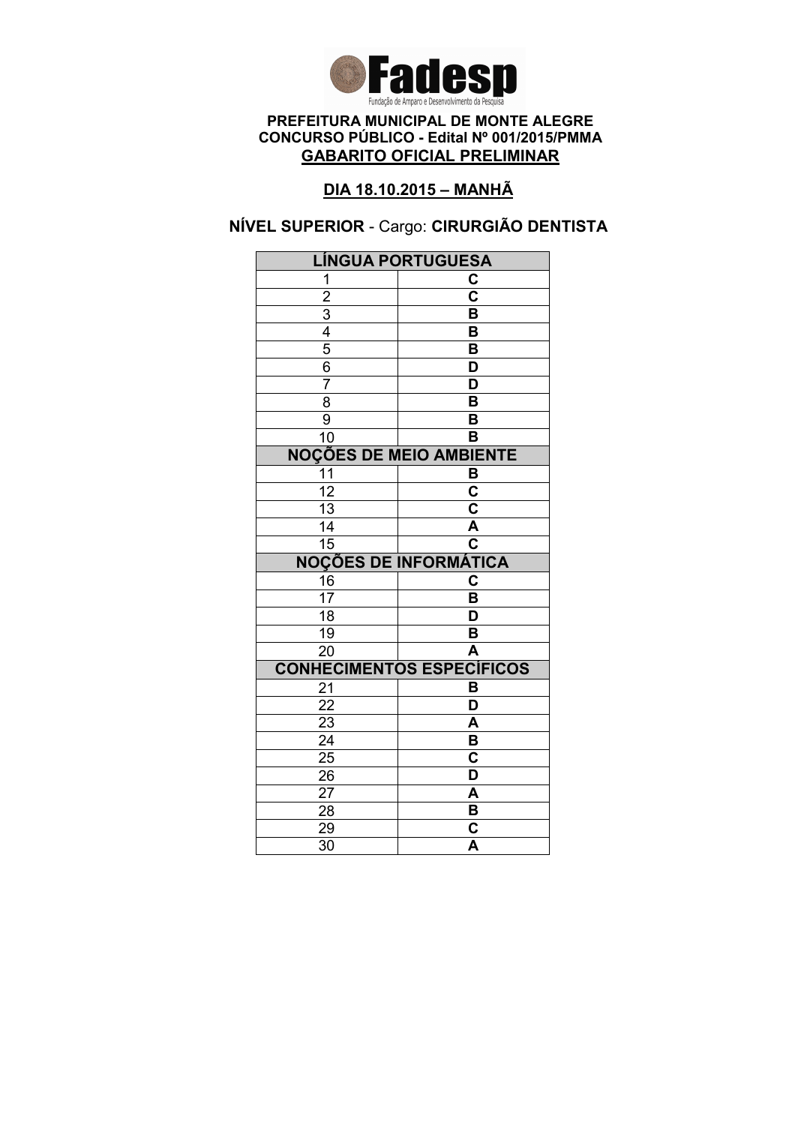

### DIA 18.10.2015 – MANHÃ

# NÍVEL SUPERIOR - Cargo: CIRURGIÃO DENTISTA

| <b>LÍNGUA PORTUGUESA</b>                                |                                                    |  |
|---------------------------------------------------------|----------------------------------------------------|--|
| 1                                                       | C                                                  |  |
|                                                         | $\overline{\text{c}}$                              |  |
|                                                         | B                                                  |  |
|                                                         | B                                                  |  |
| $\frac{2}{3}$ $\frac{3}{4}$ $\frac{4}{5}$ $\frac{6}{6}$ | B                                                  |  |
|                                                         | D                                                  |  |
| $\overline{7}$                                          | $\overline{\mathsf{D}}$                            |  |
| $\overline{\bf 8}$                                      | $\overline{\mathsf{B}}$                            |  |
| $\overline{9}$                                          | B                                                  |  |
| $\overline{10}$                                         | B                                                  |  |
| <b>NOÇÕES DE MEIO AMBIENTE</b>                          |                                                    |  |
| 11                                                      | B                                                  |  |
| $\overline{12}$                                         | $\overline{\mathbf{c}}$                            |  |
| $\overline{13}$                                         | $\overline{\mathsf{c}}$                            |  |
| 14                                                      | A                                                  |  |
| $\overline{15}$                                         | $\overline{\mathbf{c}}$                            |  |
|                                                         | <b>NOÇÕES DE INFORMÁTICA</b>                       |  |
| 16                                                      | C                                                  |  |
| $\overline{17}$                                         | B                                                  |  |
| $\overline{18}$                                         | $\overline{\mathsf{D}}$                            |  |
| 19                                                      | B                                                  |  |
| $\overline{20}$                                         | $\overline{\mathsf{A}}$                            |  |
|                                                         | <b>CONHECIMENTOS ESPECÍFICOS</b>                   |  |
| 21                                                      | B                                                  |  |
| 22                                                      | D                                                  |  |
| 23                                                      | A                                                  |  |
| $\overline{24}$                                         | $\overline{\mathsf{B}}$                            |  |
| $\overline{25}$                                         | $\overline{\textbf{c}}$                            |  |
| 26                                                      | D                                                  |  |
| 27                                                      | A                                                  |  |
|                                                         |                                                    |  |
| 28                                                      | B                                                  |  |
| 29<br>$\overline{30}$                                   | $\overline{\textbf{c}}$<br>$\overline{\mathsf{A}}$ |  |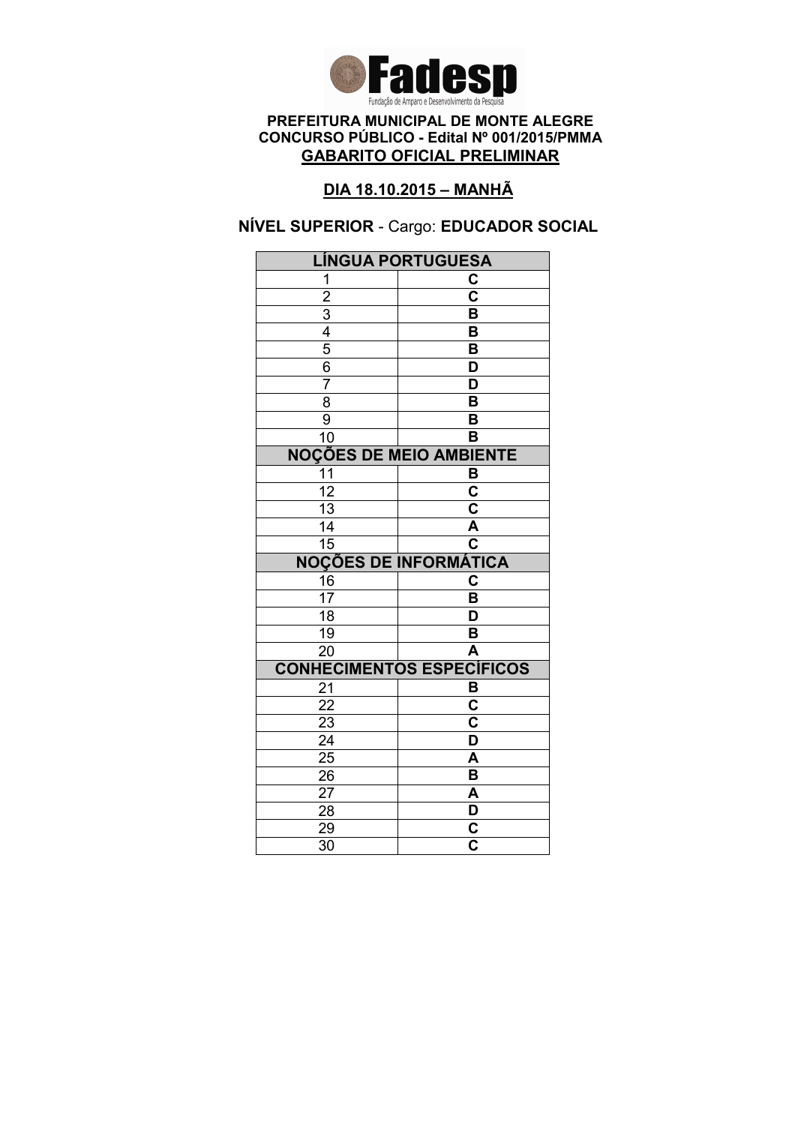

### DIA 18.10.2015 – MANHÃ

# NÍVEL SUPERIOR - Cargo: EDUCADOR SOCIAL

| <b>LÍNGUA PORTUGUESA</b>                  |                                  |  |
|-------------------------------------------|----------------------------------|--|
| 1                                         | C                                |  |
|                                           | $\overline{\text{c}}$            |  |
|                                           | B                                |  |
|                                           | B                                |  |
| $\frac{2}{3}$ $\frac{4}{5}$ $\frac{6}{3}$ | B                                |  |
|                                           | D                                |  |
| $\overline{7}$                            | $\overline{\mathsf{D}}$          |  |
| $\overline{\bf 8}$                        | $\overline{\mathsf{B}}$          |  |
| $\overline{9}$                            | B                                |  |
| 10                                        | B                                |  |
| <b>NOÇÕES DE MEIO AMBIENTE</b>            |                                  |  |
| $\overline{11}$                           | B                                |  |
| $\overline{12}$                           | $\overline{\mathbf{c}}$          |  |
| $\overline{13}$                           | $\overline{\mathsf{c}}$          |  |
| 14                                        | A                                |  |
| $\overline{15}$                           | $\overline{\mathbf{c}}$          |  |
|                                           | <b>NOÇÕES DE INFORMÁTICA</b>     |  |
| $\frac{16}{17}$                           | C                                |  |
|                                           | $\overline{\mathsf{B}}$          |  |
| $\overline{18}$                           | $\overline{\mathsf{D}}$          |  |
| $\overline{19}$                           | B                                |  |
| $\overline{20}$                           | $\overline{\mathsf{A}}$          |  |
|                                           | <b>CONHECIMENTOS ESPECÍFICOS</b> |  |
| 21                                        | B                                |  |
| 22                                        | $\overline{\mathbf{C}}$          |  |
| 23                                        |                                  |  |
|                                           | $\overline{\mathbf{c}}$          |  |
| $\overline{24}$                           | $\overline{\mathsf{D}}$          |  |
| $\overline{25}$                           | A                                |  |
| 26                                        | B                                |  |
| 27                                        | A                                |  |
| 28                                        |                                  |  |
| 29<br>$\overline{30}$                     | $\frac{\mathsf{D}}{\mathsf{C}}$  |  |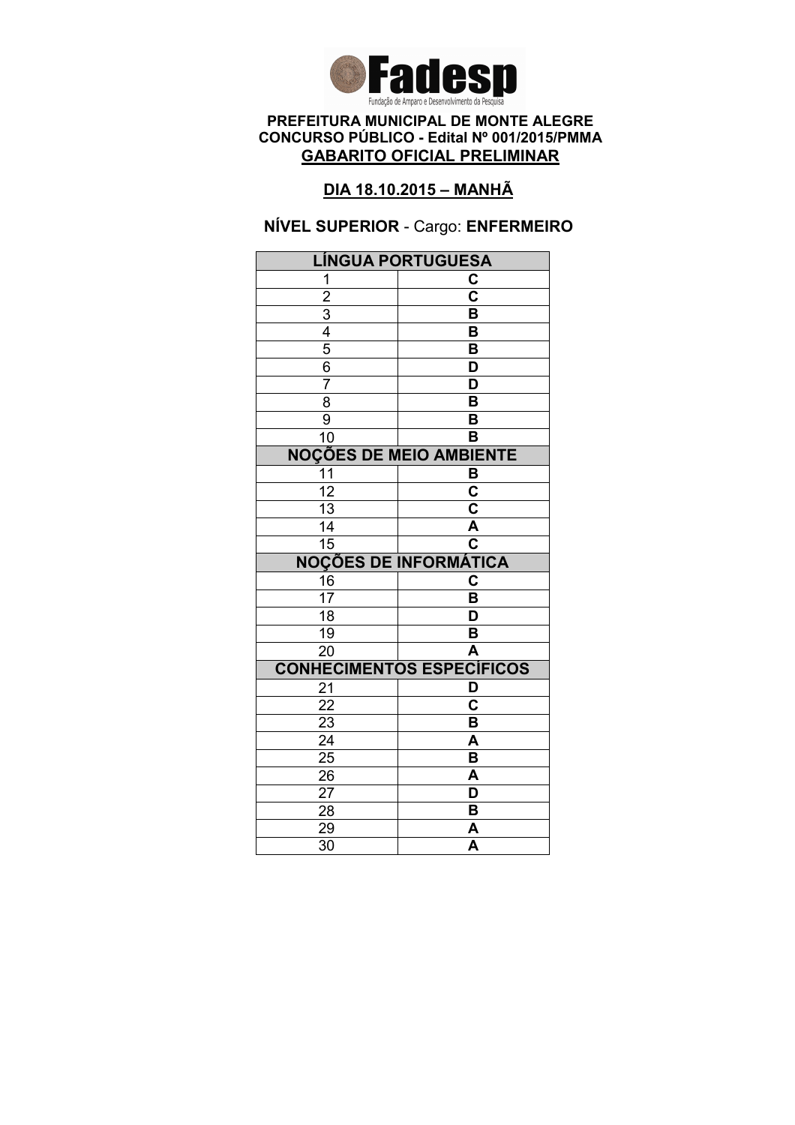

## DIA 18.10.2015 – MANHÃ

### NÍVEL SUPERIOR - Cargo: ENFERMEIRO

| <b>LÍNGUA PORTUGUESA</b> |                                  |
|--------------------------|----------------------------------|
| 1                        | С                                |
| $\overline{2}$           | $\overline{\mathbf{c}}$          |
| $\overline{3}$           | B                                |
| 4                        | B                                |
| $\overline{5}$           | B                                |
| 6                        | D                                |
| 7                        | D                                |
| $\overline{8}$           | $\overline{\mathsf{B}}$          |
| 9                        | B                                |
| 10                       | в                                |
|                          | <b>NOÇÕES DE MEIO AMBIENTE</b>   |
| 11                       | в                                |
| $\overline{12}$          | $\overline{\mathbf{c}}$          |
| $\overline{13}$          | $\overline{\mathsf{c}}$          |
| 14                       | $\overline{\mathsf{A}}$          |
| 15                       | $\overline{\textbf{c}}$          |
|                          | <b>NOÇÕES DE INFORMÁTICA</b>     |
| 16                       | C                                |
| $\overline{17}$          | B                                |
| $\overline{18}$          | D                                |
| 19                       | B                                |
| $\overline{20}$          | A                                |
|                          | <b>CONHECIMENTOS ESPECÍFICOS</b> |
| 21                       | D                                |
|                          |                                  |
| 22                       | C                                |
| 23                       | B                                |
| $\overline{24}$          | A                                |
| $\overline{25}$          | $\overline{\mathsf{B}}$          |
| 26                       | A                                |
| 27                       | D                                |
| 28                       | B                                |
| 29<br>$\overline{30}$    | A<br>$\overline{\mathsf{A}}$     |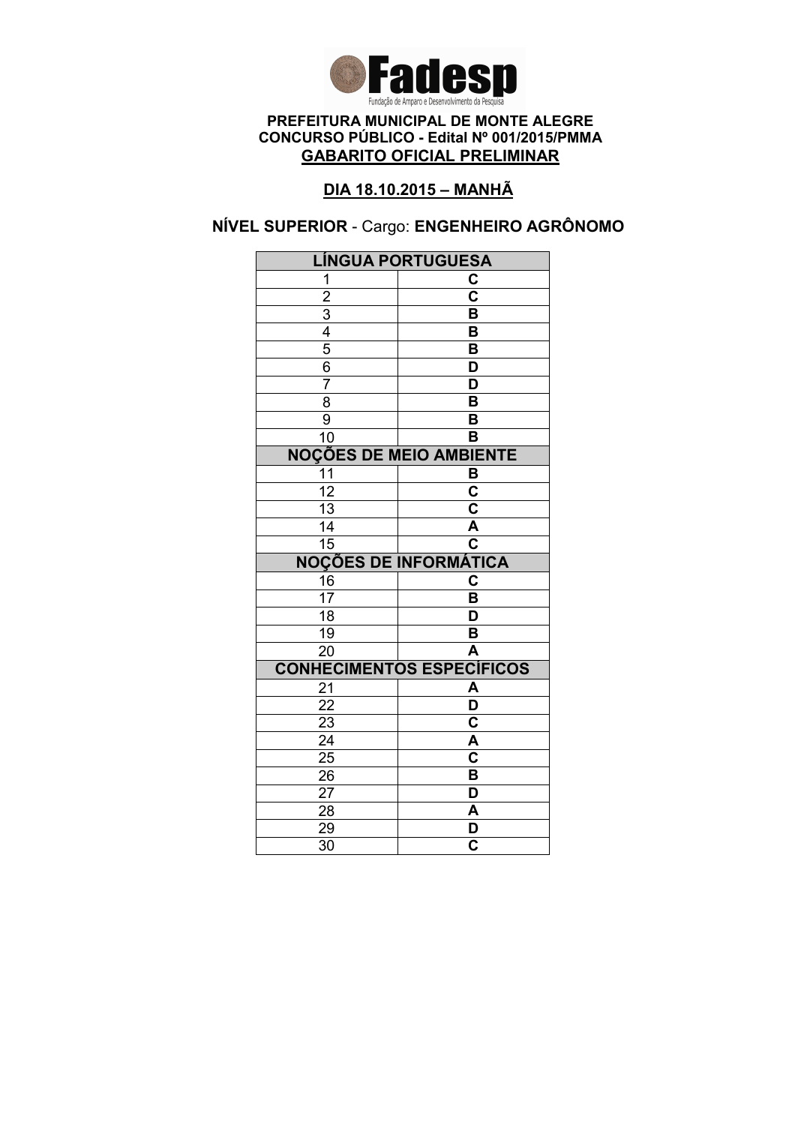

## DIA 18.10.2015 – MANHÃ

# NÍVEL SUPERIOR - Cargo: ENGENHEIRO AGRÔNOMO

| <b>LÍNGUA PORTUGUESA</b>       |                                  |
|--------------------------------|----------------------------------|
| 1                              | C                                |
| $\overline{2}$                 | $\overline{\mathbf{c}}$          |
|                                | $\overline{\mathsf{B}}$          |
| $\frac{3}{4}$                  | B                                |
|                                | B                                |
| $\frac{6}{7}$                  | D                                |
|                                | $\overline{\mathsf{D}}$          |
| $\overline{8}$                 | $\overline{\mathsf{B}}$          |
| $\overline{9}$                 | B                                |
| $\overline{10}$                | B                                |
| <b>NOÇÕES DE MEIO AMBIENTE</b> |                                  |
| 11                             | B                                |
| $\overline{12}$                | $\overline{\mathbf{c}}$          |
| $\overline{13}$                | $\overline{\mathbf{c}}$          |
| $\overline{14}$                | A                                |
| $\overline{15}$                | $\overline{\mathbf{c}}$          |
|                                | <b>NOÇÕES DE INFORMÁTICA</b>     |
| $\frac{16}{17}$                | C                                |
|                                | B                                |
| $\overline{18}$                | D                                |
| $\overline{19}$                | B                                |
| $\overline{20}$                | $\overline{\mathsf{A}}$          |
|                                |                                  |
|                                | <b>CONHECIMENTOS ESPECÍFICOS</b> |
| 21                             | A                                |
| $\overline{22}$                | $\overline{\mathsf{D}}$          |
| $\overline{23}$                | $\overline{\mathbf{c}}$          |
| $\overline{24}$                | $\overline{\mathsf{A}}$          |
| $2\overline{5}$                | $\overline{\mathsf{c}}$          |
| 26                             | B                                |
| 27                             | D                                |
| 28                             | A                                |
| 29<br>$\overline{30}$          | D<br>$\overline{\mathbf{c}}$     |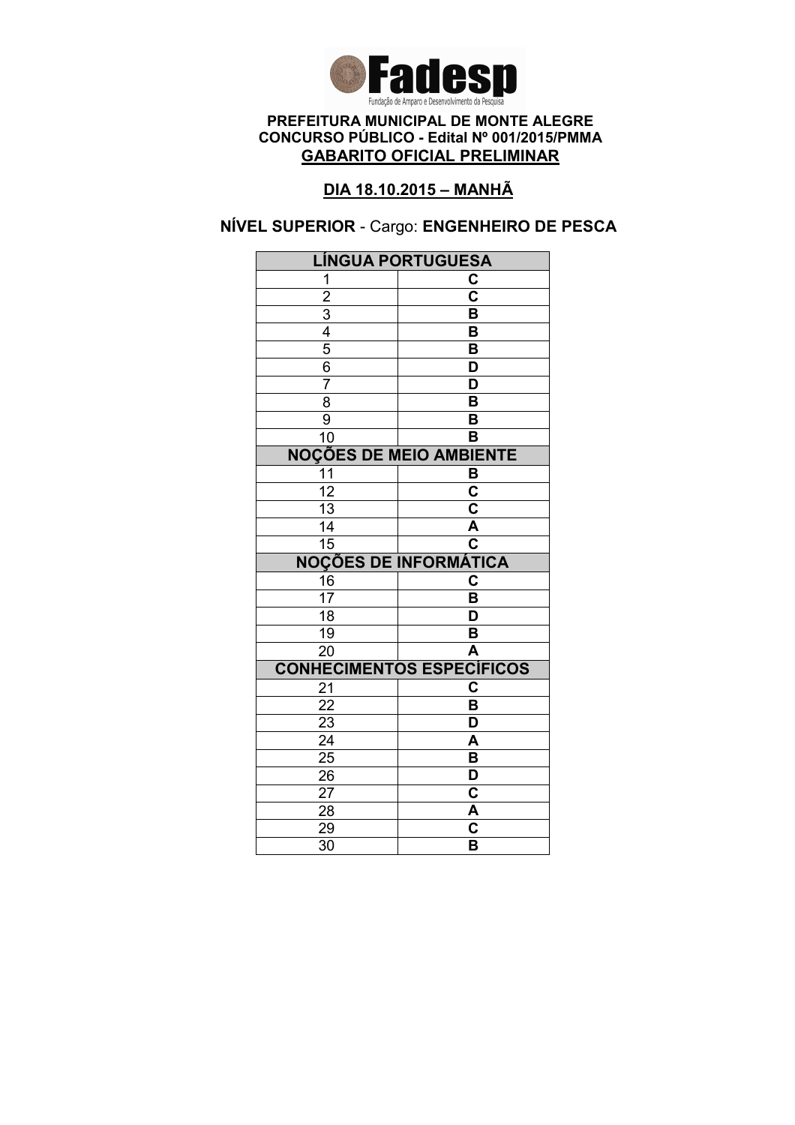

### DIA 18.10.2015 – MANHÃ

### NÍVEL SUPERIOR - Cargo: ENGENHEIRO DE PESCA

| <b>LÍNGUA PORTUGUESA</b>                  |                                                    |
|-------------------------------------------|----------------------------------------------------|
| 1                                         | C                                                  |
|                                           | $\overline{\mathbf{c}}$                            |
|                                           | B                                                  |
|                                           | B                                                  |
| $\frac{2}{3}$ $\frac{4}{5}$ $\frac{6}{3}$ | $\overline{\mathsf{B}}$                            |
|                                           | D                                                  |
| $\overline{7}$                            | $\overline{\mathsf{D}}$                            |
| 8                                         | $\overline{\mathsf{B}}$                            |
| $\overline{9}$                            | B                                                  |
| 10                                        | B                                                  |
| <b>NOÇÕES DE MEIO AMBIENTE</b>            |                                                    |
| 11                                        | B                                                  |
| $\overline{12}$                           | $\overline{\mathbf{c}}$                            |
| $\overline{13}$                           | $\overline{\mathsf{c}}$                            |
| 14                                        | A                                                  |
| $\overline{15}$                           | $\overline{\mathbf{c}}$                            |
|                                           | <b>NOÇÕES DE INFORMÁTICA</b>                       |
| 16                                        | C                                                  |
| $\overline{17}$                           | B                                                  |
| $\overline{18}$                           | $\overline{\mathsf{D}}$                            |
| $\overline{19}$                           | B                                                  |
| $\overline{20}$                           | $\overline{\mathsf{A}}$                            |
|                                           | <b>CONHECIMENTOS ESPECÍFICOS</b>                   |
| 21                                        | $\overline{\mathbf{c}}$                            |
| 22                                        | $\overline{\mathsf{B}}$                            |
| 23                                        | D                                                  |
| $\overline{24}$                           | A                                                  |
| $\overline{25}$                           | B                                                  |
| 26                                        | $\overline{\mathsf{D}}$                            |
|                                           |                                                    |
| 27                                        | $\overline{\mathbf{c}}$                            |
| 28                                        | A                                                  |
| 29<br>$\overline{30}$                     | $\overline{\mathbf{c}}$<br>$\overline{\mathsf{B}}$ |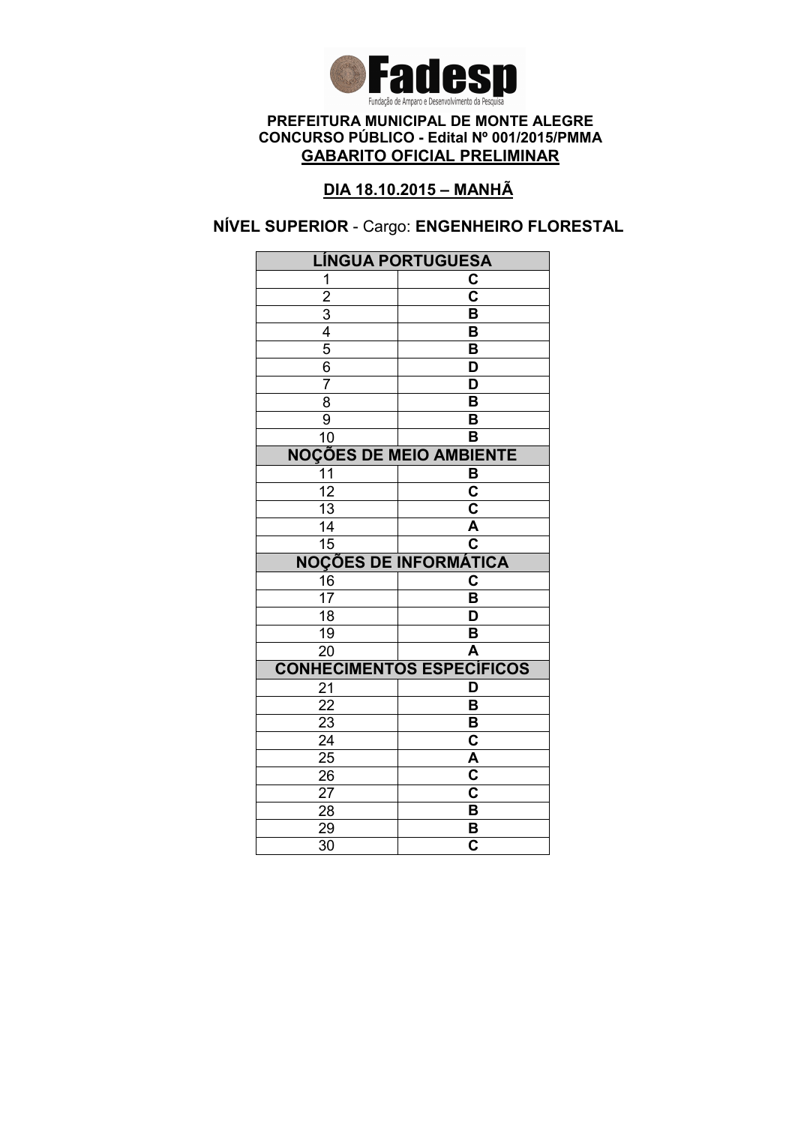

## DIA 18.10.2015 – MANHÃ

### NÍVEL SUPERIOR - Cargo: ENGENHEIRO FLORESTAL

| <b>LÍNGUA PORTUGUESA</b>                  |                                  |
|-------------------------------------------|----------------------------------|
| 1                                         | C                                |
|                                           | $\overline{\mathbf{c}}$          |
|                                           | B                                |
|                                           | B                                |
| $\frac{2}{3}$ $\frac{4}{5}$ $\frac{6}{3}$ | B                                |
|                                           | D                                |
| $\overline{7}$                            | $\overline{\mathsf{D}}$          |
| 8                                         | $\overline{\mathsf{B}}$          |
| $\overline{9}$                            | B                                |
| 10                                        | B                                |
| <b>NOÇÕES DE MEIO AMBIENTE</b>            |                                  |
| 11                                        | B                                |
| $\overline{12}$                           | $\overline{\mathbf{c}}$          |
| $\overline{13}$                           | $\overline{\mathsf{c}}$          |
| 14                                        | A                                |
| $\overline{15}$                           | $\overline{\textbf{c}}$          |
|                                           | <b>NOÇÕES DE INFORMÁTICA</b>     |
| $\frac{16}{17}$                           | C                                |
|                                           | B                                |
| $\overline{18}$                           | $\overline{\mathsf{D}}$          |
|                                           |                                  |
| 19                                        | B                                |
| $\overline{20}$                           | $\overline{\mathsf{A}}$          |
|                                           | <b>CONHECIMENTOS ESPECÍFICOS</b> |
| 21                                        | D                                |
| 22                                        | B                                |
| 23                                        | B                                |
| $\overline{24}$                           | $\overline{\textbf{c}}$          |
| $2\overline{5}$                           | $\overline{\mathsf{A}}$          |
| 26                                        | $\overline{\mathsf{c}}$          |
| 27                                        | C                                |
| 28                                        | B                                |
| 29<br>$\overline{30}$                     | B<br>$\overline{\mathbf{c}}$     |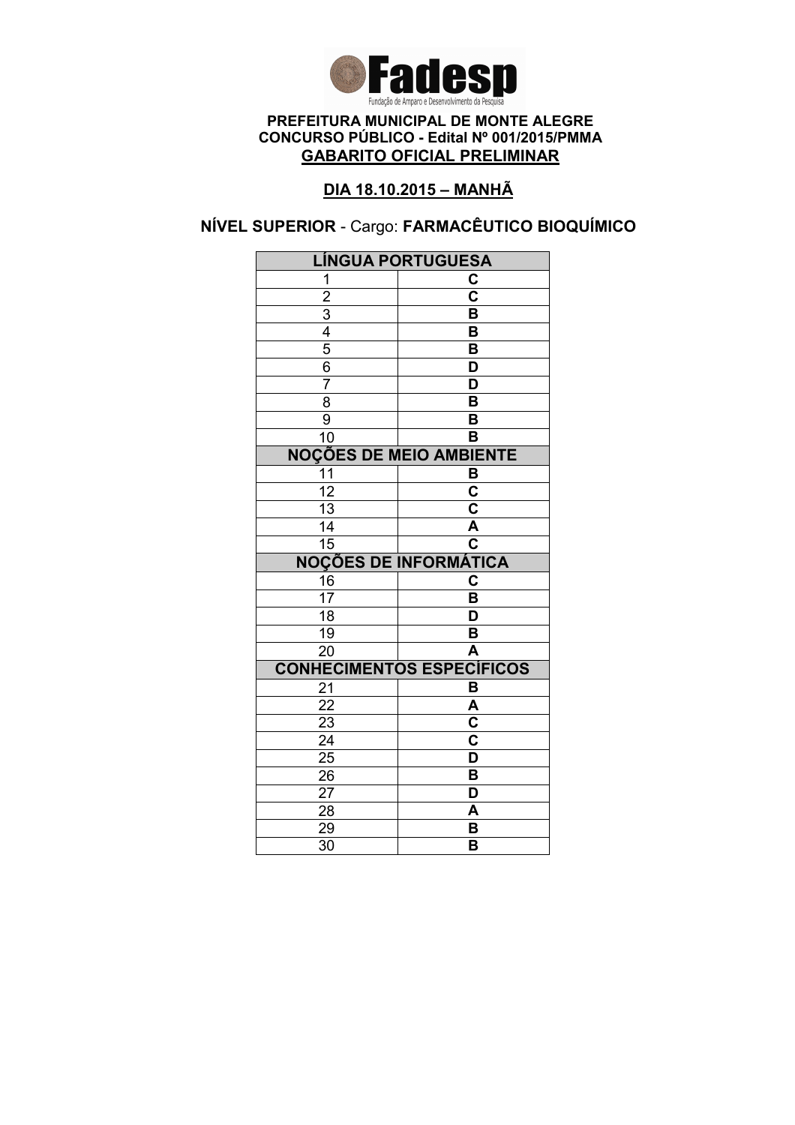

### DIA 18.10.2015 – MANHÃ

# NÍVEL SUPERIOR - Cargo: FARMACÊUTICO BIOQUÍMICO

| <b>LÍNGUA PORTUGUESA</b>         |                              |
|----------------------------------|------------------------------|
| 1                                | C                            |
| $\overline{2}$                   | $\overline{\mathbf{c}}$      |
|                                  | $\overline{\mathsf{B}}$      |
| $\frac{3}{4}$                    | B                            |
|                                  | B                            |
| $\frac{6}{7}$                    | D                            |
|                                  | $\overline{\mathsf{D}}$      |
| $\overline{8}$                   | $\overline{\mathsf{B}}$      |
| $\overline{9}$                   | B                            |
| $\overline{10}$                  | B                            |
| <b>NOÇÕES DE MEIO AMBIENTE</b>   |                              |
| 11                               | B                            |
| $\overline{12}$                  | $\overline{\mathbf{c}}$      |
| $\overline{13}$                  | $\overline{\mathbf{c}}$      |
| $\overline{14}$                  | A                            |
| $\overline{15}$                  | $\overline{\mathbf{c}}$      |
|                                  | <b>NOÇÕES DE INFORMÁTICA</b> |
| $\frac{16}{17}$                  | C                            |
|                                  | B                            |
| $\overline{18}$                  | D                            |
| $\overline{19}$                  | B                            |
| $\overline{20}$                  | $\overline{\mathsf{A}}$      |
| <b>CONHECIMENTOS ESPECÍFICOS</b> |                              |
|                                  |                              |
| 21                               | B                            |
| $\overline{22}$                  | $\overline{\mathsf{A}}$      |
| $\sqrt{23}$                      | C                            |
| $\overline{24}$                  | $\overline{\mathbf{c}}$      |
| $2\overline{5}$                  | $\overline{\mathsf{D}}$      |
| 26                               | B                            |
| 27                               | D                            |
| 28                               | A                            |
| 29<br>$\overline{30}$            | B<br>B                       |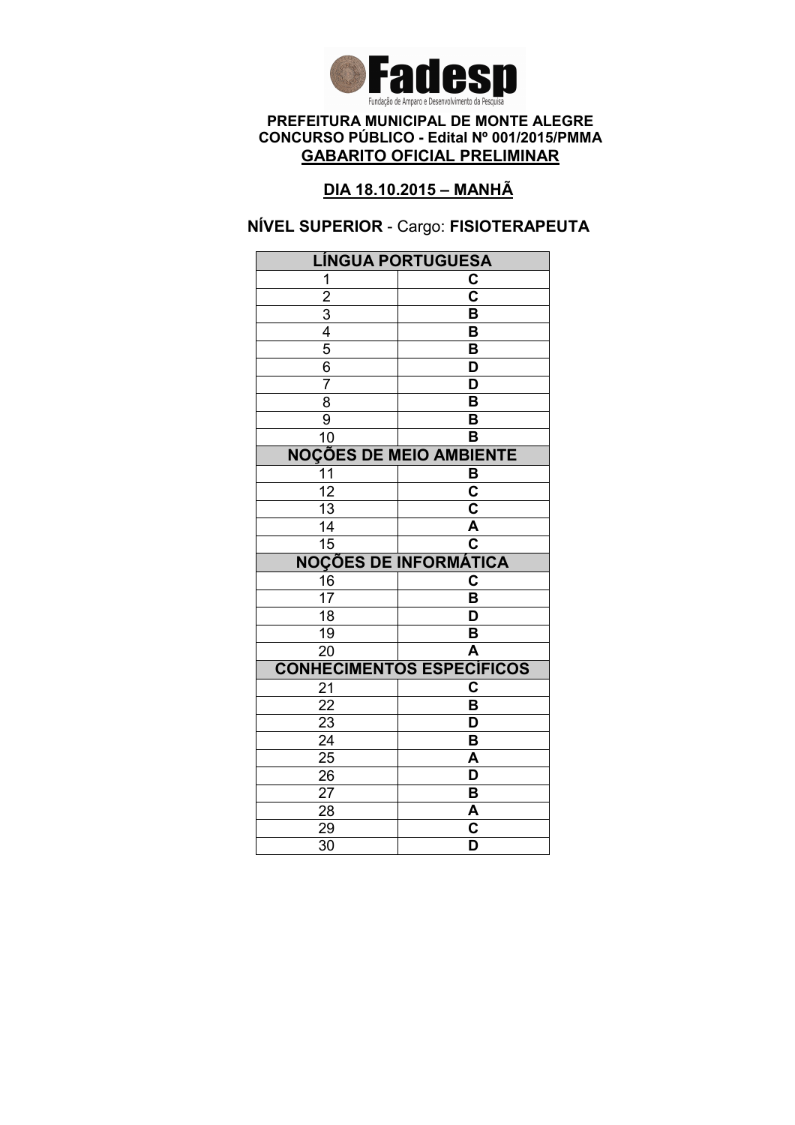

### DIA 18.10.2015 – MANHÃ

### NÍVEL SUPERIOR - Cargo: FISIOTERAPEUTA

| <b>LÍNGUA PORTUGUESA</b>       |                                                    |
|--------------------------------|----------------------------------------------------|
| 1                              | C                                                  |
| $\overline{2}$                 | $\overline{\mathbf{c}}$                            |
|                                | B                                                  |
| $\frac{3}{4}$                  | B                                                  |
|                                | B                                                  |
| 6                              | D                                                  |
| $\overline{7}$                 | D                                                  |
| $\overline{8}$                 | $\overline{\mathsf{B}}$                            |
| 9                              | B                                                  |
| 10                             | B                                                  |
| <b>NOÇÕES DE MEIO AMBIENTE</b> |                                                    |
| 11                             | B                                                  |
| $\overline{12}$                | $\overline{\mathbf{c}}$                            |
| $\overline{13}$                | $\overline{\mathsf{c}}$                            |
| 14                             | $\overline{\mathsf{A}}$                            |
| 15                             | $\overline{\mathbf{c}}$                            |
|                                | <b>NOÇÕES DE INFORMÁTICA</b>                       |
| 16                             | C                                                  |
| 17                             | B                                                  |
| $\overline{18}$                | D                                                  |
| 19                             | B                                                  |
| $\overline{20}$                | A                                                  |
|                                | <b>CONHECIMENTOS ESPECÍFICOS</b>                   |
| 21                             | C                                                  |
| 22                             | B                                                  |
| 23                             | D                                                  |
| $\overline{24}$                | $\overline{\mathsf{B}}$                            |
| $\overline{25}$                | A                                                  |
| 26                             | D                                                  |
| 27                             | B                                                  |
| 28                             |                                                    |
|                                | A                                                  |
| 29<br>$\overline{30}$          | $\overline{\mathbf{c}}$<br>$\overline{\mathsf{D}}$ |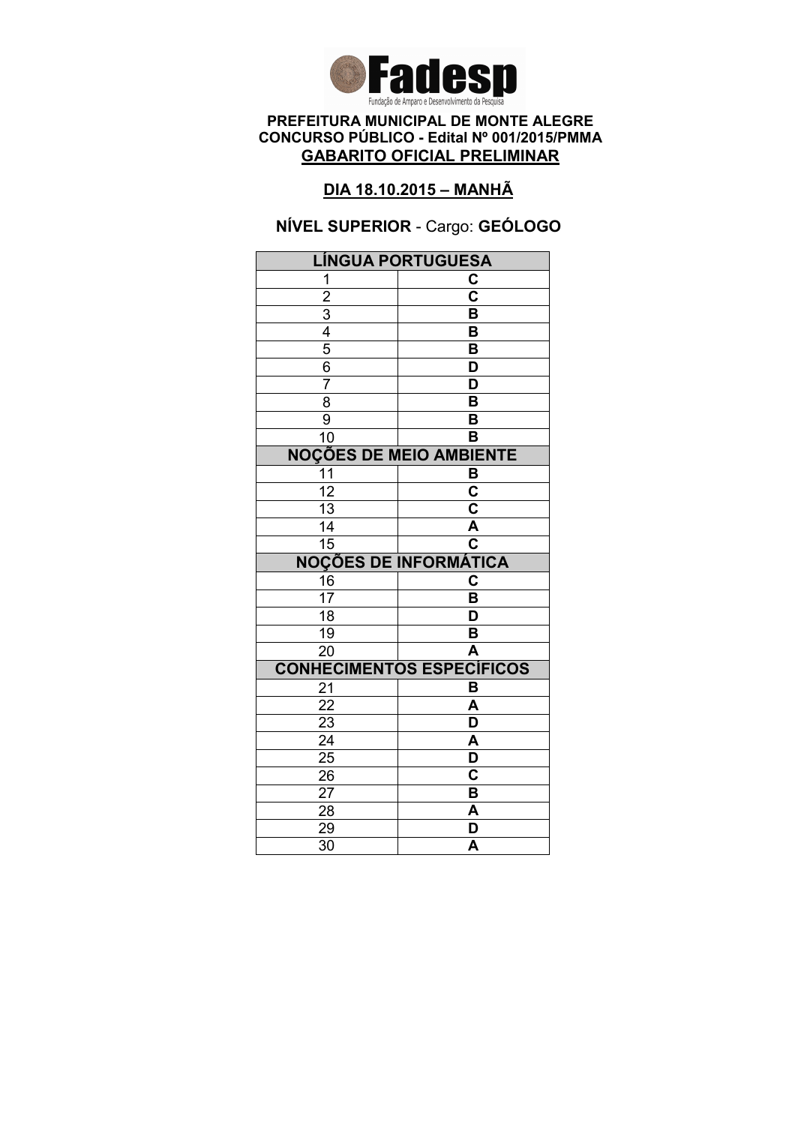

### DIA 18.10.2015 – MANHÃ

# NÍVEL SUPERIOR - Cargo: GEÓLOGO

| <b>LÍNGUA PORTUGUESA</b>       |                                  |
|--------------------------------|----------------------------------|
| 1                              | C                                |
| $\overline{2}$                 | $\overline{\mathbf{c}}$          |
|                                | B                                |
| $\frac{3}{4}$                  | B                                |
| $\overline{5}$                 | B                                |
| $\frac{6}{7}$                  | D                                |
|                                | D                                |
| $\overline{8}$                 | $\overline{\mathsf{B}}$          |
| $\overline{9}$                 | B                                |
| $\overline{10}$                | B                                |
| <b>NOÇÕES DE MEIO AMBIENTE</b> |                                  |
| 11                             | B                                |
| $\overline{12}$                | $\overline{\mathbf{c}}$          |
| $\overline{13}$                | $\overline{\mathbf{c}}$          |
| $\overline{14}$                | $\overline{\mathsf{A}}$          |
| $\overline{15}$                | $\overline{\mathbf{c}}$          |
|                                | <b>NOÇÕES DE INFORMÁTICA</b>     |
| $\frac{16}{17}$                | C                                |
|                                | B                                |
| $\overline{18}$                | D                                |
| 19                             | B                                |
|                                |                                  |
| $\overline{20}$                | A                                |
|                                | <b>CONHECIMENTOS ESPECÍFICOS</b> |
| 21                             | B                                |
| $\overline{22}$                | A                                |
| 23                             | D                                |
| $\overline{24}$                | A                                |
| $\overline{25}$                | $\overline{\mathsf{D}}$          |
| 26                             | Ć                                |
| 27                             | B                                |
| 28                             | A                                |
| 29<br>$\overline{30}$          | D<br>A                           |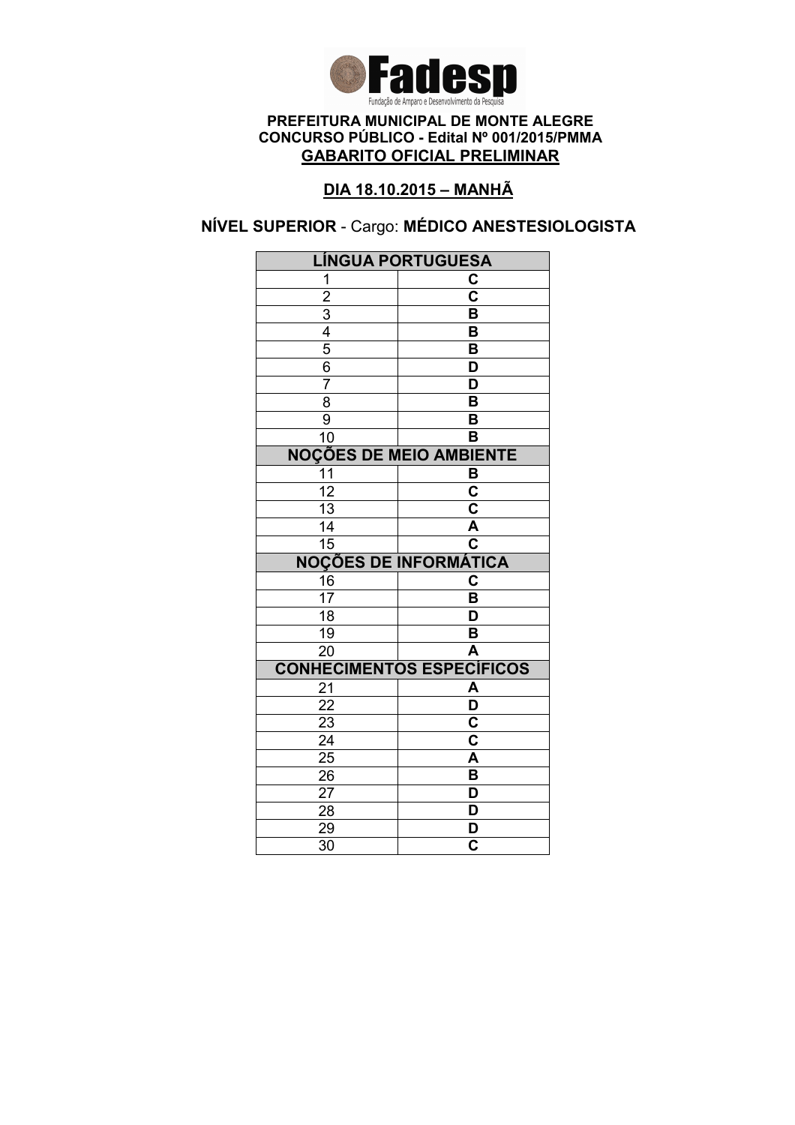

### DIA 18.10.2015 – MANHÃ

# NÍVEL SUPERIOR - Cargo: MÉDICO ANESTESIOLOGISTA

| <b>LÍNGUA PORTUGUESA</b>       |                                  |
|--------------------------------|----------------------------------|
| 1                              | C                                |
| $\overline{2}$                 | $\overline{\mathbf{c}}$          |
|                                | $\overline{\mathsf{B}}$          |
| $\frac{3}{4}$                  | B                                |
|                                | B                                |
| $\frac{6}{7}$                  | D                                |
|                                | $\overline{\mathsf{D}}$          |
| $\overline{8}$                 | $\overline{\mathsf{B}}$          |
| $\overline{9}$                 | B                                |
| $\overline{10}$                | B                                |
| <b>NOÇÕES DE MEIO AMBIENTE</b> |                                  |
| 11                             | B                                |
| $\overline{12}$                | $\overline{\mathbf{c}}$          |
| $\overline{13}$                | $\overline{\mathbf{c}}$          |
| $\overline{14}$                | A                                |
| $\overline{15}$                | $\overline{\mathbf{c}}$          |
|                                | <b>NOÇÕES DE INFORMÁTICA</b>     |
| $\frac{16}{17}$                | C                                |
|                                | B                                |
| $\overline{18}$                | D                                |
| $\overline{19}$                | B                                |
|                                |                                  |
| $\overline{20}$                | $\overline{\mathsf{A}}$          |
|                                | <b>CONHECIMENTOS ESPECÍFICOS</b> |
| 21                             | A                                |
| $\overline{22}$                | $\overline{\mathsf{D}}$          |
| $\overline{23}$                | C                                |
| $\overline{24}$                | $\overline{\mathsf{c}}$          |
| $2\overline{5}$                | $\overline{\mathsf{A}}$          |
| 26                             | B                                |
| 27                             | D                                |
| 28                             | D                                |
| 29<br>$\overline{30}$          | D<br>$\overline{\mathbf{c}}$     |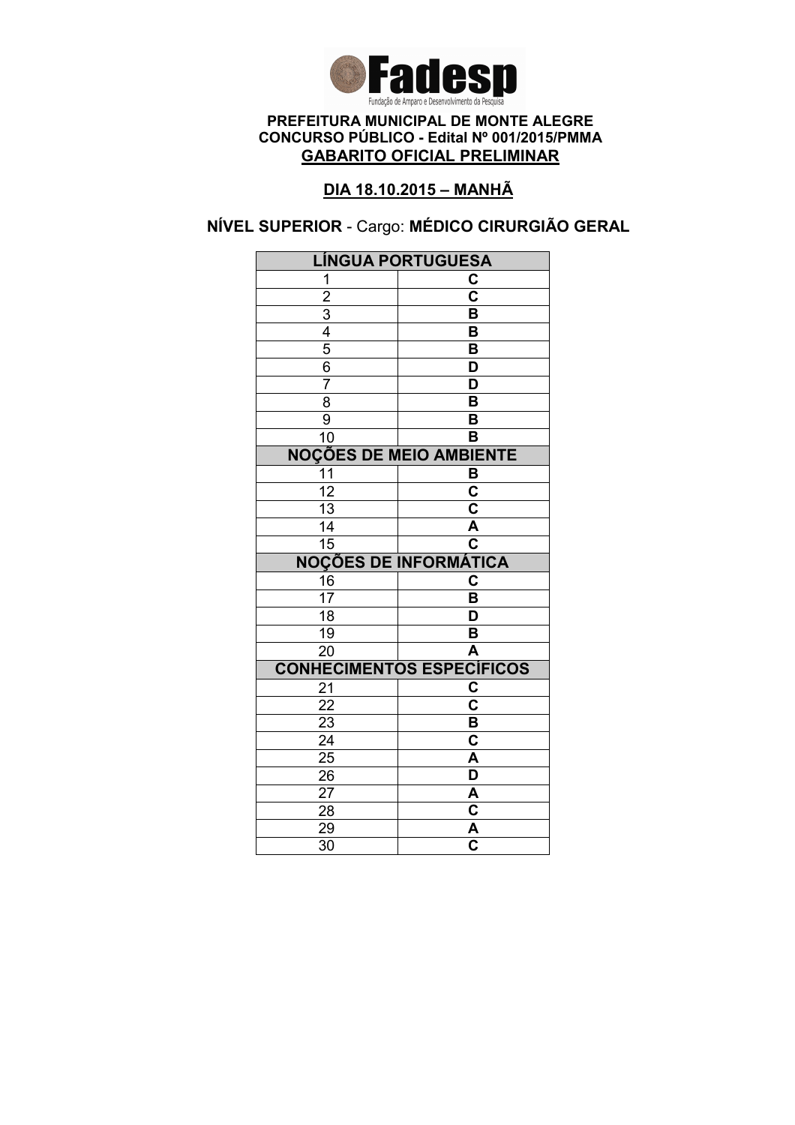

### DIA 18.10.2015 – MANHÃ

# NÍVEL SUPERIOR - Cargo: MÉDICO CIRURGIÃO GERAL

| <b>LÍNGUA PORTUGUESA</b>                  |                                  |
|-------------------------------------------|----------------------------------|
| 1                                         | C                                |
|                                           | $\overline{\mathbf{c}}$          |
|                                           | B                                |
|                                           | B                                |
| $\frac{2}{3}$ $\frac{4}{5}$ $\frac{6}{6}$ | B                                |
|                                           | D                                |
| $\overline{7}$                            | $\overline{\mathsf{D}}$          |
| 8                                         | $\overline{\mathsf{B}}$          |
| $\overline{9}$                            | B                                |
| 10                                        | B                                |
| <b>NOÇÕES DE MEIO AMBIENTE</b>            |                                  |
| 11                                        | B                                |
| $\overline{12}$                           | $\overline{\mathbf{c}}$          |
| $\overline{13}$                           | $\overline{\mathsf{c}}$          |
| 14                                        | A                                |
| $\overline{15}$                           | $\overline{\textbf{c}}$          |
|                                           | <b>NOÇÕES DE INFORMÁTICA</b>     |
| $\frac{16}{17}$                           | C                                |
|                                           | B                                |
| $\overline{18}$                           | $\overline{\mathsf{D}}$          |
| $\overline{19}$                           | B                                |
| $\overline{20}$                           | $\overline{\mathsf{A}}$          |
|                                           |                                  |
|                                           | <b>CONHECIMENTOS ESPECÍFICOS</b> |
| 21                                        | C                                |
| 22                                        | $\overline{\textbf{c}}$          |
| 23                                        | B                                |
| $\overline{24}$                           | $\overline{\textbf{c}}$          |
| $2\overline{5}$                           | $\overline{\mathsf{A}}$          |
| 26                                        | D                                |
| 27                                        | A                                |
| 28                                        | $\overline{\mathsf{c}}$          |
| 29<br>$\overline{30}$                     | $\frac{\overline{A}}{C}$         |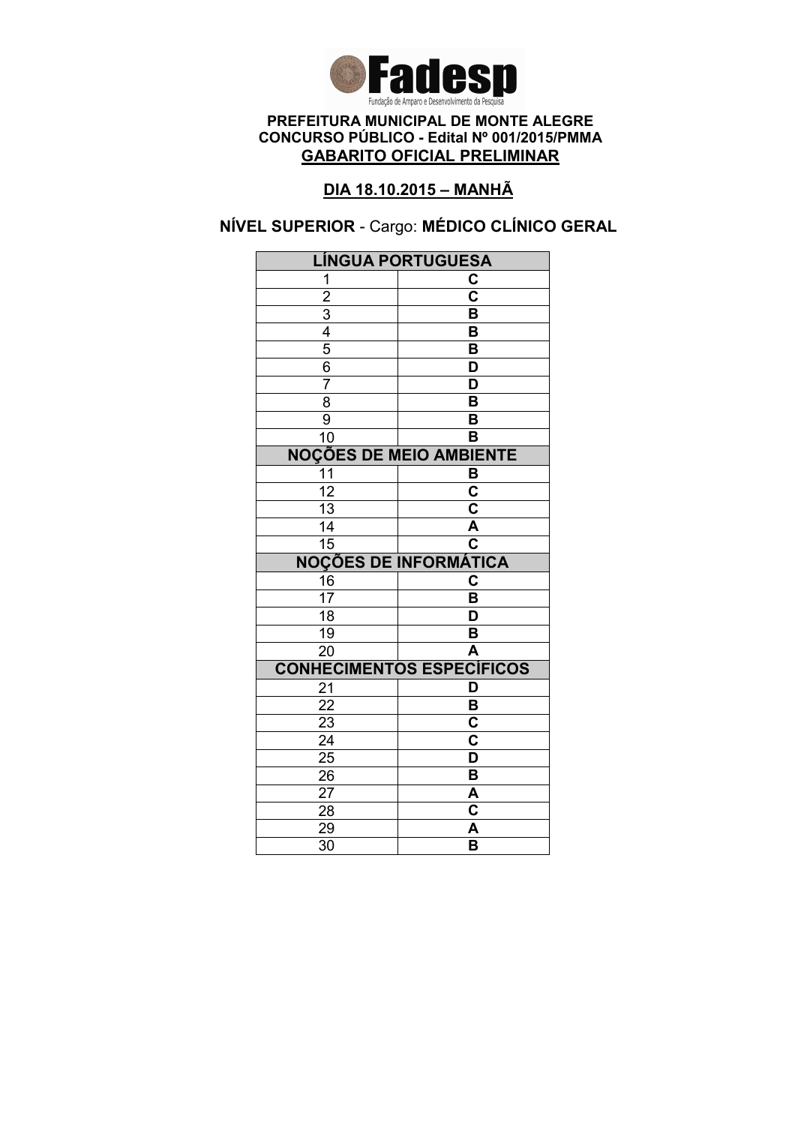

### DIA 18.10.2015 – MANHÃ

# NÍVEL SUPERIOR - Cargo: MÉDICO CLÍNICO GERAL

| <b>LÍNGUA PORTUGUESA</b>                  |                                  |
|-------------------------------------------|----------------------------------|
| 1                                         | C                                |
|                                           | $\overline{\mathbf{c}}$          |
|                                           | B                                |
|                                           | B                                |
| $\frac{2}{3}$ $\frac{4}{5}$ $\frac{6}{3}$ | $\overline{\mathsf{B}}$          |
|                                           | D                                |
| $\overline{7}$                            | $\overline{\mathsf{D}}$          |
| 8                                         | $\overline{\mathsf{B}}$          |
| $\overline{9}$                            | B                                |
| 10                                        | B                                |
| <b>NOÇÕES DE MEIO AMBIENTE</b>            |                                  |
| $\overline{11}$                           | B                                |
| $\overline{12}$                           | $\overline{\mathbf{c}}$          |
| $\overline{13}$                           | $\overline{\mathsf{c}}$          |
| 14                                        | A                                |
| $\overline{15}$                           | $\overline{\mathbf{c}}$          |
|                                           | <b>NOÇÕES DE INFORMÁTICA</b>     |
| 16                                        | C                                |
| $\overline{17}$                           | B                                |
| $\overline{18}$                           | $\overline{\mathsf{D}}$          |
| $\overline{19}$                           | B                                |
| $\overline{20}$                           | $\overline{\mathsf{A}}$          |
|                                           | <b>CONHECIMENTOS ESPECÍFICOS</b> |
| 21                                        | D                                |
| 22                                        | B                                |
| 23                                        | C                                |
| $\overline{24}$                           | $\overline{\textbf{c}}$          |
| $\overline{25}$                           | $\overline{\mathsf{D}}$          |
| 26                                        |                                  |
|                                           | B                                |
| 27                                        | A                                |
| 28                                        | $\overline{\mathbf{c}}$          |
| 29<br>$\overline{30}$                     | A<br>$\overline{\mathsf{B}}$     |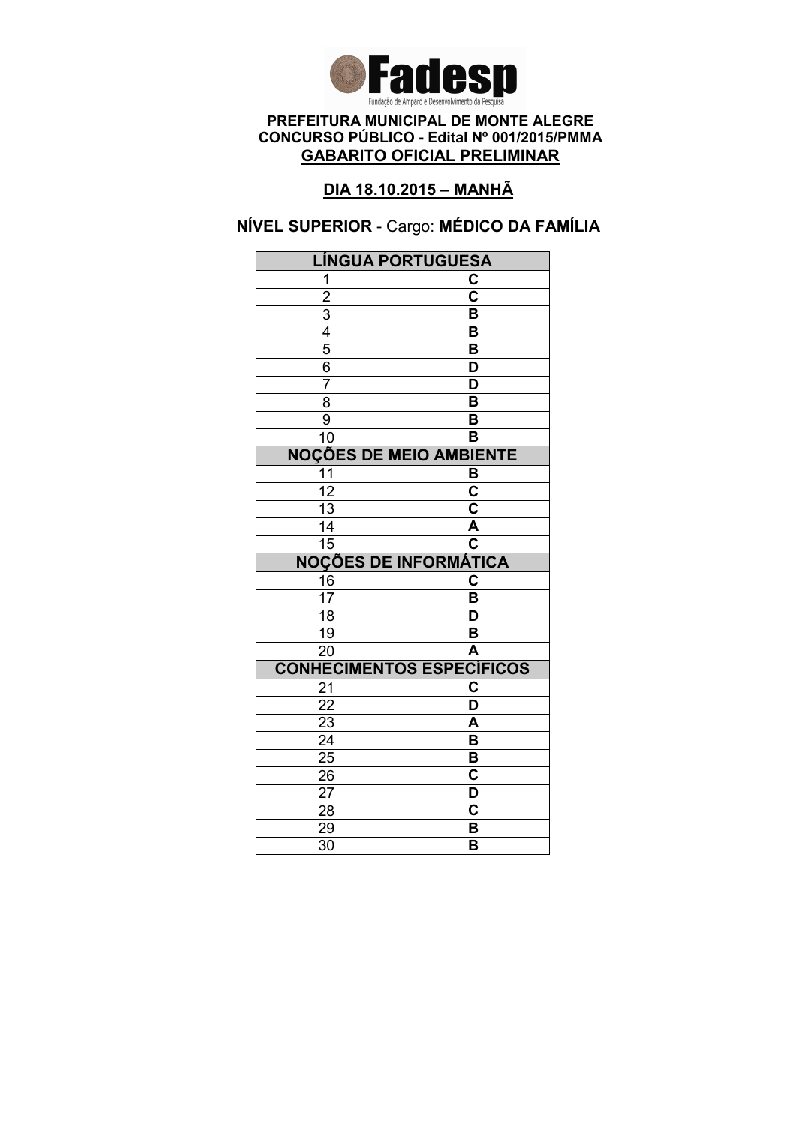

### DIA 18.10.2015 – MANHÃ

# NÍVEL SUPERIOR - Cargo: MÉDICO DA FAMÍLIA

| <b>LÍNGUA PORTUGUESA</b>                                |                                  |
|---------------------------------------------------------|----------------------------------|
| 1                                                       | C                                |
|                                                         | $\overline{\textbf{c}}$          |
|                                                         | B                                |
|                                                         | B                                |
| $\frac{2}{3}$ $\frac{3}{4}$ $\frac{4}{5}$ $\frac{6}{6}$ | B                                |
|                                                         | D                                |
| $\overline{7}$                                          | $\overline{\mathsf{D}}$          |
| $\overline{\bf 8}$                                      | $\overline{\mathsf{B}}$          |
| $\overline{9}$                                          | B                                |
| $\overline{10}$                                         | B                                |
| <b>NOÇÕES DE MEIO AMBIENTE</b>                          |                                  |
| $\overline{11}$                                         | B                                |
| $\overline{12}$                                         | $\overline{\mathbf{c}}$          |
| $\overline{13}$                                         | $\overline{\mathsf{c}}$          |
| 14                                                      | A                                |
| $\overline{15}$                                         | $\overline{\textbf{c}}$          |
|                                                         | <b>NOÇÕES DE INFORMÁTICA</b>     |
| 16                                                      | C                                |
| $\overline{17}$                                         | B                                |
| $\overline{18}$                                         | $\overline{\mathsf{D}}$          |
| $\overline{19}$                                         | B                                |
| $\overline{20}$                                         | $\overline{\mathsf{A}}$          |
|                                                         | <b>CONHECIMENTOS ESPECÍFICOS</b> |
| 21                                                      | C                                |
| 22                                                      | $\overline{\mathsf{D}}$          |
| 23                                                      | A                                |
| $\overline{24}$                                         | $\overline{\mathsf{B}}$          |
| $\overline{25}$                                         | B                                |
| 26                                                      |                                  |
|                                                         | $\overline{\text{c}}$            |
| 27                                                      | D                                |
| 28                                                      | C                                |
| 29<br>$\overline{30}$                                   | B<br>$\overline{\mathsf{B}}$     |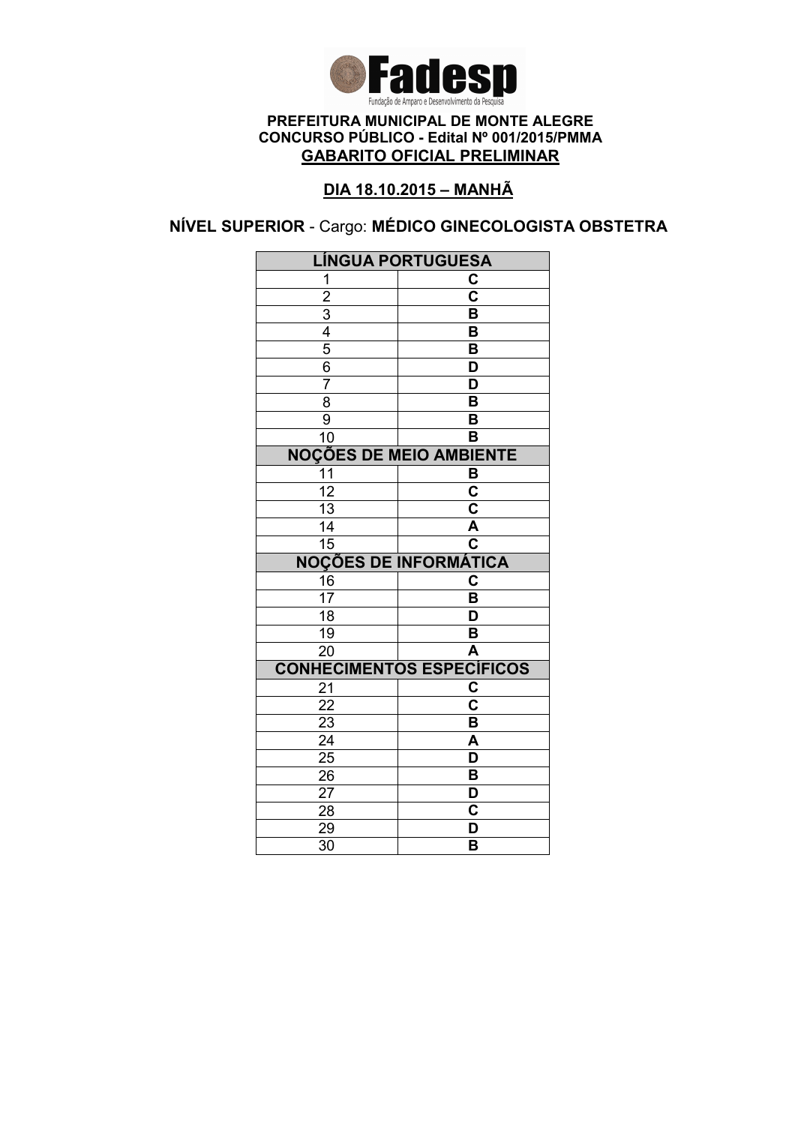

### DIA 18.10.2015 – MANHÃ

NÍVEL SUPERIOR - Cargo: MÉDICO GINECOLOGISTA OBSTETRA

| <b>LÍNGUA PORTUGUESA</b>       |                                  |
|--------------------------------|----------------------------------|
| 1                              | C                                |
|                                | $\overline{\text{c}}$            |
| $\frac{2}{3}$                  | $\overline{\mathsf{B}}$          |
|                                | B                                |
| $\overline{5}$                 | B                                |
| $\overline{6}$                 | D                                |
| $\overline{7}$                 | $\overline{\mathsf{D}}$          |
| 8                              | $\overline{\mathsf{B}}$          |
| 9                              | B                                |
| $\overline{10}$                | $\overline{\mathsf{B}}$          |
| <b>NOÇÕES DE MEIO AMBIENTE</b> |                                  |
| 11                             | B                                |
| $\overline{12}$                | $\overline{\mathbf{c}}$          |
| $\overline{13}$                | $\overline{\mathsf{c}}$          |
| $\overline{14}$                | Ā                                |
| $\overline{15}$                | $\overline{\mathbf{c}}$          |
|                                | <b>NOÇÕES DE INFORMÁTICA</b>     |
| 16                             | C                                |
| $\overline{17}$                | B                                |
| $\overline{18}$                | $\overline{\mathsf{D}}$          |
| 19                             | B                                |
| $\overline{20}$                | A                                |
|                                | <b>CONHECIMENTOS ESPECÍFICOS</b> |
| 21                             | C                                |
| $\overline{22}$                | $\overline{\textbf{c}}$          |
| 23                             | B                                |
| $\overline{24}$                | A                                |
| $\overline{25}$                | $\overline{\mathsf{D}}$          |
| 26                             | B                                |
| 27                             | D                                |
| 28                             | C                                |
|                                |                                  |
| 29<br>$\overline{30}$          | D<br>B                           |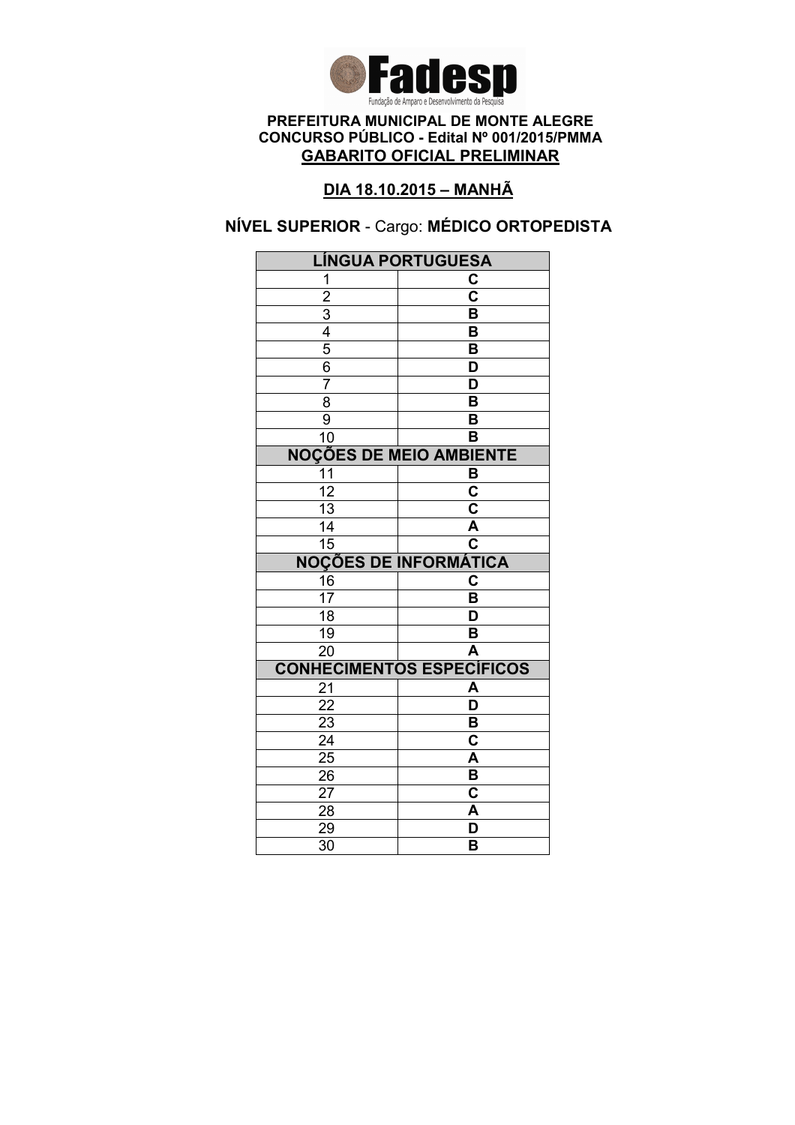

### DIA 18.10.2015 – MANHÃ

# NÍVEL SUPERIOR - Cargo: MÉDICO ORTOPEDISTA

| <b>LÍNGUA PORTUGUESA</b>       |                                  |
|--------------------------------|----------------------------------|
| 1                              | C                                |
| $\overline{2}$                 | $\overline{\mathbf{c}}$          |
|                                | $\overline{\mathsf{B}}$          |
| $\frac{3}{4}$                  | B                                |
|                                | B                                |
| $\frac{6}{7}$                  | D                                |
|                                | $\overline{\mathsf{D}}$          |
| $\overline{8}$                 | $\overline{\mathsf{B}}$          |
| 9                              | B                                |
| $\overline{10}$                | B                                |
| <b>NOÇÕES DE MEIO AMBIENTE</b> |                                  |
| 11                             | B                                |
| $\overline{12}$                | $\overline{\mathbf{c}}$          |
| $\overline{13}$                | $\overline{\mathbf{c}}$          |
| $\overline{14}$                | A                                |
| $\overline{15}$                | $\overline{\mathbf{c}}$          |
|                                | <b>NOÇÕES DE INFORMÁTICA</b>     |
| 16                             | C                                |
| $\overline{17}$                | B                                |
| $\overline{18}$                | D                                |
| $\overline{19}$                | B                                |
| $\overline{20}$                | $\overline{\mathsf{A}}$          |
|                                | <b>CONHECIMENTOS ESPECÍFICOS</b> |
| 21                             | A                                |
| $\overline{22}$                | $\overline{\mathsf{D}}$          |
| $\frac{2}{3}$                  | B                                |
| $\overline{24}$                | $\overline{\text{c}}$            |
| $\overline{25}$                |                                  |
|                                | A                                |
| 26                             | B                                |
| 27                             | C                                |
| 28                             | A                                |
| 29<br>$\overline{30}$          | D<br>B                           |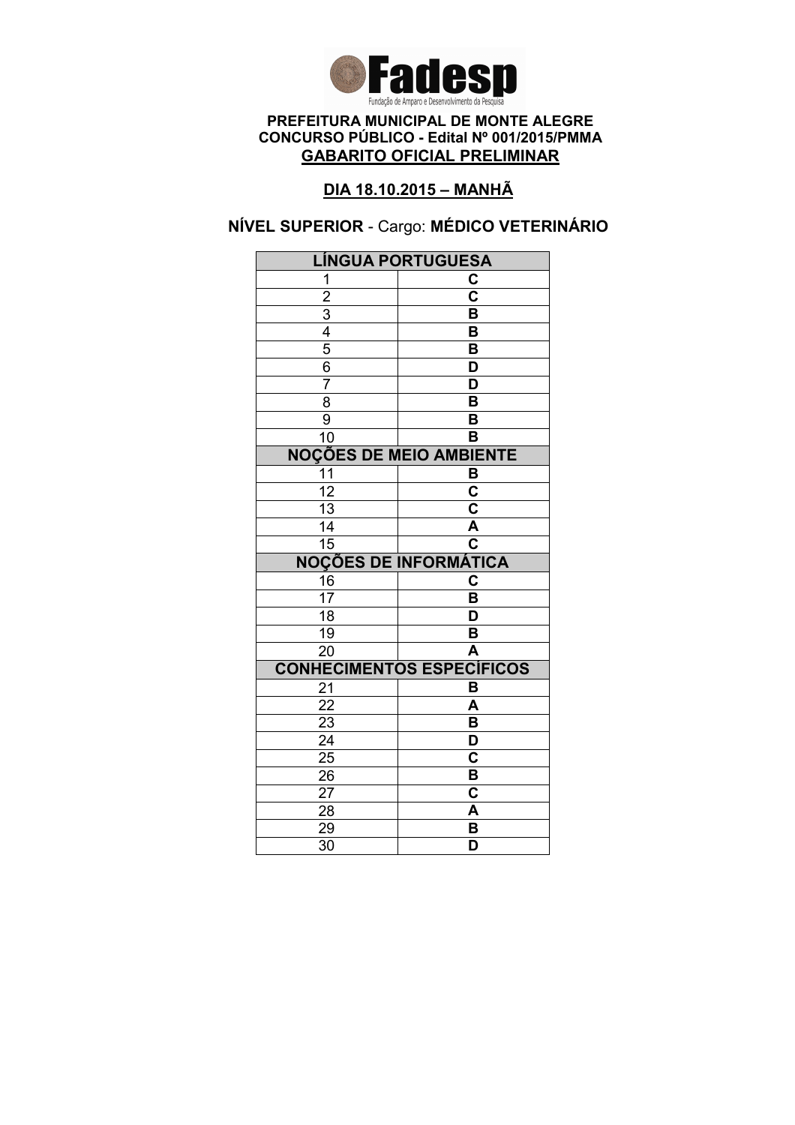

### DIA 18.10.2015 – MANHÃ

# NÍVEL SUPERIOR - Cargo: MÉDICO VETERINÁRIO

| <b>LÍNGUA PORTUGUESA</b> |                                  |
|--------------------------|----------------------------------|
| 1                        | C                                |
| $\overline{2}$           | $\overline{\mathbf{c}}$          |
|                          | B                                |
| $\frac{3}{4}$            | B                                |
|                          | $\overline{\mathsf{B}}$          |
| 6                        | D                                |
| 7                        | D                                |
| $\overline{8}$           | $\overline{\mathsf{B}}$          |
| 9                        | B                                |
| 10                       | B                                |
|                          | <b>NOÇÕES DE MEIO AMBIENTE</b>   |
| 11                       | B                                |
| $\overline{12}$          | $\overline{\mathbf{c}}$          |
| $\overline{13}$          | $\overline{\mathbf{c}}$          |
| 14                       | $\overline{\mathsf{A}}$          |
| $\overline{15}$          | $\overline{\textbf{c}}$          |
|                          | <b>NOÇÕES DE INFORMÁTICA</b>     |
| 16                       | $\overline{\textbf{c}}$          |
| 17                       | B                                |
| $\overline{18}$          | D                                |
| 19                       | B                                |
| $\overline{20}$          | A                                |
|                          | <b>CONHECIMENTOS ESPECÍFICOS</b> |
| 21                       | B                                |
| 22                       | A                                |
| 23                       | B                                |
| $\overline{24}$          | $\overline{\mathsf{D}}$          |
| $\overline{25}$          | C                                |
| 26                       | B                                |
|                          |                                  |
| 27                       | C                                |
| 28                       | A                                |
| 29<br>$\overline{30}$    | B<br>$\overline{\mathsf{D}}$     |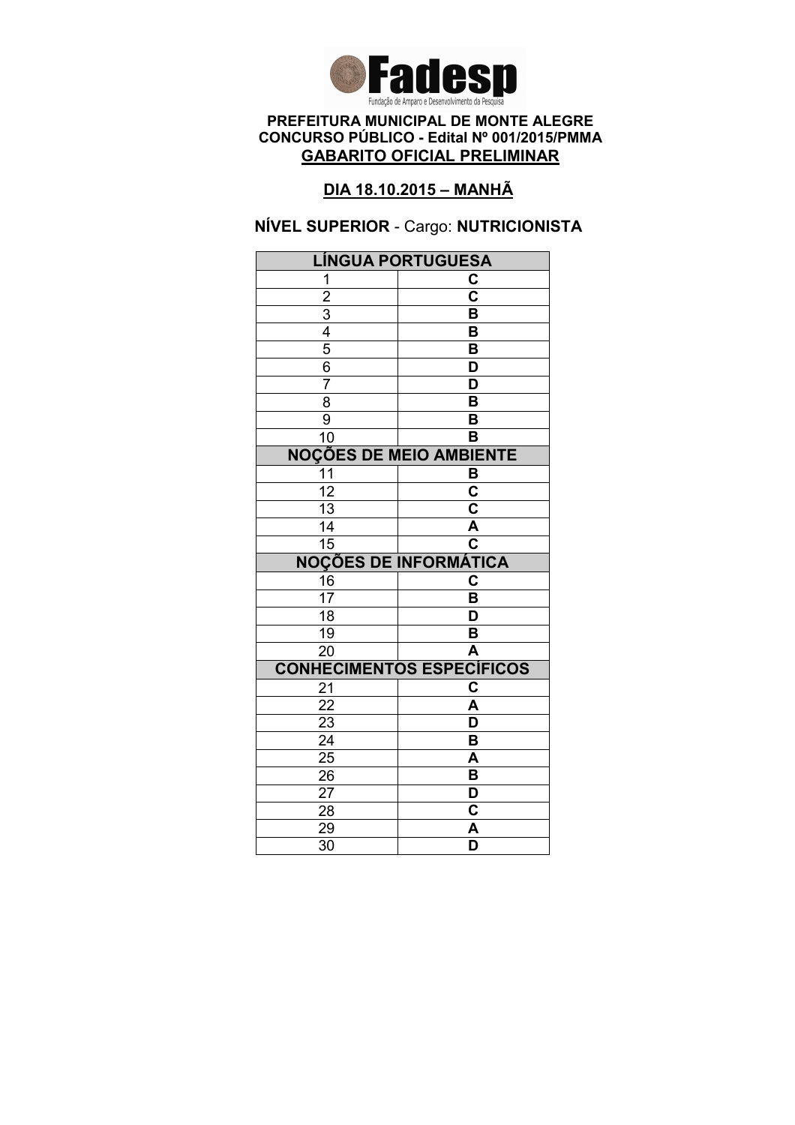

### DIA 18.10.2015 – MANHÃ

### NÍVEL SUPERIOR - Cargo: NUTRICIONISTA

| <b>LÍNGUA PORTUGUESA</b>     |                                  |
|------------------------------|----------------------------------|
| 1                            | C                                |
| $\overline{2}$               | $\overline{\mathsf{c}}$          |
|                              | B                                |
| $\frac{3}{4}$                | B                                |
|                              | B                                |
| $\overline{6}$               | D                                |
| 7                            | $\overline{\mathsf{D}}$          |
| $\overline{8}$               | B                                |
| $\overline{9}$               | B                                |
| $\overline{10}$              | $\overline{\mathsf{B}}$          |
|                              | <b>NOÇÕES DE MEIO AMBIENTE</b>   |
| $\overline{11}$              | B                                |
| $\overline{12}$              | $\overline{\mathbf{c}}$          |
| 13                           | C                                |
| 14                           | $\overline{\mathsf{A}}$          |
| $\overline{15}$              | C                                |
| <b>NOÇÕES DE INFORMÁTICA</b> |                                  |
|                              |                                  |
| 16                           | C                                |
| $\overline{17}$              | B                                |
| $\overline{18}$              | D                                |
| 19                           | B                                |
| $\overline{20}$              | A                                |
|                              | <b>CONHECIMENTOS ESPECÍFICOS</b> |
| 21                           | C                                |
| $\overline{22}$              | A                                |
| 23                           | D                                |
| $\overline{24}$              | $\overline{\mathsf{B}}$          |
| 25                           | A                                |
| 26                           | B                                |
| 27                           | D                                |
| 28                           | C                                |
| 29<br>$\overline{30}$        | A<br>$\overline{\mathsf{D}}$     |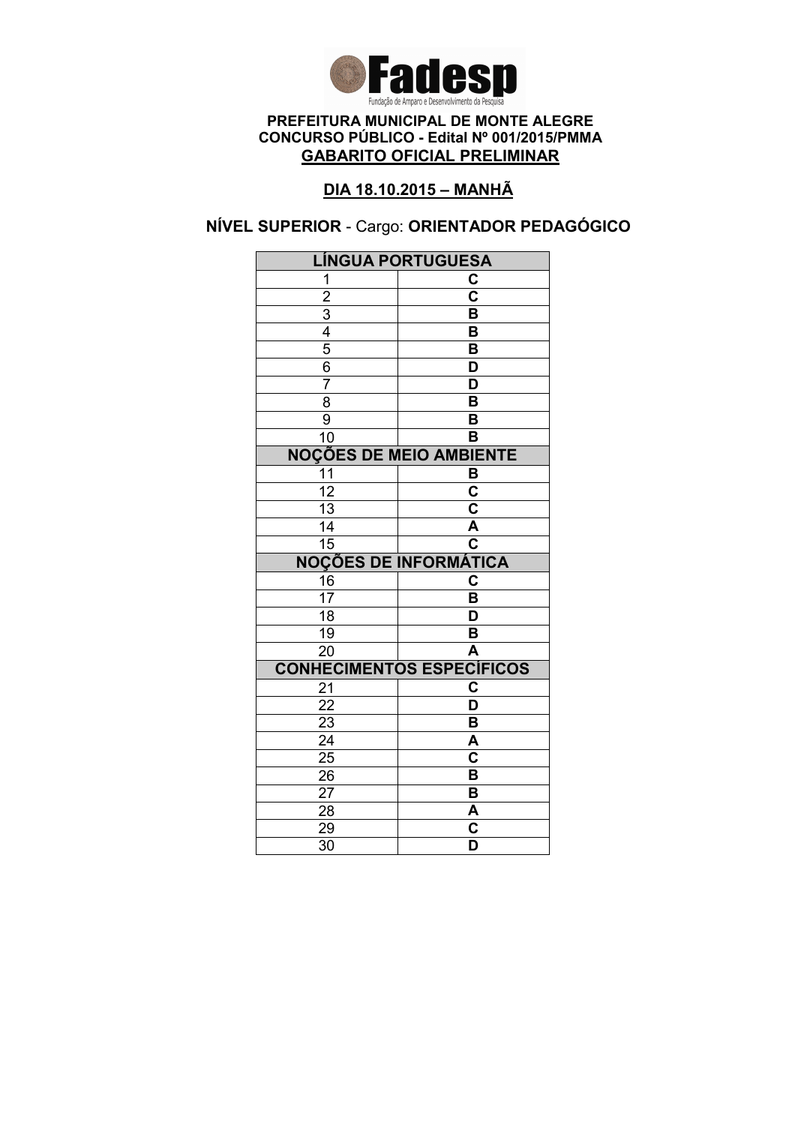

### DIA 18.10.2015 – MANHÃ

# NÍVEL SUPERIOR - Cargo: ORIENTADOR PEDAGÓGICO

| <b>LÍNGUA PORTUGUESA</b> |                                                    |
|--------------------------|----------------------------------------------------|
| 1                        | C                                                  |
| $\overline{2}$           | $\overline{\mathbf{c}}$                            |
|                          | $\overline{\mathsf{B}}$                            |
| $\frac{3}{4}$            | B                                                  |
|                          | B                                                  |
| $\frac{6}{7}$            | D                                                  |
|                          | $\overline{\mathsf{D}}$                            |
| $\overline{8}$           | $\overline{\mathsf{B}}$                            |
| $\overline{9}$           | B                                                  |
| $\overline{10}$          | B                                                  |
|                          | <b>NOÇÕES DE MEIO AMBIENTE</b>                     |
| 11                       | B                                                  |
| $\overline{12}$          | $\overline{\mathbf{c}}$                            |
| $\overline{13}$          | $\overline{\mathbf{c}}$                            |
| $\overline{14}$          | A                                                  |
| $\overline{15}$          | $\overline{\mathbf{c}}$                            |
|                          | <b>NOÇÕES DE INFORMÁTICA</b>                       |
| $\frac{16}{17}$          | C                                                  |
|                          | B                                                  |
| $\overline{18}$          | D                                                  |
| $\overline{19}$          | B                                                  |
| $\overline{20}$          | $\overline{\mathsf{A}}$                            |
|                          | <b>CONHECIMENTOS ESPECÍFICOS</b>                   |
| 21                       | C                                                  |
| $\overline{22}$          | $\overline{\mathsf{D}}$                            |
|                          |                                                    |
| $\overline{23}$          | B                                                  |
| $\overline{24}$          | A                                                  |
| $2\overline{5}$          | $\overline{\mathbf{c}}$                            |
| 26                       | B                                                  |
| 27                       | B                                                  |
| 28                       | <u>А</u>                                           |
| 29<br>$\overline{30}$    | $\overline{\mathbf{c}}$<br>$\overline{\mathsf{D}}$ |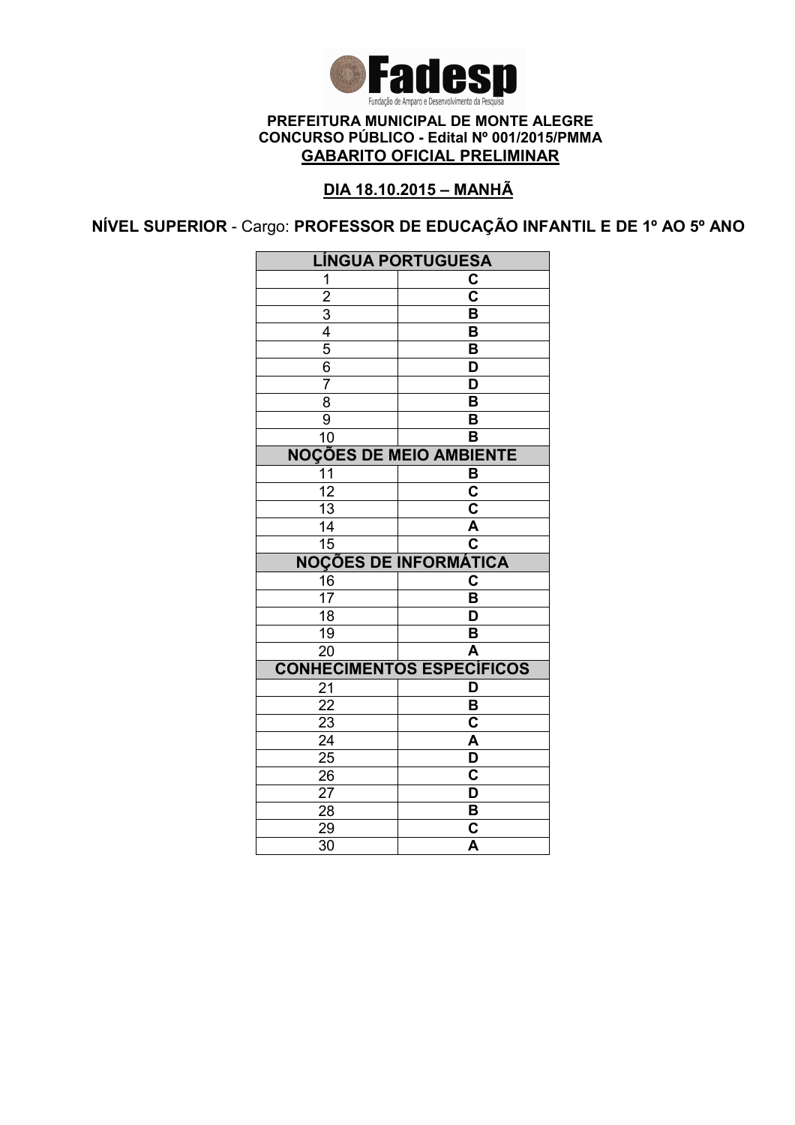

### DIA 18.10.2015 – MANHÃ

NÍVEL SUPERIOR - Cargo: PROFESSOR DE EDUCAÇÃO INFANTIL E DE 1º AO 5º ANO

|                 | <b>LÍNGUA PORTUGUESA</b>         |
|-----------------|----------------------------------|
| 1               | С                                |
| $\overline{c}$  | $\overline{\mathbf{c}}$          |
| $\overline{3}$  | B                                |
| $\frac{4}{5}$   | $\overline{\mathsf{B}}$          |
|                 | B                                |
| $\overline{6}$  | D                                |
| $\overline{7}$  | D                                |
| $\overline{8}$  | $\overline{\mathsf{B}}$          |
| 9               | B                                |
| $\overline{1}0$ | B                                |
|                 | <b>NOÇÕES DE MEIO AMBIENTE</b>   |
| 11              | B                                |
| $\overline{12}$ | $\overline{\textbf{c}}$          |
| $\overline{13}$ | $\overline{\mathbf{c}}$          |
| 14              | $\overline{\mathsf{A}}$          |
| $\overline{15}$ | $\overline{\mathbf{c}}$          |
|                 |                                  |
|                 | <b>NOÇÕES DE INFORMÁTICA</b>     |
| 16              | C                                |
| $1\overline{7}$ | B                                |
| 18              | D                                |
| 19              | B                                |
| 20              | $\overline{\mathsf{A}}$          |
|                 | <b>CONHECIMENTOS ESPECÍFICOS</b> |
| 21              | D                                |
| 22              | B                                |
| 23              | C                                |
| 24              | $\overline{\mathsf{A}}$          |
| $\overline{25}$ | $\overline{\mathsf{D}}$          |
| 26              | $\overline{\mathbf{c}}$          |
| 27              | D                                |
| 28              | B                                |
| 29<br>30        | C<br>$\overline{\mathsf{A}}$     |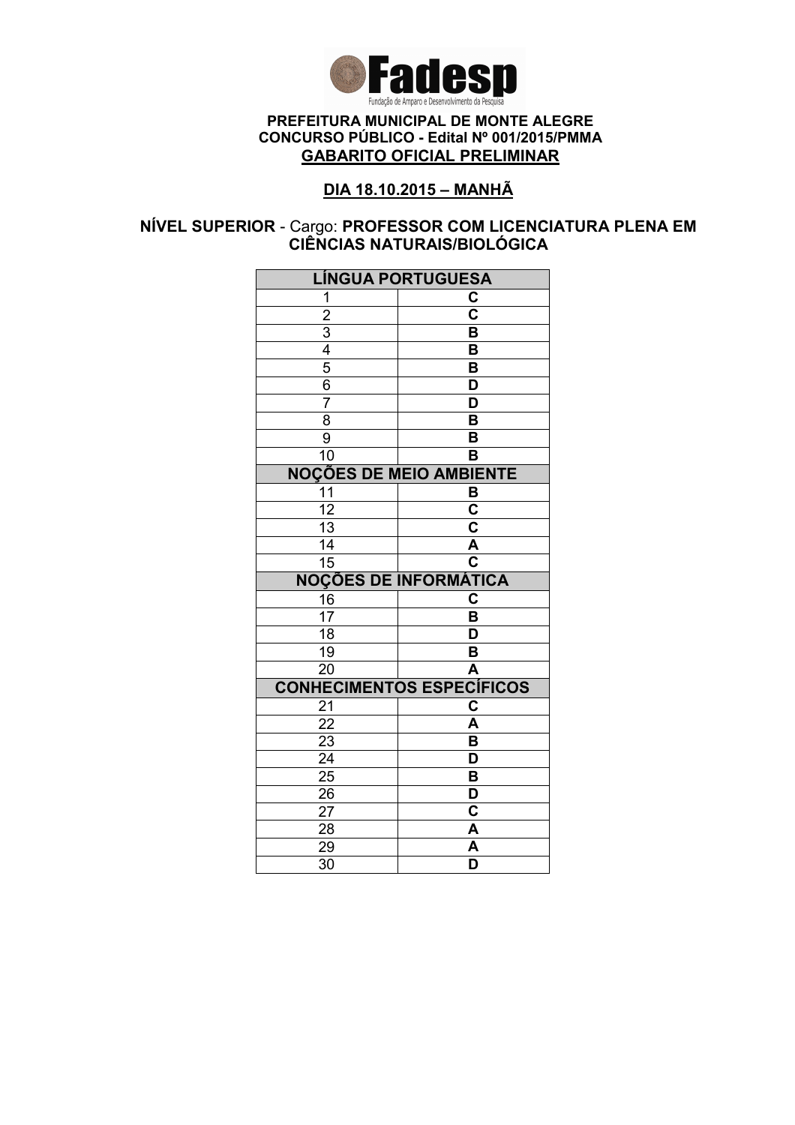

### DIA 18.10.2015 – MANHÃ

### NÍVEL SUPERIOR - Cargo: PROFESSOR COM LICENCIATURA PLENA EM CIÊNCIAS NATURAIS/BIOLÓGICA

| <b>LÍNGUA PORTUGUESA</b> |                                  |
|--------------------------|----------------------------------|
| 1                        | C                                |
| $\overline{2}$           | $\overline{\mathbf{c}}$          |
|                          | B                                |
| $\frac{3}{4}$            | B                                |
| $\overline{5}$           | $\overline{\mathsf{B}}$          |
| $\overline{6}$           | D                                |
| $\overline{7}$           | D                                |
| $\overline{8}$           | $\overline{\mathsf{B}}$          |
| 9                        | B                                |
| 10                       | B                                |
|                          | <b>NOÇÕES DE MEIO AMBIENTE</b>   |
| 11                       | B                                |
| $\overline{12}$          | $\overline{\mathbf{c}}$          |
| $\overline{13}$          | $\overline{\mathsf{c}}$          |
| 14                       | $\overline{\mathsf{A}}$          |
| 15                       | $\overline{\mathbf{c}}$          |
|                          | <b>NOÇÕES DE INFORMÁTICA</b>     |
| 16                       | $\mathbf C$                      |
| $\overline{17}$          | B                                |
| 18                       | D                                |
| 19                       | B                                |
|                          |                                  |
| 20                       | A                                |
|                          | <b>CONHECIMENTOS ESPECÍFICOS</b> |
| 21                       | C                                |
| $2\overline{2}$          | A                                |
| 23                       | $\overline{\mathsf{B}}$          |
| $\overline{24}$          | $\overline{\mathsf{D}}$          |
| $\overline{25}$          | $\overline{\mathsf{B}}$          |
| 26                       | D                                |
| 27                       | C                                |
| 28                       | A                                |
| 29<br>$\overline{30}$    | A<br>D                           |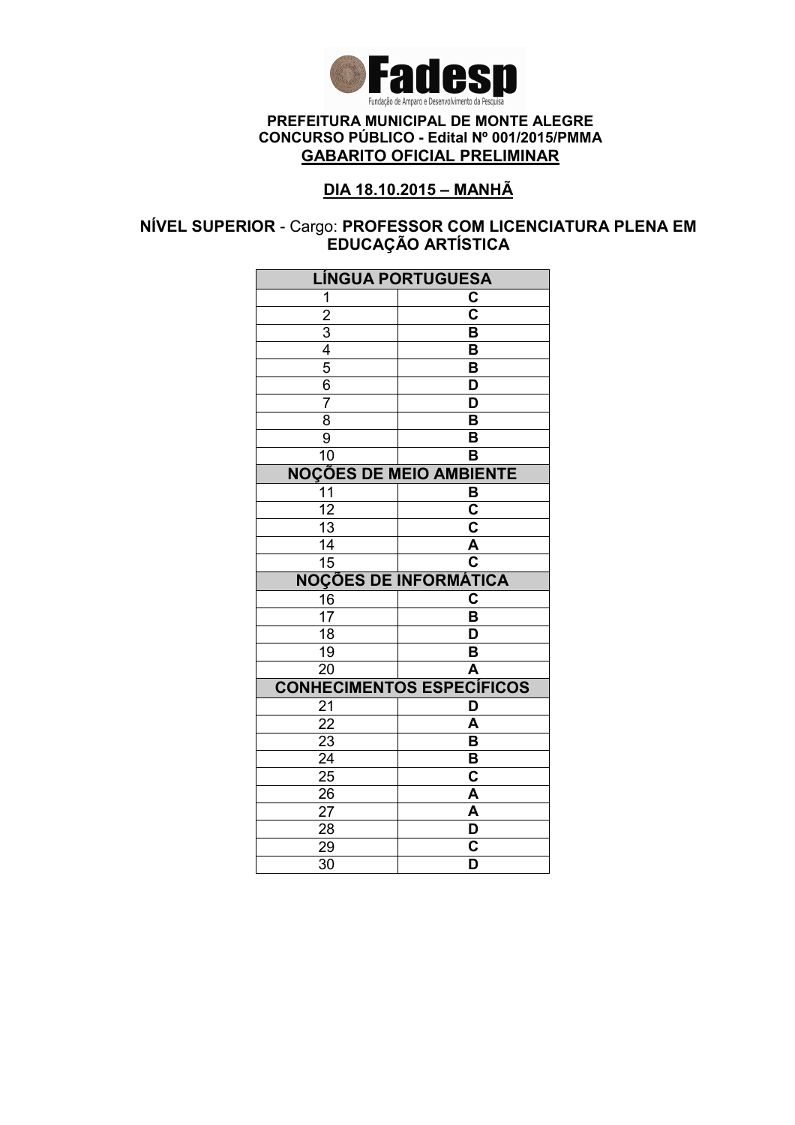

### DIA 18.10.2015 – MANHÃ

### NÍVEL SUPERIOR - Cargo: PROFESSOR COM LICENCIATURA PLENA EM EDUCAÇAO ARTISTICA

| <b>LÍNGUA PORTUGUESA</b> |                                                    |
|--------------------------|----------------------------------------------------|
| 1                        | C                                                  |
| $\overline{2}$           | $\overline{\mathbf{c}}$                            |
|                          | B                                                  |
| $\frac{3}{4}$            | B                                                  |
|                          | $\overline{\mathsf{B}}$                            |
| $\overline{6}$           | D                                                  |
| $\overline{7}$           | D                                                  |
| $\overline{8}$           | $\overline{\mathsf{B}}$                            |
| 9                        | B                                                  |
| 10                       | B                                                  |
|                          | <b>NOÇÕES DE MEIO AMBIENTE</b>                     |
| 11                       | B                                                  |
| $\overline{12}$          | $\overline{\mathsf{c}}$                            |
| $\overline{13}$          | $\overline{\mathsf{c}}$                            |
| 14                       | $\overline{\mathsf{A}}$                            |
| 15                       | $\overline{\mathbf{c}}$                            |
|                          | <b>NOÇÕES DE INFORMÁTICA</b>                       |
| 16                       | $\mathbf C$                                        |
| $\overline{17}$          | B                                                  |
| 18                       | D                                                  |
| 19                       | B                                                  |
| 20                       | A                                                  |
|                          |                                                    |
|                          | <b>CONHECIMENTOS ESPECÍFICOS</b>                   |
| 21                       | D                                                  |
| $\overline{22}$          | A                                                  |
| 23                       | $\overline{\mathsf{B}}$                            |
| $\overline{24}$          | $\overline{\mathsf{B}}$                            |
| $\overline{25}$          | $\overline{\textbf{c}}$                            |
| 26                       | A                                                  |
| $2\overline{7}$          | A                                                  |
| 28                       | D                                                  |
| 29<br>$\overline{30}$    | $\overline{\mathsf{c}}$<br>$\overline{\mathsf{D}}$ |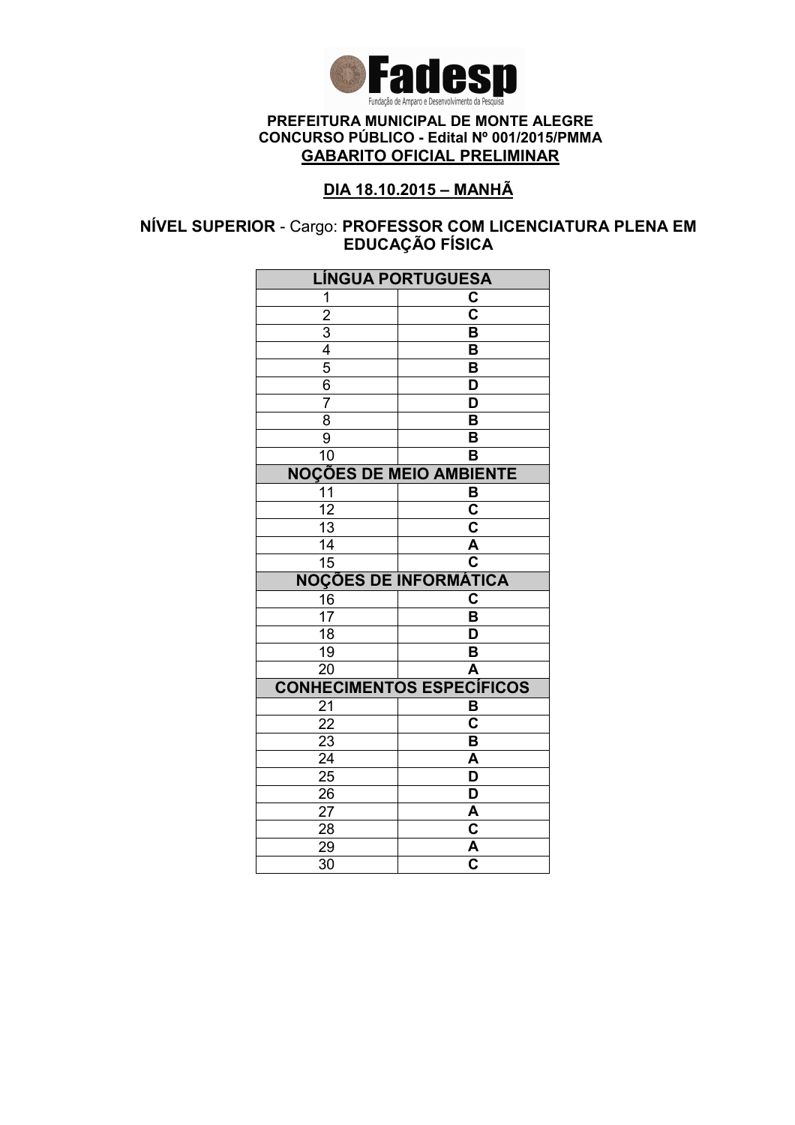

### DIA 18.10.2015 – MANHÃ

### NÍVEL SUPERIOR - Cargo: PROFESSOR COM LICENCIATURA PLENA EM EDUCAÇÃO FÍSICA

| <b>LÍNGUA PORTUGUESA</b> |                                  |
|--------------------------|----------------------------------|
| 1                        | C                                |
| $\overline{2}$           | $\overline{\mathbf{c}}$          |
|                          | B                                |
| $\frac{3}{4}$            | B                                |
|                          | $\overline{\mathsf{B}}$          |
| $\overline{6}$           | D                                |
| $\overline{7}$           | D                                |
| $\overline{8}$           | $\overline{\mathsf{B}}$          |
| 9                        | B                                |
| 10                       | B                                |
|                          | <b>NOÇÕES DE MEIO AMBIENTE</b>   |
| 11                       | B                                |
| $\overline{12}$          | $\overline{\mathsf{c}}$          |
| $\overline{13}$          | $\overline{\mathsf{c}}$          |
| 14                       | $\overline{\mathsf{A}}$          |
| 15                       | $\overline{\mathbf{c}}$          |
|                          | <b>NOÇÕES DE INFORMÁTICA</b>     |
| 16                       | $\mathbf C$                      |
| $\overline{17}$          | B                                |
| 18                       | D                                |
| 19                       | B                                |
| 20                       | A                                |
|                          |                                  |
|                          | <b>CONHECIMENTOS ESPECÍFICOS</b> |
| 21                       | B                                |
| $\overline{22}$          | C                                |
| 23                       | $\overline{\mathsf{B}}$          |
| $\overline{24}$          | $\overline{\mathsf{A}}$          |
| $\overline{25}$          | $\overline{\mathsf{D}}$          |
| 26                       | $\overline{\mathsf{D}}$          |
| $2\overline{7}$          | A                                |
| 28                       | $\overline{\mathsf{C}}$          |
| 29<br>$\overline{30}$    | $\frac{\overline{A}}{C}$         |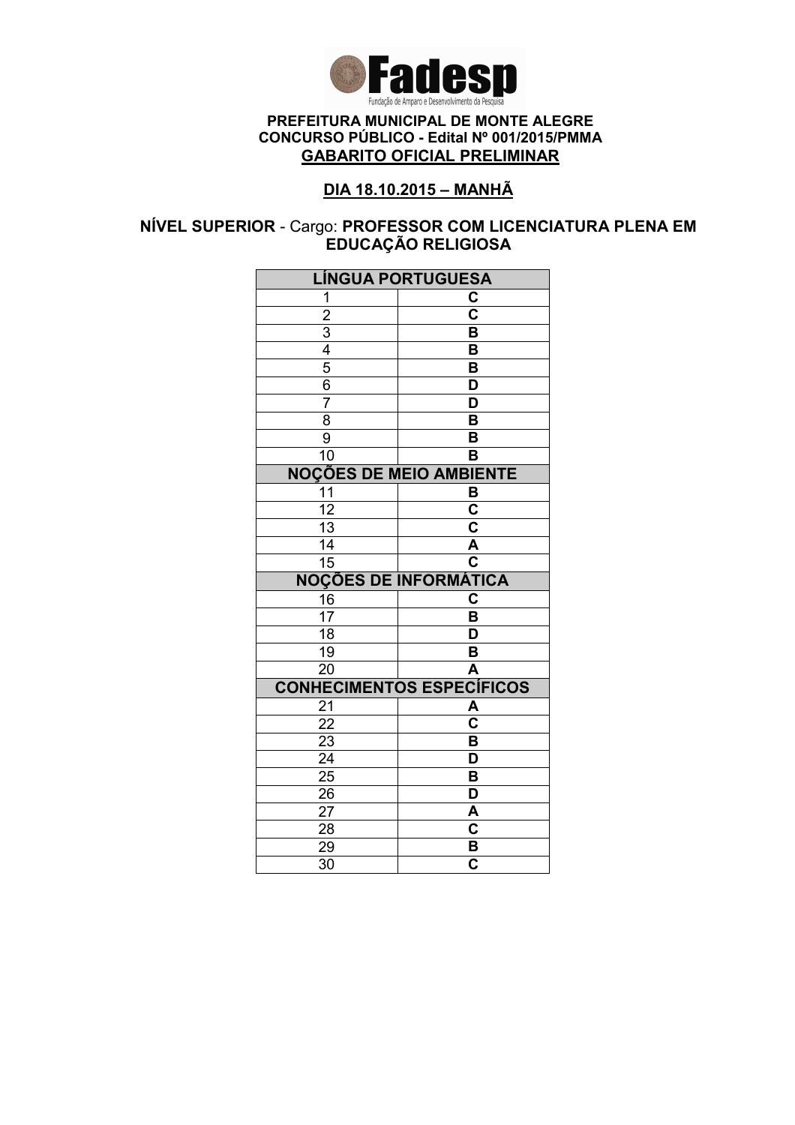

### DIA 18.10.2015 – MANHÃ

### NÍVEL SUPERIOR - Cargo: PROFESSOR COM LICENCIATURA PLENA EM EDUCAÇÃO RELIGIOSA

| <b>LÍNGUA PORTUGUESA</b>                                |                                                    |
|---------------------------------------------------------|----------------------------------------------------|
| 1                                                       | C                                                  |
|                                                         | $\overline{\text{c}}$                              |
|                                                         | $\overline{\mathsf{B}}$                            |
|                                                         | B                                                  |
| $\frac{2}{3}$ $\frac{3}{4}$ $\frac{4}{5}$ $\frac{6}{6}$ | B                                                  |
|                                                         | D                                                  |
| $\overline{7}$                                          | D                                                  |
| $\overline{8}$                                          | $\overline{\mathsf{B}}$                            |
| $\overline{9}$                                          | B                                                  |
| 10                                                      | B                                                  |
|                                                         | <b>NOÇÕES DE MEIO AMBIENTE</b>                     |
| 11                                                      | B                                                  |
| $\overline{12}$                                         | $\overline{\mathbf{c}}$                            |
| $\overline{13}$                                         | $\overline{\mathbf{c}}$                            |
| 14                                                      | A                                                  |
| 15                                                      | $\overline{\mathbf{c}}$                            |
|                                                         | <b>NOÇÕES DE INFORMÁTICA</b>                       |
| $\frac{16}{17}$                                         | C                                                  |
|                                                         | B                                                  |
| 18                                                      | D                                                  |
| 19                                                      | B                                                  |
| 20                                                      | A                                                  |
|                                                         | <b>CONHECIMENTOS ESPECÍFICOS</b>                   |
| 21                                                      | A                                                  |
| $\overline{22}$                                         | $\overline{\textbf{c}}$                            |
| $\overline{23}$                                         | $\overline{\mathsf{B}}$                            |
| $\overline{24}$                                         | $\overline{\mathsf{D}}$                            |
|                                                         |                                                    |
| $\overline{25}$                                         | $\overline{\mathsf{B}}$                            |
| 26                                                      | $\overline{\mathsf{D}}$                            |
| 27                                                      | A                                                  |
| 28                                                      | $\mathbf C$                                        |
| 29<br>$\overline{30}$                                   | $\overline{\mathbf{B}}$<br>$\overline{\mathbf{c}}$ |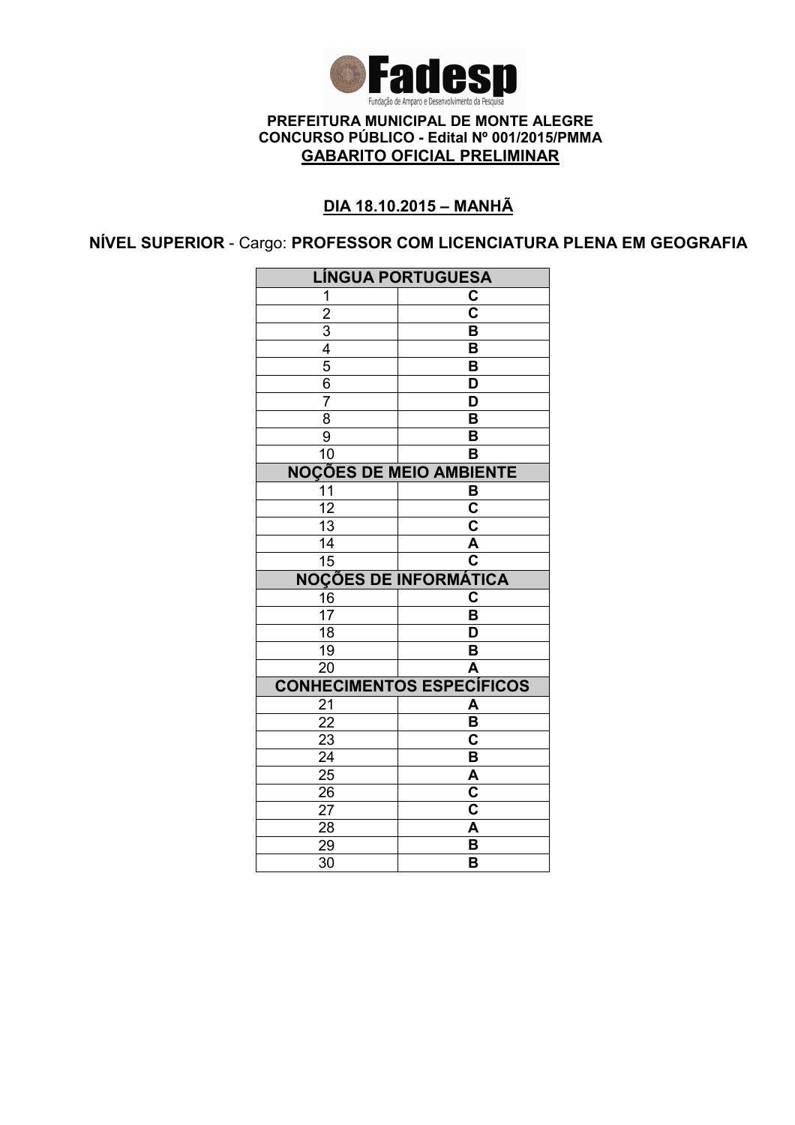

### DIA 18.10.2015 – MANHÃ

NÍVEL SUPERIOR - Cargo: PROFESSOR COM LICENCIATURA PLENA EM GEOGRAFIA

| <b>LÍNGUA PORTUGUESA</b> |                                    |
|--------------------------|------------------------------------|
| 1                        | C                                  |
| $\overline{2}$           | $\overline{\mathbf{c}}$            |
|                          | $\overline{\mathsf{B}}$            |
| $\frac{3}{4}$            | $\overline{\mathsf{B}}$            |
|                          | B                                  |
| $\frac{6}{7}$            | D                                  |
|                          | $\overline{\mathsf{D}}$            |
| 8                        | B                                  |
| $\overline{9}$           | B                                  |
| 10                       | B                                  |
|                          | <b>NOÇÕES DE MEIO AMBIENTE</b>     |
| $\overline{11}$          | B                                  |
| $\overline{12}$          | $\overline{\mathsf{c}}$            |
| $\overline{13}$          | $\overline{\mathsf{c}}$            |
| $\overline{14}$          | A                                  |
| $\overline{15}$          | $\overline{\mathbf{c}}$            |
|                          | <b>NOÇÕES DE INFORMÁTICA</b>       |
| 16                       | $\mathbf C$                        |
| $\overline{17}$          | B                                  |
| 18                       | D                                  |
| 19                       | B                                  |
| $\overline{20}$          | A                                  |
|                          | <b>CONHECIMENTOS ESPECÍFICOS</b>   |
| 21                       | A                                  |
| $\overline{22}$          | $\overline{\mathsf{B}}$            |
| $\overline{23}$          | $\overline{\mathbf{C}}$            |
| $\overline{24}$          | $\overline{\mathsf{B}}$            |
| $2\overline{5}$          | $\overline{\mathsf{A}}$            |
| 26                       | $\overline{\overline{\textbf{c}}}$ |
| 27                       | $\overline{\mathbf{c}}$            |
| 28                       | A                                  |
| 29                       |                                    |
| 30                       | B<br>B                             |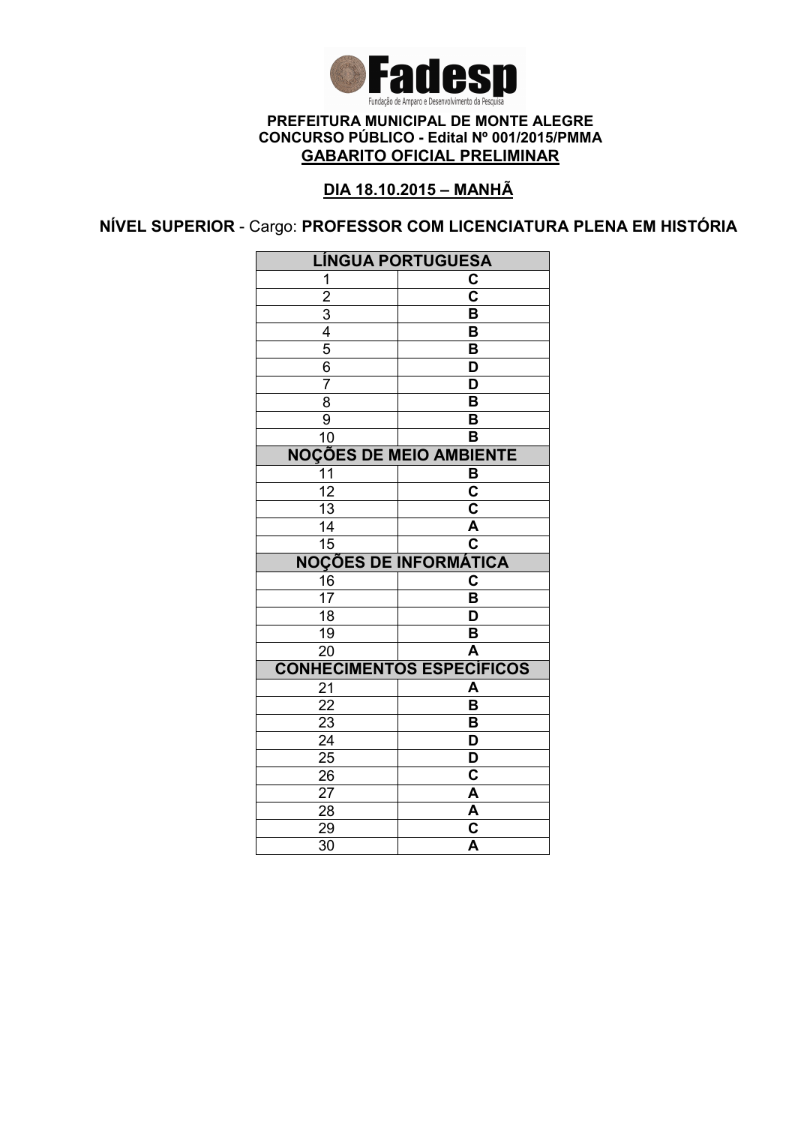

### DIA 18.10.2015 – MANHÃ

NÍVEL SUPERIOR - Cargo: PROFESSOR COM LICENCIATURA PLENA EM HISTÓRIA

| <b>LÍNGUA PORTUGUESA</b> |                                                                               |
|--------------------------|-------------------------------------------------------------------------------|
| 1                        | C                                                                             |
|                          | $\overline{\text{c}}$                                                         |
| $\frac{2}{3}$            | B                                                                             |
|                          | B                                                                             |
| 5                        | B                                                                             |
| $\overline{6}$           | D                                                                             |
| $\overline{7}$           | D                                                                             |
| $\overline{8}$           | $\overline{\mathsf{B}}$                                                       |
| $\overline{9}$           | $\overline{\mathsf{B}}$                                                       |
| $\overline{10}$          | B                                                                             |
|                          | <b>NOÇÕES DE MEIO AMBIENTE</b>                                                |
| 11                       | B                                                                             |
| $\overline{12}$          | $\overline{\textbf{c}}$                                                       |
| $\overline{13}$          | $\overline{\mathsf{c}}$                                                       |
| 14                       | A                                                                             |
| $\overline{15}$          | $\overline{\mathbf{c}}$                                                       |
|                          | <b>NOÇÕES DE INFORMÁTICA</b>                                                  |
| 16                       | C                                                                             |
| 17                       | B                                                                             |
| 18                       | D                                                                             |
| 19                       | B                                                                             |
| $\overline{20}$          | A                                                                             |
|                          | <b>CONHECIMENTOS ESPECÍFICOS</b>                                              |
| 21                       | A                                                                             |
| $\overline{22}$          | B                                                                             |
| 23                       | B                                                                             |
| $\overline{24}$          | $\overline{\mathsf{D}}$                                                       |
| $\overline{25}$          | $\overline{\mathsf{D}}$                                                       |
| 26                       |                                                                               |
|                          | C                                                                             |
| 27                       | A                                                                             |
| 28                       |                                                                               |
| 29<br>$\overline{30}$    | $\overline{\mathbf{A}}$<br>$\overline{\mathbf{c}}$<br>$\overline{\mathsf{A}}$ |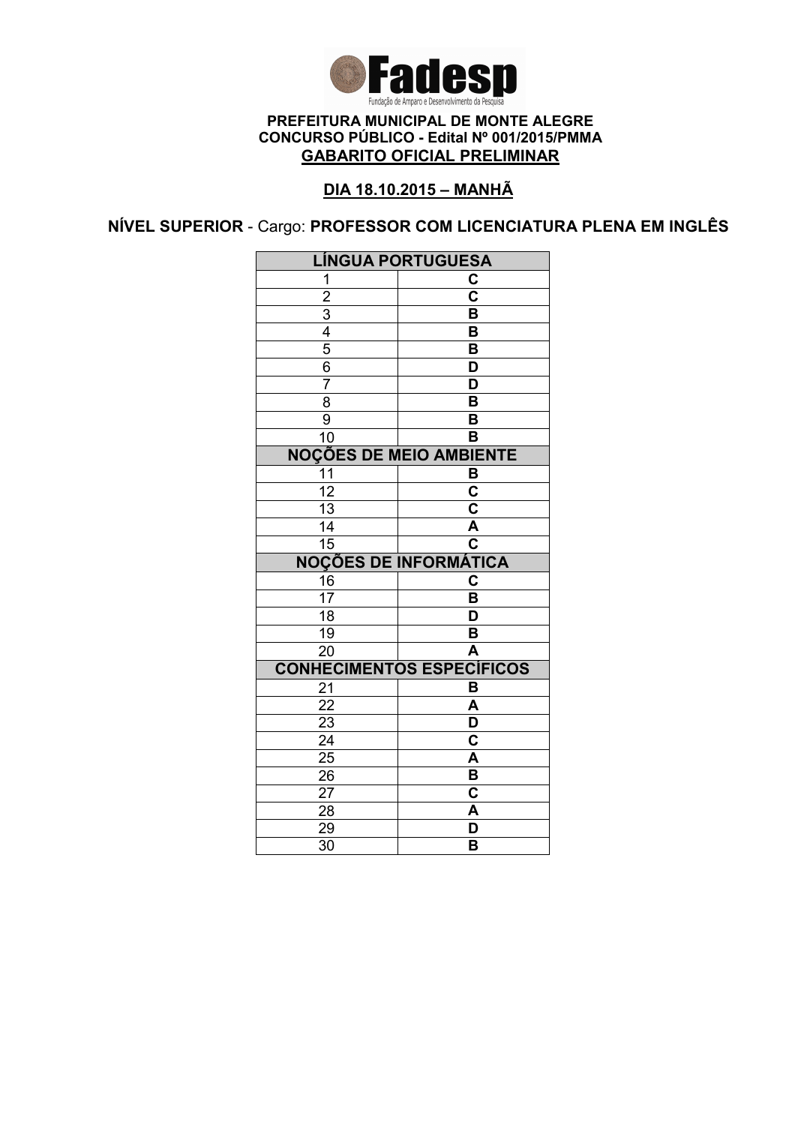

### DIA 18.10.2015 – MANHÃ

NÍVEL SUPERIOR - Cargo: PROFESSOR COM LICENCIATURA PLENA EM INGLÊS

| <b>LÍNGUA PORTUGUESA</b> |                                  |
|--------------------------|----------------------------------|
| 1                        | C                                |
| $\overline{2}$           | $\overline{\text{c}}$            |
|                          | $\overline{\mathsf{B}}$          |
| $\frac{3}{4}$            | B                                |
|                          | B                                |
| $\overline{6}$           | D                                |
| $\overline{7}$           | D                                |
| $\overline{8}$           | $\overline{\mathsf{B}}$          |
| $\overline{9}$           | $\overline{\mathsf{B}}$          |
| $\overline{10}$          | B                                |
|                          | <b>NOÇÕES DE MEIO AMBIENTE</b>   |
| 11                       | B                                |
| $\overline{12}$          | $\overline{\textbf{c}}$          |
| $\overline{13}$          | $\overline{\mathbf{c}}$          |
| $\overline{14}$          | $\overline{\mathsf{A}}$          |
| $\overline{15}$          | $\overline{\mathsf{c}}$          |
|                          |                                  |
|                          | <b>NOÇÕES DE INFORMÁTICA</b>     |
| 16                       | C                                |
| $\overline{17}$          | $\overline{\mathsf{B}}$          |
| $\overline{18}$          | D                                |
| 19                       | B                                |
| $\overline{20}$          | A                                |
|                          | <b>CONHECIMENTOS ESPECÍFICOS</b> |
| 21                       | B                                |
| 22                       | $\overline{\mathsf{A}}$          |
| <u>23</u>                | D                                |
| $\overline{24}$          | $\overline{\textbf{c}}$          |
| $2\overline{5}$          | A                                |
| $\overline{26}$          | $\overline{\mathsf{B}}$          |
| 27                       | $\overline{\textbf{c}}$          |
| 28                       | A                                |
| 29<br>30                 | D<br>B                           |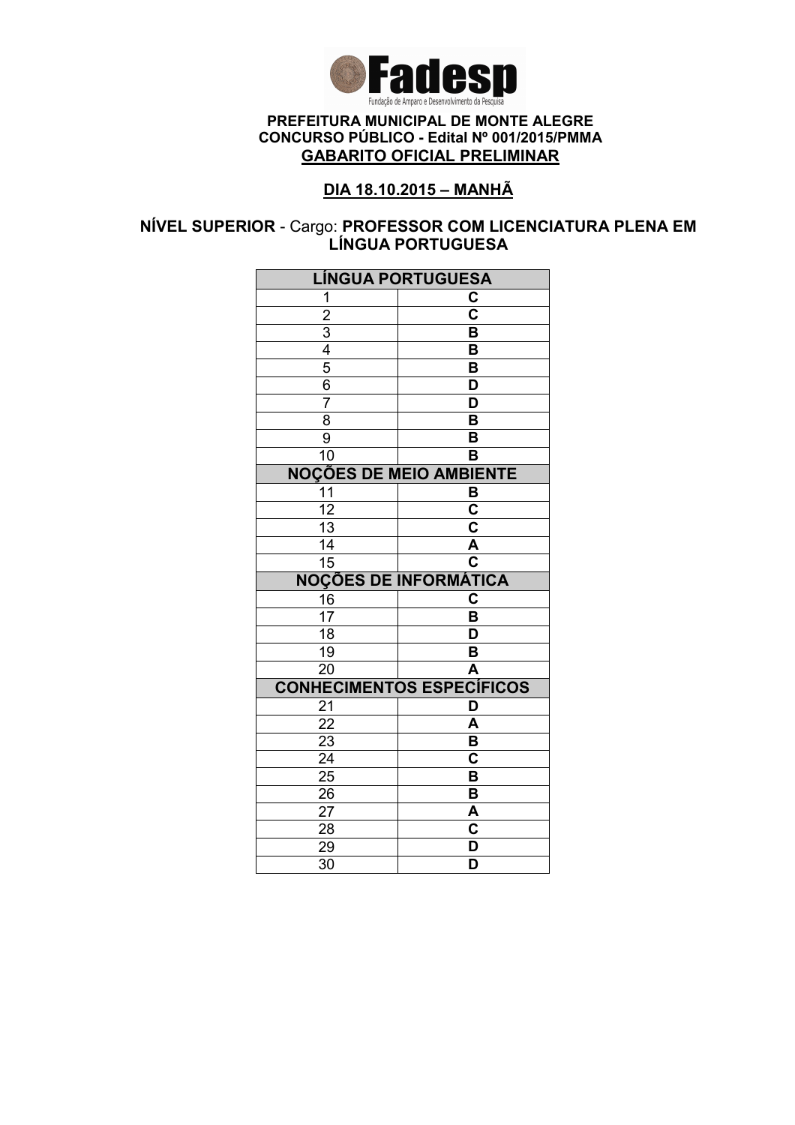

### DIA 18.10.2015 – MANHÃ

### NÍVEL SUPERIOR - Cargo: PROFESSOR COM LICENCIATURA PLENA EM LÍNGUA PORTUGUESA

| <b>LÍNGUA PORTUGUESA</b> |                                  |
|--------------------------|----------------------------------|
| 1                        | C                                |
| $\overline{2}$           | $\overline{\mathbf{c}}$          |
|                          | B                                |
| $\frac{3}{4}$            | B                                |
|                          | $\overline{\mathsf{B}}$          |
| $\overline{6}$           | D                                |
| $\overline{7}$           | D                                |
| $\overline{8}$           | $\overline{\mathsf{B}}$          |
| 9                        | B                                |
| 10                       | B                                |
|                          | <b>NOÇÕES DE MEIO AMBIENTE</b>   |
| 11                       | B                                |
| $\overline{12}$          | $\overline{\mathsf{c}}$          |
| $\overline{13}$          | $\overline{\mathsf{c}}$          |
| 14                       | $\overline{\mathsf{A}}$          |
| 15                       | $\overline{\mathbf{c}}$          |
|                          | <b>NOÇÕES DE INFORMÁTICA</b>     |
| 16                       | $\mathbf C$                      |
| $\overline{17}$          | B                                |
| 18                       | D                                |
| 19                       | B                                |
| 20                       |                                  |
|                          | A                                |
|                          | <b>CONHECIMENTOS ESPECÍFICOS</b> |
| 21                       | D                                |
| $\overline{22}$          | A                                |
| 23                       | $\overline{\mathsf{B}}$          |
| $\overline{24}$          | $\overline{\textbf{c}}$          |
| $\overline{25}$          | $\overline{\mathsf{B}}$          |
| 26                       | $\overline{\mathbf{B}}$          |
| 27                       | A                                |
| 28                       | $\mathbf C$                      |
| 29<br>$\overline{30}$    | D<br>D                           |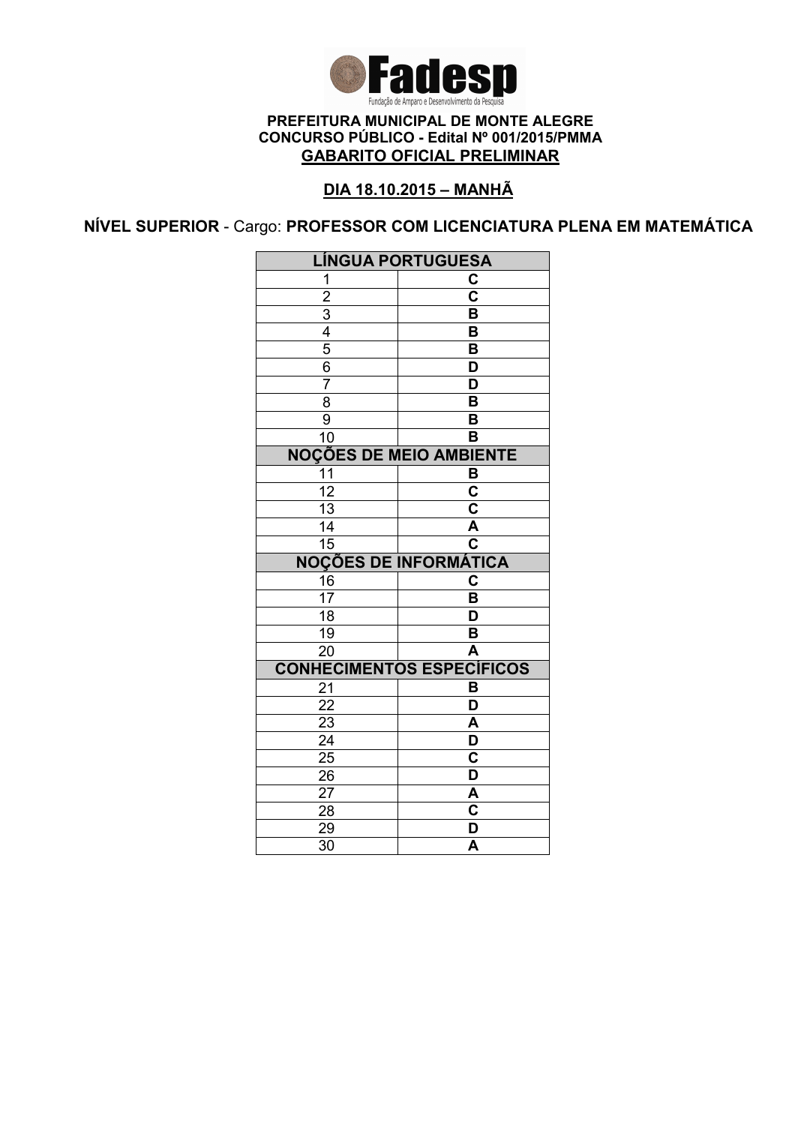

### DIA 18.10.2015 – MANHÃ

NÍVEL SUPERIOR - Cargo: PROFESSOR COM LICENCIATURA PLENA EM MATEMÁTICA

| <b>LÍNGUA PORTUGUESA</b>                  |                                                    |
|-------------------------------------------|----------------------------------------------------|
| 1                                         | C                                                  |
| $\overline{2}$                            | $\overline{\mathsf{c}}$                            |
|                                           | $\overline{\mathsf{B}}$                            |
|                                           | $\overline{\mathsf{B}}$                            |
|                                           | B                                                  |
| $\frac{3}{4}$ $\frac{4}{5}$ $\frac{6}{7}$ | $\overline{\mathsf{D}}$                            |
|                                           | $\overline{\mathsf{D}}$                            |
| $\overline{8}$                            | $\overline{\mathsf{B}}$                            |
| 9                                         | $\overline{\mathsf{B}}$                            |
| 10                                        | $\overline{\mathsf{B}}$                            |
| <b>NOÇÕES DE MEIO AMBIENTE</b>            |                                                    |
| 11                                        | B                                                  |
| $\overline{12}$                           | $\overline{\mathsf{c}}$                            |
| $\overline{13}$                           | $\overline{\mathbf{c}}$                            |
| $\overline{14}$                           | $\frac{\overline{A}}{C}$                           |
| $\overline{15}$                           |                                                    |
|                                           |                                                    |
|                                           | <b>NOÇÕES DE INFORMÁTICA</b>                       |
| 16                                        | $\overline{\mathbf{C}}$                            |
| $\overline{17}$                           | B                                                  |
| $\overline{18}$                           | $\overline{\mathsf{D}}$                            |
| $\overline{19}$                           | B                                                  |
| $\overline{20}$                           | $\overline{\mathsf{A}}$                            |
|                                           | <b>CONHECIMENTOS ESPECÍFICOS</b>                   |
| 21                                        | B                                                  |
| 22                                        | $\overline{\mathsf{D}}$                            |
| $\frac{2}{3}$                             | A                                                  |
| $\overline{24}$                           | $\overline{\mathsf{D}}$                            |
| $\overline{25}$                           | $\overline{\mathsf{C}}$                            |
| 26                                        | $\overline{\mathsf{D}}$                            |
| 27                                        |                                                    |
| 28                                        | $rac{A}{C}$                                        |
| 29<br>30                                  | $\overline{\mathsf{D}}$<br>$\overline{\mathsf{A}}$ |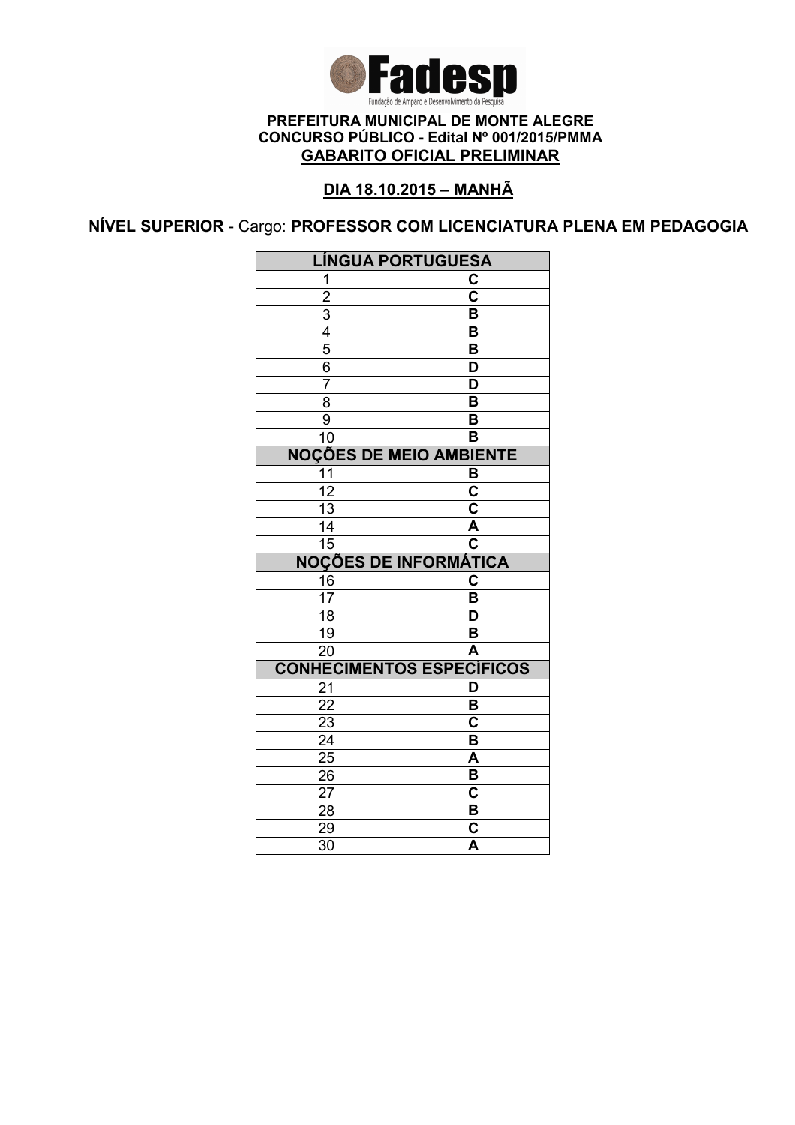

### DIA 18.10.2015 – MANHÃ

NÍVEL SUPERIOR - Cargo: PROFESSOR COM LICENCIATURA PLENA EM PEDAGOGIA

| <b>LÍNGUA PORTUGUESA</b>       |                                  |
|--------------------------------|----------------------------------|
| 1                              | C                                |
| $\overline{2}$                 | $\overline{\mathsf{c}}$          |
| $\overline{3}$                 | $\overline{\mathsf{B}}$          |
| $\frac{4}{5}$                  | B                                |
|                                | B                                |
| 6                              | D                                |
| $\overline{7}$                 | D                                |
| 8                              | $\overline{\mathsf{B}}$          |
| 9                              | B                                |
| 10                             | B                                |
| <b>NOÇÕES DE MEIO AMBIENTE</b> |                                  |
| 11                             | B                                |
| $\overline{12}$                | $\overline{\mathbf{c}}$          |
| $\overline{13}$                | $\overline{\mathbf{c}}$          |
| $\overline{14}$                | Ā                                |
| $\overline{15}$                | $\overline{\mathbf{c}}$          |
|                                |                                  |
|                                | <b>NOÇÕES DE INFORMÁTICA</b>     |
| 16                             | C                                |
| $1\overline{7}$                | B                                |
| $\overline{18}$                | $\overline{\mathsf{D}}$          |
| 19                             | B                                |
| 20                             | A                                |
|                                | <b>CONHECIMENTOS ESPECÍFICOS</b> |
| 21                             | D                                |
| 22                             | B                                |
| 23                             | C                                |
| $\overline{24}$                | $\overline{\mathsf{B}}$          |
| 25                             | A                                |
| 26                             | $\overline{\mathsf{B}}$          |
| 27                             | $\overline{\mathbf{c}}$          |
| 28                             | В                                |
| 29<br>$\overline{30}$          | C<br>$\overline{\mathsf{A}}$     |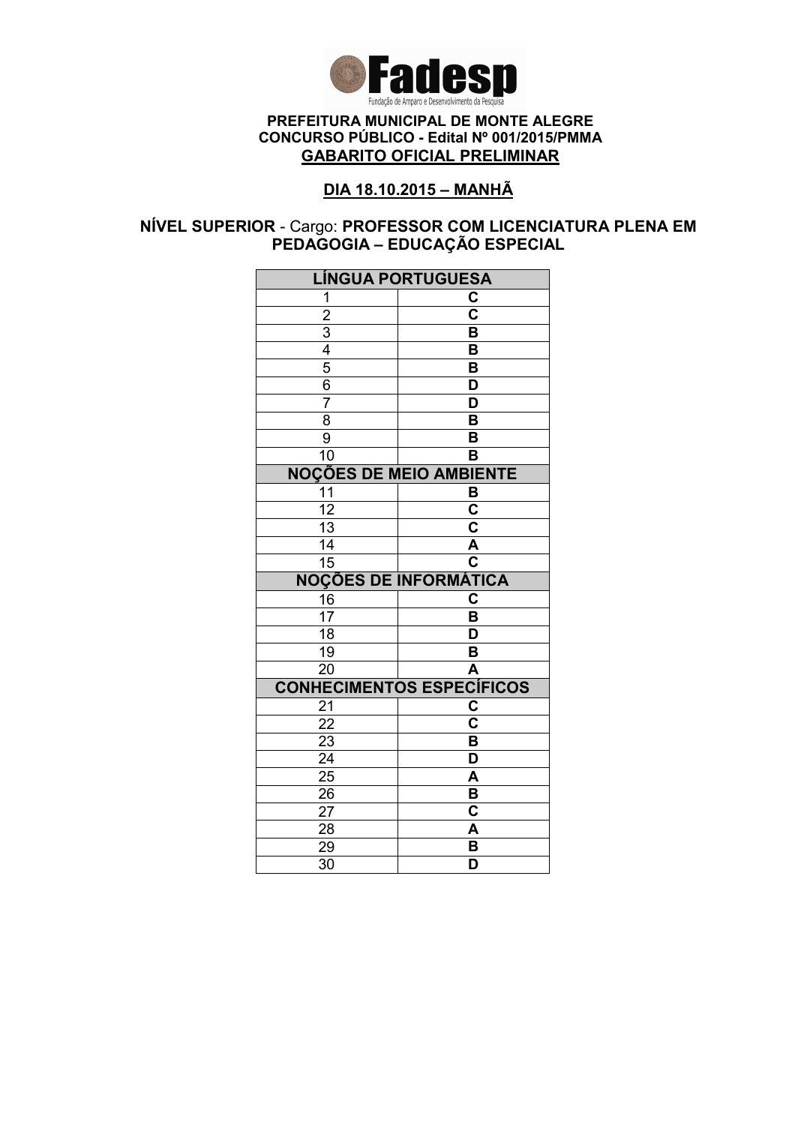

### DIA 18.10.2015 – MANHÃ

### NÍVEL SUPERIOR - Cargo: PROFESSOR COM LICENCIATURA PLENA EM PEDAGOGIA – EDUCAÇÃO ESPECIAL

| <b>LÍNGUA PORTUGUESA</b>                  |                         |
|-------------------------------------------|-------------------------|
| 1                                         | C                       |
|                                           | $\overline{\textbf{c}}$ |
|                                           | $\overline{\mathsf{B}}$ |
|                                           | B                       |
| $\frac{2}{3}$ $\frac{4}{5}$ $\frac{6}{3}$ | B                       |
|                                           | D                       |
| 7                                         | D                       |
| $\overline{8}$                            | $\overline{\mathsf{B}}$ |
| $\overline{9}$                            | B                       |
| 10                                        | B                       |
| <b>NOÇÕES DE MEIO AMBIENTE</b>            |                         |
| 11                                        | B                       |
| $\overline{12}$                           | $\overline{\mathsf{c}}$ |
| $\overline{13}$                           | $\overline{\mathbf{c}}$ |
| $\overline{14}$                           | A                       |
| $\overline{15}$                           | $\overline{\mathbf{c}}$ |
| <b>NOÇÕES DE INFORMÁTICA</b>              |                         |
| $\frac{16}{17}$                           | $\mathbf C$             |
|                                           | B                       |
| 18                                        | D                       |
| 19                                        | B                       |
| 20                                        | A                       |
| <b>CONHECIMENTOS ESPECÍFICOS</b>          |                         |
| 21                                        | C                       |
| $\overline{22}$                           | $\overline{\mathsf{c}}$ |
| 23                                        | $\overline{\mathsf{B}}$ |
| $\overline{24}$                           | $\overline{\mathsf{D}}$ |
| $\overline{25}$                           | A                       |
| 26                                        | B                       |
| 27                                        | C                       |
| 28                                        | A                       |
| 29                                        |                         |
| 30                                        | B<br>D                  |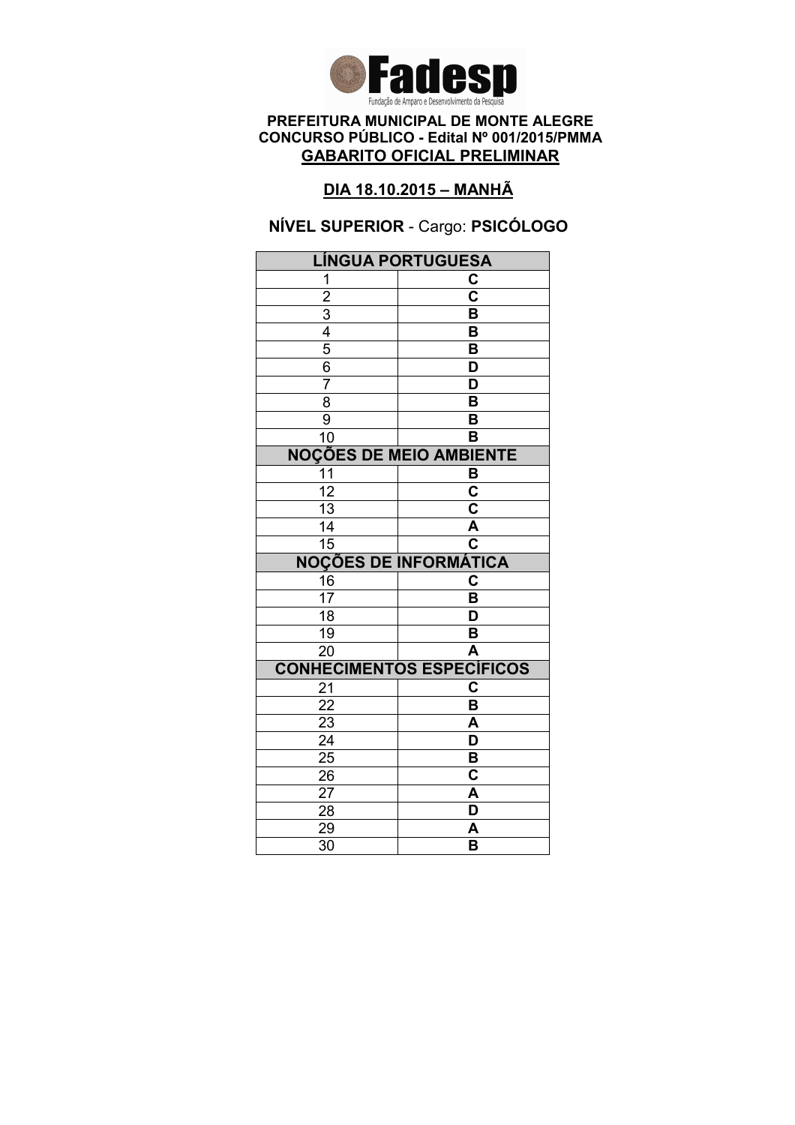

### DIA 18.10.2015 – MANHÃ

# NÍVEL SUPERIOR - Cargo: PSICÓLOGO

| <b>LÍNGUA PORTUGUESA</b>       |                                  |
|--------------------------------|----------------------------------|
| 1                              | С                                |
| $\overline{2}$                 | $\overline{\mathbf{c}}$          |
| $\overline{3}$                 | B                                |
| 4                              | B                                |
| $\overline{5}$                 | B                                |
| 6                              | D                                |
| 7                              | D                                |
| $\overline{8}$                 | $\overline{\mathsf{B}}$          |
| 9                              | B                                |
| 10                             | в                                |
| <b>NOÇÕES DE MEIO AMBIENTE</b> |                                  |
| 11                             | в                                |
| $\overline{12}$                | $\overline{\mathsf{c}}$          |
| $\overline{13}$                | $\overline{\mathbf{c}}$          |
| 14                             | $\overline{\mathsf{A}}$          |
| 15                             | $\overline{\textbf{c}}$          |
| <b>NOÇÕES DE INFORMÁTICA</b>   |                                  |
| 16                             | C                                |
| 17                             | B                                |
| $\overline{18}$                | D                                |
| 19                             | B                                |
| $\overline{20}$                | A                                |
|                                |                                  |
|                                | <b>CONHECIMENTOS ESPECÍFICOS</b> |
| 21                             | C                                |
| 22                             | B                                |
| 23                             | A                                |
| $\overline{24}$                | $\overline{\mathsf{D}}$          |
| $\overline{25}$                | B                                |
| 26                             | C                                |
| 27                             | A                                |
| 28                             | D                                |
| 29<br>$\overline{30}$          | A<br>$\overline{\mathsf{B}}$     |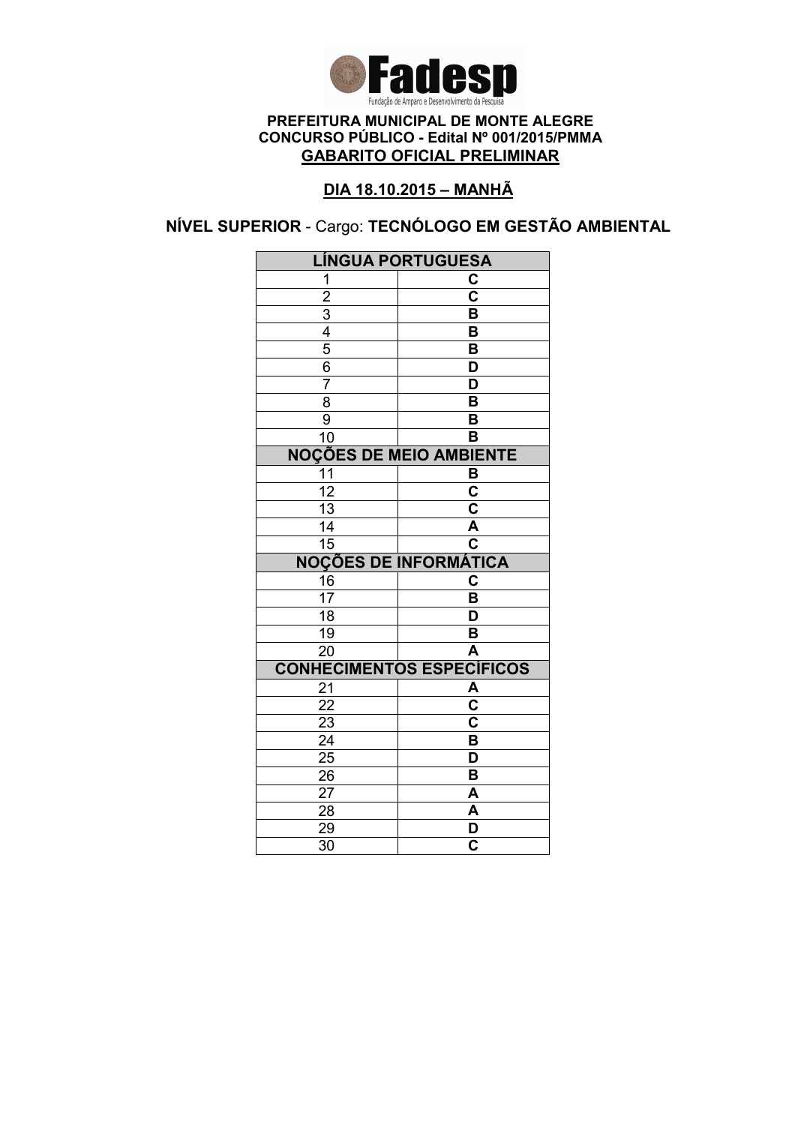

### DIA 18.10.2015 – MANHÃ

NÍVEL SUPERIOR - Cargo: TECNÓLOGO EM GESTÃO AMBIENTAL

| <b>LÍNGUA PORTUGUESA</b>         |                              |
|----------------------------------|------------------------------|
| 1                                | C                            |
| $\overline{2}$                   | $\overline{\mathbf{c}}$      |
|                                  | $\overline{\mathsf{B}}$      |
| $\frac{3}{4}$                    | B                            |
|                                  | B                            |
| $\frac{6}{7}$                    | D                            |
|                                  | $\overline{\mathsf{D}}$      |
| $\overline{8}$                   | $\overline{\mathsf{B}}$      |
| 9                                | B                            |
| $\overline{10}$                  | $\overline{\mathsf{B}}$      |
| <b>NOÇÕES DE MEIO AMBIENTE</b>   |                              |
| 11                               | B                            |
| $\overline{12}$                  | $\overline{\mathbf{c}}$      |
| $\overline{13}$                  | $\overline{\textbf{c}}$      |
| $\overline{14}$                  | $\overline{\mathsf{A}}$      |
| $\overline{15}$                  | $\overline{\mathbf{c}}$      |
| <b>NOÇÕES DE INFORMÁTICA</b>     |                              |
| $\frac{16}{17}$                  | C                            |
|                                  | B                            |
| $\overline{18}$                  | D                            |
| $\overline{19}$                  | B                            |
| $\overline{20}$                  | $\overline{\mathsf{A}}$      |
| <b>CONHECIMENTOS ESPECÍFICOS</b> |                              |
| 21                               | $\frac{\overline{A}}{C}$     |
| $\overline{22}$                  |                              |
| 23                               | $\overline{\mathbf{c}}$      |
| $\overline{24}$                  | $\overline{\mathsf{B}}$      |
| $\overline{25}$                  | $\overline{\mathsf{D}}$      |
|                                  |                              |
| 26                               | B                            |
| 27                               | A                            |
| 28                               | A                            |
| 29<br>$\overline{30}$            | D<br>$\overline{\mathbf{c}}$ |